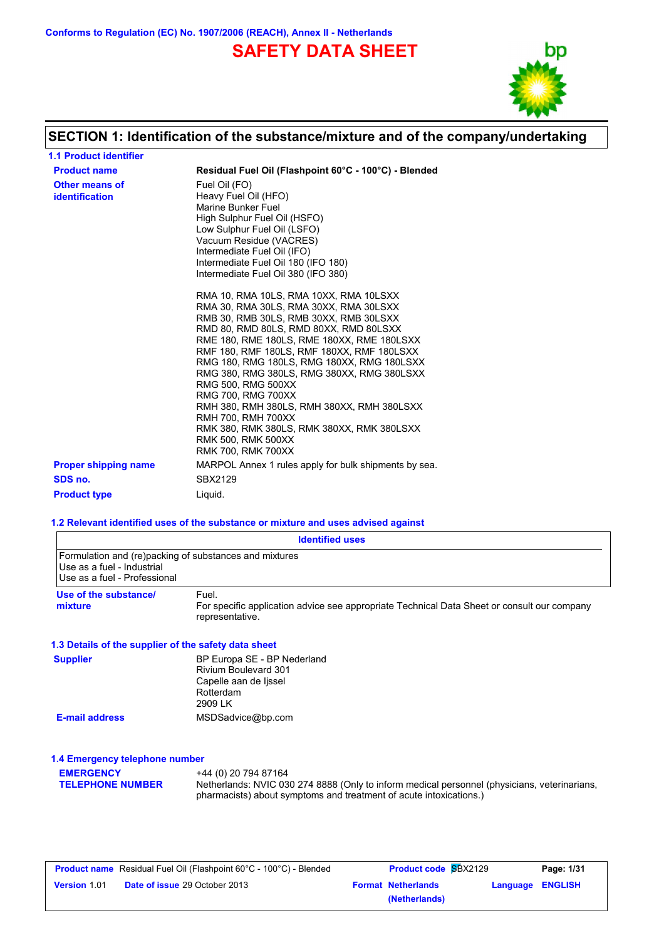**Conforms to Regulation (EC) No. 1907/2006 (REACH), Annex II - Netherlands**

# **SAFETY DATA SHEET**



# **SECTION 1: Identification of the substance/mixture and of the company/undertaking**

| <b>1.1 Product identifier</b>           |                                                                                                                                                                                                                                                                                                                                                                                                                                                                                                                                                                               |
|-----------------------------------------|-------------------------------------------------------------------------------------------------------------------------------------------------------------------------------------------------------------------------------------------------------------------------------------------------------------------------------------------------------------------------------------------------------------------------------------------------------------------------------------------------------------------------------------------------------------------------------|
| <b>Product name</b>                     | Residual Fuel Oil (Flashpoint 60°C - 100°C) - Blended                                                                                                                                                                                                                                                                                                                                                                                                                                                                                                                         |
| Other means of<br><i>identification</i> | Fuel Oil (FO)<br>Heavy Fuel Oil (HFO)<br>Marine Bunker Fuel<br>High Sulphur Fuel Oil (HSFO)<br>Low Sulphur Fuel Oil (LSFO)<br>Vacuum Residue (VACRES)<br>Intermediate Fuel Oil (IFO)<br>Intermediate Fuel Oil 180 (IFO 180)<br>Intermediate Fuel Oil 380 (IFO 380)                                                                                                                                                                                                                                                                                                            |
|                                         | RMA 10, RMA 10LS, RMA 10XX, RMA 10LSXX<br>RMA 30, RMA 30LS, RMA 30XX, RMA 30LSXX<br>RMB 30, RMB 30LS, RMB 30XX, RMB 30LSXX<br>RMD 80. RMD 80LS. RMD 80XX. RMD 80LSXX<br>RME 180, RME 180LS, RME 180XX, RME 180LSXX<br>RMF 180, RMF 180LS, RMF 180XX, RMF 180LSXX<br>RMG 180, RMG 180LS, RMG 180XX, RMG 180LSXX<br>RMG 380, RMG 380LS, RMG 380XX, RMG 380LSXX<br>RMG 500, RMG 500XX<br>RMG 700, RMG 700XX<br>RMH 380, RMH 380LS, RMH 380XX, RMH 380LSXX<br>RMH 700, RMH 700XX<br>RMK 380, RMK 380LS, RMK 380XX, RMK 380LSXX<br>RMK 500, RMK 500XX<br><b>RMK 700, RMK 700XX</b> |
| <b>Proper shipping name</b>             | MARPOL Annex 1 rules apply for bulk shipments by sea.                                                                                                                                                                                                                                                                                                                                                                                                                                                                                                                         |
| SDS no.                                 | SBX2129                                                                                                                                                                                                                                                                                                                                                                                                                                                                                                                                                                       |
| <b>Product type</b>                     | Liquid.                                                                                                                                                                                                                                                                                                                                                                                                                                                                                                                                                                       |

#### **1.2 Relevant identified uses of the substance or mixture and uses advised against**

|                                                            | <b>Identified uses</b>                                                                                                                                                                    |
|------------------------------------------------------------|-------------------------------------------------------------------------------------------------------------------------------------------------------------------------------------------|
| Use as a fuel - Industrial<br>Use as a fuel - Professional | Formulation and (re)packing of substances and mixtures                                                                                                                                    |
| Use of the substance/<br>mixture                           | Fuel.<br>For specific application advice see appropriate Technical Data Sheet or consult our company<br>representative.                                                                   |
| 1.3 Details of the supplier of the safety data sheet       |                                                                                                                                                                                           |
| <b>Supplier</b>                                            | BP Europa SE - BP Nederland<br><b>Rivium Boulevard 301</b><br>Capelle aan de Ijssel<br>Rotterdam<br>2909 LK                                                                               |
| <b>E-mail address</b>                                      | MSDSadvice@bp.com                                                                                                                                                                         |
| 1.4 Emergency telephone number                             |                                                                                                                                                                                           |
| <b>EMERGENCY</b><br><b>TELEPHONE NUMBER</b>                | +44 (0) 20 794 87164<br>Netherlands: NVIC 030 274 8888 (Only to inform medical personnel (physicians, veterinarians,<br>pharmacists) about symptoms and treatment of acute intoxications. |

|                     | <b>Product name</b> Residual Fuel Oil (Flashpoint 60°C - 100°C) - Blended | <b>Product code SBX2129</b> |                  | Page: 1/31 |
|---------------------|---------------------------------------------------------------------------|-----------------------------|------------------|------------|
| <b>Version 1.01</b> | <b>Date of issue 29 October 2013</b>                                      | <b>Format Netherlands</b>   | Language ENGLISH |            |
|                     |                                                                           | (Netherlands)               |                  |            |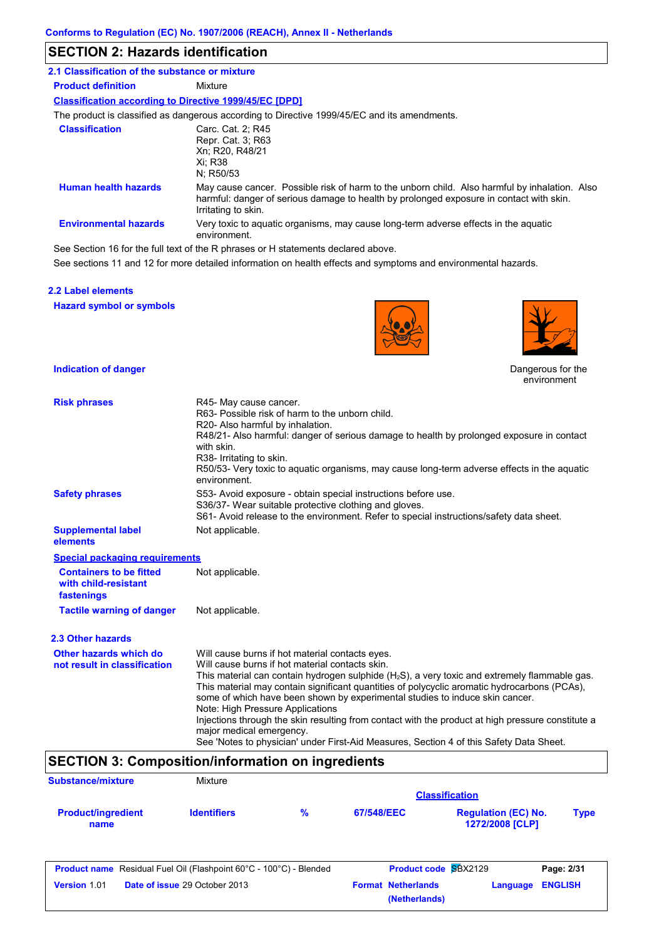#### **SECTION 2: Hazards identification**

| 2.1 Classification of the substance or mixture                |                                                                                                                                                                                                                 |
|---------------------------------------------------------------|-----------------------------------------------------------------------------------------------------------------------------------------------------------------------------------------------------------------|
| <b>Product definition</b>                                     | Mixture                                                                                                                                                                                                         |
| <b>Classification according to Directive 1999/45/EC [DPD]</b> |                                                                                                                                                                                                                 |
|                                                               | The product is classified as dangerous according to Directive 1999/45/EC and its amendments.                                                                                                                    |
| <b>Classification</b>                                         | Carc. Cat. 2: R45<br>Repr. Cat. 3; R63<br>Xn: R20, R48/21<br>Xi: R38<br>N: R50/53                                                                                                                               |
| <b>Human health hazards</b>                                   | May cause cancer. Possible risk of harm to the unborn child. Also harmful by inhalation. Also<br>harmful: danger of serious damage to health by prolonged exposure in contact with skin.<br>Irritating to skin. |
| <b>Environmental hazards</b>                                  | Very toxic to aquatic organisms, may cause long-term adverse effects in the aquatic<br>environment.                                                                                                             |
|                                                               | See Section 16 for the full text of the R phrases or H statements declared above.                                                                                                                               |

See sections 11 and 12 for more detailed information on health effects and symptoms and environmental hazards.

#### **2.2 Label elements**

**Hazard symbol or symbols**





Dangerous for the environment

#### **Indication of danger**

| <b>Risk phrases</b>                                                  | R45- May cause cancer.<br>R63- Possible risk of harm to the unborn child.<br>R20- Also harmful by inhalation.<br>R48/21- Also harmful: danger of serious damage to health by prolonged exposure in contact<br>with skin.<br>R38- Irritating to skin.<br>R50/53- Very toxic to aquatic organisms, may cause long-term adverse effects in the aquatic<br>environment.                                                                                                                                                                                                                                                                                    |
|----------------------------------------------------------------------|--------------------------------------------------------------------------------------------------------------------------------------------------------------------------------------------------------------------------------------------------------------------------------------------------------------------------------------------------------------------------------------------------------------------------------------------------------------------------------------------------------------------------------------------------------------------------------------------------------------------------------------------------------|
| <b>Safety phrases</b>                                                | S53- Avoid exposure - obtain special instructions before use.<br>S36/37- Wear suitable protective clothing and gloves.<br>S61- Avoid release to the environment. Refer to special instructions/safety data sheet.                                                                                                                                                                                                                                                                                                                                                                                                                                      |
| <b>Supplemental label</b><br>elements                                | Not applicable.                                                                                                                                                                                                                                                                                                                                                                                                                                                                                                                                                                                                                                        |
| <b>Special packaging requirements</b>                                |                                                                                                                                                                                                                                                                                                                                                                                                                                                                                                                                                                                                                                                        |
| <b>Containers to be fitted</b><br>with child-resistant<br>fastenings | Not applicable.                                                                                                                                                                                                                                                                                                                                                                                                                                                                                                                                                                                                                                        |
| <b>Tactile warning of danger</b>                                     | Not applicable.                                                                                                                                                                                                                                                                                                                                                                                                                                                                                                                                                                                                                                        |
| 2.3 Other hazards                                                    |                                                                                                                                                                                                                                                                                                                                                                                                                                                                                                                                                                                                                                                        |
| Other hazards which do<br>not result in classification               | Will cause burns if hot material contacts eyes.<br>Will cause burns if hot material contacts skin.<br>This material can contain hydrogen sulphide $(H_2S)$ , a very toxic and extremely flammable gas.<br>This material may contain significant quantities of polycyclic aromatic hydrocarbons (PCAs),<br>some of which have been shown by experimental studies to induce skin cancer.<br>Note: High Pressure Applications<br>Injections through the skin resulting from contact with the product at high pressure constitute a<br>major medical emergency.<br>See 'Notes to physician' under First-Aid Measures, Section 4 of this Safety Data Sheet. |

# **SECTION 3: Composition/information on ingredients**

| Substance/mixture                 | Mixture                                                                                                    |               |                           | <b>Classification</b>                         |                              |
|-----------------------------------|------------------------------------------------------------------------------------------------------------|---------------|---------------------------|-----------------------------------------------|------------------------------|
| <b>Product/ingredient</b><br>name | <b>Identifiers</b>                                                                                         | $\frac{9}{6}$ | 67/548/EEC                | <b>Regulation (EC) No.</b><br>1272/2008 [CLP] | <b>Type</b>                  |
| Version 1.01                      | <b>Product name</b> Residual Fuel Oil (Flashpoint 60°C - 100°C) - Blended<br>Date of issue 29 October 2013 |               | <b>Format Netherlands</b> | Product code SBX2129<br>Language              | Page: 2/31<br><b>ENGLISH</b> |
|                                   |                                                                                                            |               | (Netherlands)             |                                               |                              |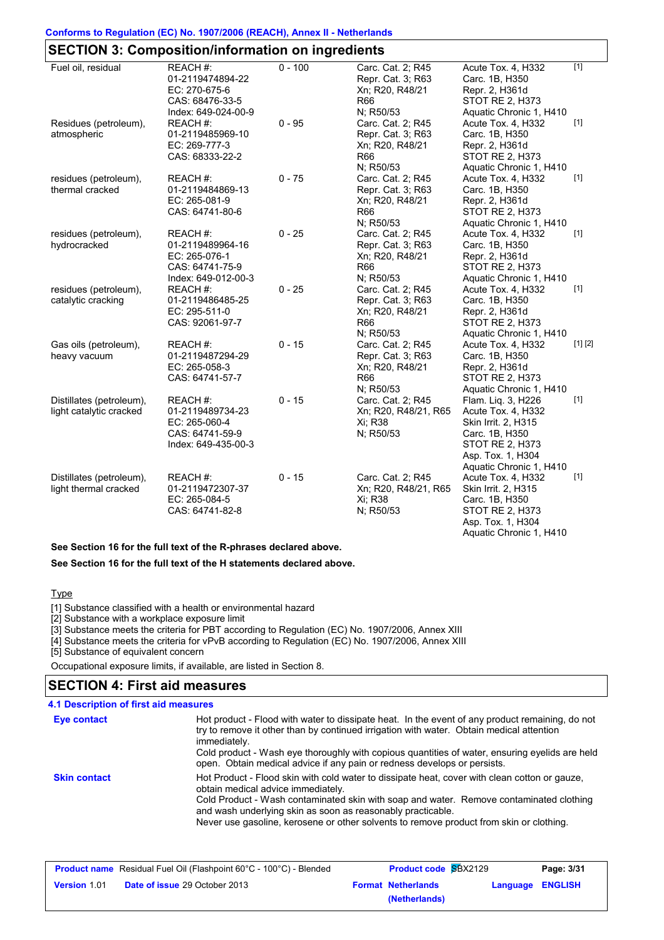#### **Conforms to Regulation (EC) No. 1907/2006 (REACH), Annex II - Netherlands**

# **SECTION 3: Composition/information on ingredients**

| Fuel oil, residual       | REACH #:            | $0 - 100$ | Carc. Cat. 2; R45    | Acute Tox. 4, H332      | $\overline{[1]}$ |
|--------------------------|---------------------|-----------|----------------------|-------------------------|------------------|
|                          | 01-2119474894-22    |           | Repr. Cat. 3; R63    | Carc. 1B, H350          |                  |
|                          | EC: 270-675-6       |           | Xn; R20, R48/21      | Repr. 2, H361d          |                  |
|                          | CAS: 68476-33-5     |           | <b>R66</b>           | <b>STOT RE 2, H373</b>  |                  |
|                          | Index: 649-024-00-9 |           | N; R50/53            | Aquatic Chronic 1, H410 |                  |
| Residues (petroleum),    | REACH #:            | $0 - 95$  | Carc. Cat. 2; R45    | Acute Tox. 4, H332      | $[1]$            |
| atmospheric              | 01-2119485969-10    |           | Repr. Cat. 3; R63    | Carc. 1B, H350          |                  |
|                          | EC: 269-777-3       |           | Xn; R20, R48/21      | Repr. 2, H361d          |                  |
|                          | CAS: 68333-22-2     |           | <b>R66</b>           | <b>STOT RE 2, H373</b>  |                  |
|                          |                     |           | N; R50/53            | Aquatic Chronic 1, H410 |                  |
| residues (petroleum),    | REACH#:             | $0 - 75$  | Carc. Cat. 2; R45    | Acute Tox. 4, H332      | $[1]$            |
| thermal cracked          | 01-2119484869-13    |           | Repr. Cat. 3; R63    | Carc. 1B, H350          |                  |
|                          | EC: 265-081-9       |           | Xn; R20, R48/21      | Repr. 2, H361d          |                  |
|                          | CAS: 64741-80-6     |           | <b>R66</b>           | STOT RE 2, H373         |                  |
|                          |                     |           | N; R50/53            | Aquatic Chronic 1, H410 |                  |
| residues (petroleum),    | REACH #:            | $0 - 25$  | Carc. Cat. 2; R45    | Acute Tox. 4, H332      | $[1]$            |
| hydrocracked             | 01-2119489964-16    |           | Repr. Cat. 3; R63    | Carc. 1B, H350          |                  |
|                          | EC: 265-076-1       |           | Xn; R20, R48/21      | Repr. 2, H361d          |                  |
|                          | CAS: 64741-75-9     |           | <b>R66</b>           | STOT RE 2, H373         |                  |
|                          | Index: 649-012-00-3 |           | N; R50/53            | Aquatic Chronic 1, H410 |                  |
| residues (petroleum),    | REACH #:            | $0 - 25$  | Carc. Cat. 2; R45    | Acute Tox. 4, H332      | $[1]$            |
| catalytic cracking       | 01-2119486485-25    |           | Repr. Cat. 3; R63    | Carc. 1B, H350          |                  |
|                          | EC: 295-511-0       |           | Xn; R20, R48/21      | Repr. 2, H361d          |                  |
|                          | CAS: 92061-97-7     |           | <b>R66</b>           | STOT RE 2, H373         |                  |
|                          |                     |           | N; R50/53            | Aquatic Chronic 1, H410 |                  |
| Gas oils (petroleum),    | REACH#:             | $0 - 15$  | Carc. Cat. 2; R45    | Acute Tox. 4, H332      | [1] [2]          |
| heavy vacuum             | 01-2119487294-29    |           | Repr. Cat. 3; R63    | Carc. 1B, H350          |                  |
|                          | EC: 265-058-3       |           | Xn; R20, R48/21      | Repr. 2, H361d          |                  |
|                          | CAS: 64741-57-7     |           | <b>R66</b>           | STOT RE 2, H373         |                  |
|                          |                     |           | N: R50/53            | Aquatic Chronic 1, H410 |                  |
| Distillates (petroleum), | REACH #:            | $0 - 15$  | Carc. Cat. 2; R45    | Flam. Liq. 3, H226      | $[1]$            |
| light catalytic cracked  | 01-2119489734-23    |           | Xn; R20, R48/21, R65 | Acute Tox. 4, H332      |                  |
|                          | EC: 265-060-4       |           | Xi; R38              | Skin Irrit. 2, H315     |                  |
|                          | CAS: 64741-59-9     |           | N; R50/53            | Carc. 1B, H350          |                  |
|                          | Index: 649-435-00-3 |           |                      | STOT RE 2, H373         |                  |
|                          |                     |           |                      | Asp. Tox. 1, H304       |                  |
|                          |                     |           |                      | Aquatic Chronic 1, H410 |                  |
| Distillates (petroleum), | REACH#:             | $0 - 15$  | Carc. Cat. 2; R45    | Acute Tox. 4, H332      | $[1]$            |
| light thermal cracked    | 01-2119472307-37    |           | Xn; R20, R48/21, R65 | Skin Irrit. 2, H315     |                  |
|                          | EC: 265-084-5       |           | Xi; R38              | Carc. 1B, H350          |                  |
|                          | CAS: 64741-82-8     |           | N; R50/53            | STOT RE 2, H373         |                  |
|                          |                     |           |                      | Asp. Tox. 1, H304       |                  |
|                          |                     |           |                      | Aquatic Chronic 1, H410 |                  |

**See Section 16 for the full text of the R-phrases declared above.**

**See Section 16 for the full text of the H statements declared above.**

#### **Type**

[1] Substance classified with a health or environmental hazard

[2] Substance with a workplace exposure limit

[3] Substance meets the criteria for PBT according to Regulation (EC) No. 1907/2006, Annex XIII

[4] Substance meets the criteria for vPvB according to Regulation (EC) No. 1907/2006, Annex XIII

[5] Substance of equivalent concern

Occupational exposure limits, if available, are listed in Section 8.

#### **SECTION 4: First aid measures**

| Eye contact         | Hot product - Flood with water to dissipate heat. In the event of any product remaining, do not<br>try to remove it other than by continued irrigation with water. Obtain medical attention<br>immediately.<br>Cold product - Wash eye thoroughly with copious quantities of water, ensuring eyelids are held<br>open. Obtain medical advice if any pain or redness develops or persists. |
|---------------------|-------------------------------------------------------------------------------------------------------------------------------------------------------------------------------------------------------------------------------------------------------------------------------------------------------------------------------------------------------------------------------------------|
| <b>Skin contact</b> | Hot Product - Flood skin with cold water to dissipate heat, cover with clean cotton or gauze,<br>obtain medical advice immediately.<br>Cold Product - Wash contaminated skin with soap and water. Remove contaminated clothing<br>and wash underlying skin as soon as reasonably practicable.<br>Never use gasoline, kerosene or other solvents to remove product from skin or clothing.  |

|                     | <b>Product name</b> Residual Fuel Oil (Flashpoint 60°C - 100°C) - Blended | <b>Product code SBX2129</b> |                  | Page: 3/31 |
|---------------------|---------------------------------------------------------------------------|-----------------------------|------------------|------------|
| <b>Version 1.01</b> | <b>Date of issue 29 October 2013</b>                                      | <b>Format Netherlands</b>   | Language ENGLISH |            |
|                     |                                                                           | (Netherlands)               |                  |            |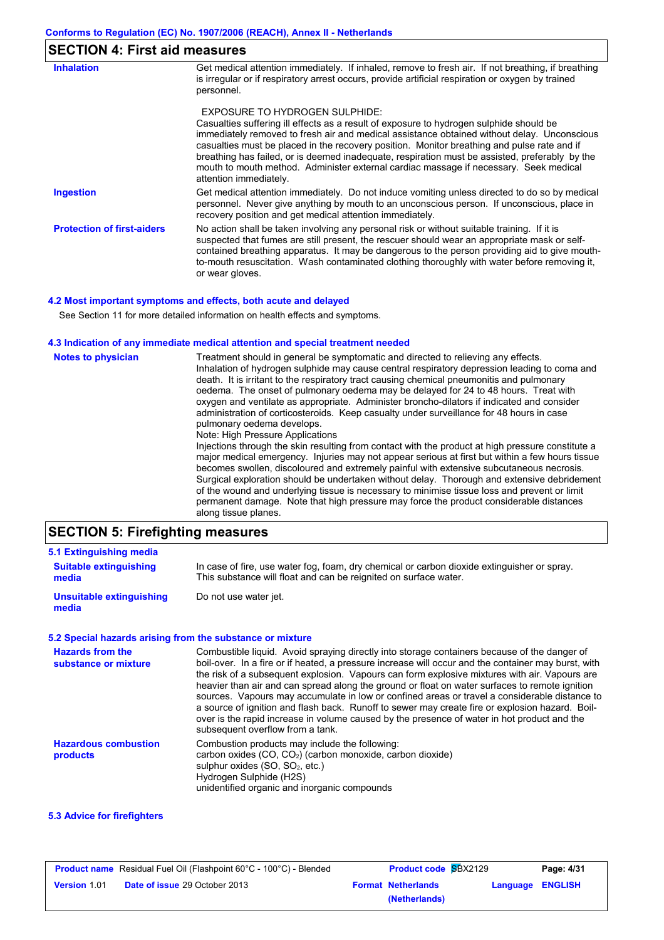| <b>SECTION 4: First aid measures</b> |                                                                                                                                                                                                                                                                                                                                                                                                                                                                                                                                              |
|--------------------------------------|----------------------------------------------------------------------------------------------------------------------------------------------------------------------------------------------------------------------------------------------------------------------------------------------------------------------------------------------------------------------------------------------------------------------------------------------------------------------------------------------------------------------------------------------|
| <b>Inhalation</b>                    | Get medical attention immediately. If inhaled, remove to fresh air. If not breathing, if breathing<br>is irregular or if respiratory arrest occurs, provide artificial respiration or oxygen by trained<br>personnel.                                                                                                                                                                                                                                                                                                                        |
|                                      | EXPOSURE TO HYDROGEN SULPHIDE:<br>Casualties suffering ill effects as a result of exposure to hydrogen sulphide should be<br>immediately removed to fresh air and medical assistance obtained without delay. Unconscious<br>casualties must be placed in the recovery position. Monitor breathing and pulse rate and if<br>breathing has failed, or is deemed inadequate, respiration must be assisted, preferably by the<br>mouth to mouth method. Administer external cardiac massage if necessary. Seek medical<br>attention immediately. |
| Ingestion                            | Get medical attention immediately. Do not induce vomiting unless directed to do so by medical<br>personnel. Never give anything by mouth to an unconscious person. If unconscious, place in<br>recovery position and get medical attention immediately.                                                                                                                                                                                                                                                                                      |
| <b>Protection of first-aiders</b>    | No action shall be taken involving any personal risk or without suitable training. If it is<br>suspected that fumes are still present, the rescuer should wear an appropriate mask or self-<br>contained breathing apparatus. It may be dangerous to the person providing aid to give mouth-<br>to-mouth resuscitation. Wash contaminated clothing thoroughly with water before removing it,<br>or wear gloves.                                                                                                                              |

#### **4.2 Most important symptoms and effects, both acute and delayed**

See Section 11 for more detailed information on health effects and symptoms.

#### **4.3 Indication of any immediate medical attention and special treatment needed**

| <b>Notes to physician</b> | Treatment should in general be symptomatic and directed to relieving any effects.<br>Inhalation of hydrogen sulphide may cause central respiratory depression leading to coma and<br>death. It is irritant to the respiratory tract causing chemical pneumonitis and pulmonary<br>oedema. The onset of pulmonary oedema may be delayed for 24 to 48 hours. Treat with<br>oxygen and ventilate as appropriate. Administer broncho-dilators if indicated and consider<br>administration of corticosteroids. Keep casualty under surveillance for 48 hours in case<br>pulmonary oedema develops.<br>Note: High Pressure Applications<br>Injections through the skin resulting from contact with the product at high pressure constitute a<br>major medical emergency. Injuries may not appear serious at first but within a few hours tissue<br>becomes swollen, discoloured and extremely painful with extensive subcutaneous necrosis.<br>Surgical exploration should be undertaken without delay. Thorough and extensive debridement<br>of the wound and underlying tissue is necessary to minimise tissue loss and prevent or limit<br>permanent damage. Note that high pressure may force the product considerable distances<br>along tissue planes. |
|---------------------------|--------------------------------------------------------------------------------------------------------------------------------------------------------------------------------------------------------------------------------------------------------------------------------------------------------------------------------------------------------------------------------------------------------------------------------------------------------------------------------------------------------------------------------------------------------------------------------------------------------------------------------------------------------------------------------------------------------------------------------------------------------------------------------------------------------------------------------------------------------------------------------------------------------------------------------------------------------------------------------------------------------------------------------------------------------------------------------------------------------------------------------------------------------------------------------------------------------------------------------------------------------|
|---------------------------|--------------------------------------------------------------------------------------------------------------------------------------------------------------------------------------------------------------------------------------------------------------------------------------------------------------------------------------------------------------------------------------------------------------------------------------------------------------------------------------------------------------------------------------------------------------------------------------------------------------------------------------------------------------------------------------------------------------------------------------------------------------------------------------------------------------------------------------------------------------------------------------------------------------------------------------------------------------------------------------------------------------------------------------------------------------------------------------------------------------------------------------------------------------------------------------------------------------------------------------------------------|

## **SECTION 5: Firefighting measures**

| <b>Suitable extinguishing</b>     | In case of fire, use water fog, foam, dry chemical or carbon dioxide extinguisher or spray. |
|-----------------------------------|---------------------------------------------------------------------------------------------|
| media                             | This substance will float and can be reignited on surface water.                            |
| Unsuitable extinguishing<br>media | Do not use water jet.                                                                       |

#### **5.2 Special hazards arising from the substance or mixture**

| <b>Hazards from the</b><br>substance or mixture | Combustible liquid. Avoid spraying directly into storage containers because of the danger of<br>boil-over. In a fire or if heated, a pressure increase will occur and the container may burst, with<br>the risk of a subsequent explosion. Vapours can form explosive mixtures with air. Vapours are<br>heavier than air and can spread along the ground or float on water surfaces to remote ignition<br>sources. Vapours may accumulate in low or confined areas or travel a considerable distance to<br>a source of ignition and flash back. Runoff to sewer may create fire or explosion hazard. Boil-<br>over is the rapid increase in volume caused by the presence of water in hot product and the<br>subsequent overflow from a tank. |
|-------------------------------------------------|-----------------------------------------------------------------------------------------------------------------------------------------------------------------------------------------------------------------------------------------------------------------------------------------------------------------------------------------------------------------------------------------------------------------------------------------------------------------------------------------------------------------------------------------------------------------------------------------------------------------------------------------------------------------------------------------------------------------------------------------------|
| <b>Hazardous combustion</b><br>products         | Combustion products may include the following:<br>carbon oxides $(CO, CO2)$ (carbon monoxide, carbon dioxide)<br>sulphur oxides $(SO, SO2, etc.)$<br>Hydrogen Sulphide (H2S)<br>unidentified organic and inorganic compounds                                                                                                                                                                                                                                                                                                                                                                                                                                                                                                                  |

#### **5.3 Advice for firefighters**

|                     | <b>Product name</b> Residual Fuel Oil (Flashpoint 60°C - 100°C) - Blended | <b>Product code SBX2129</b> |                  | Page: 4/31 |
|---------------------|---------------------------------------------------------------------------|-----------------------------|------------------|------------|
| <b>Version 1.01</b> | <b>Date of issue 29 October 2013</b>                                      | <b>Format Netherlands</b>   | Language ENGLISH |            |
|                     |                                                                           | (Netherlands)               |                  |            |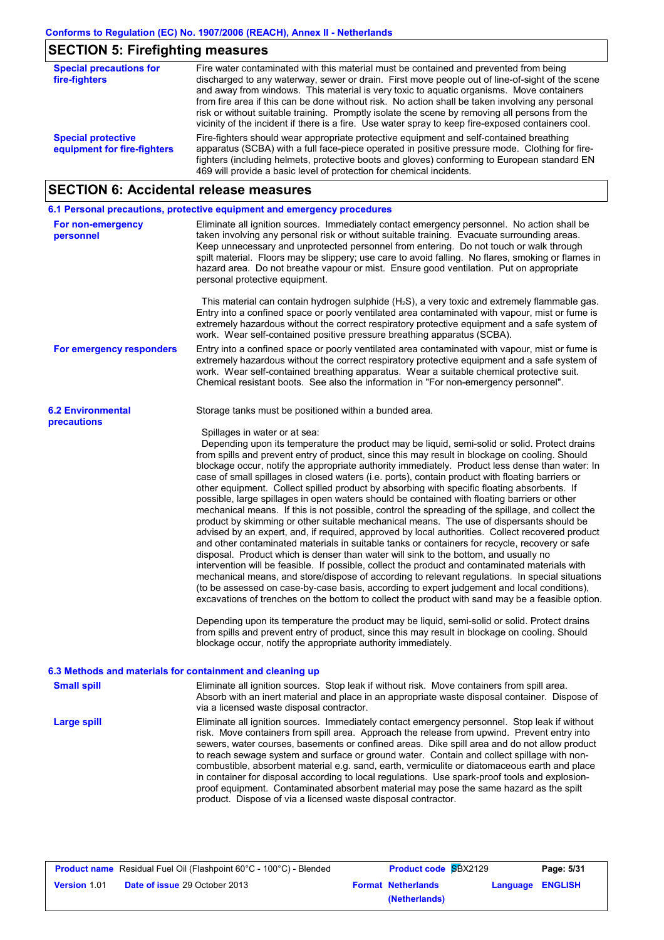# **SECTION 5: Firefighting measures**

| <b>Special precautions for</b><br>fire-fighters          | Fire water contaminated with this material must be contained and prevented from being<br>discharged to any waterway, sewer or drain. First move people out of line-of-sight of the scene<br>and away from windows. This material is very toxic to aquatic organisms. Move containers<br>from fire area if this can be done without risk. No action shall be taken involving any personal<br>risk or without suitable training. Promptly isolate the scene by removing all persons from the<br>vicinity of the incident if there is a fire. Use water spray to keep fire-exposed containers cool. |
|----------------------------------------------------------|--------------------------------------------------------------------------------------------------------------------------------------------------------------------------------------------------------------------------------------------------------------------------------------------------------------------------------------------------------------------------------------------------------------------------------------------------------------------------------------------------------------------------------------------------------------------------------------------------|
| <b>Special protective</b><br>equipment for fire-fighters | Fire-fighters should wear appropriate protective equipment and self-contained breathing<br>apparatus (SCBA) with a full face-piece operated in positive pressure mode. Clothing for fire-<br>fighters (including helmets, protective boots and gloves) conforming to European standard EN<br>469 will provide a basic level of protection for chemical incidents.                                                                                                                                                                                                                                |

# **SECTION 6: Accidental release measures**

|                                         | 6.1 Personal precautions, protective equipment and emergency procedures                                                                                                                                                                                                                                                                                                                                                                                                                                                                                                                                                                                                                                                                                                                                                                                                                                                                                                                                                                                                                                                                                                                                                                                                                                                                                                                                                                                                                                                                                                                                                                                                                                                                                                                                            |
|-----------------------------------------|--------------------------------------------------------------------------------------------------------------------------------------------------------------------------------------------------------------------------------------------------------------------------------------------------------------------------------------------------------------------------------------------------------------------------------------------------------------------------------------------------------------------------------------------------------------------------------------------------------------------------------------------------------------------------------------------------------------------------------------------------------------------------------------------------------------------------------------------------------------------------------------------------------------------------------------------------------------------------------------------------------------------------------------------------------------------------------------------------------------------------------------------------------------------------------------------------------------------------------------------------------------------------------------------------------------------------------------------------------------------------------------------------------------------------------------------------------------------------------------------------------------------------------------------------------------------------------------------------------------------------------------------------------------------------------------------------------------------------------------------------------------------------------------------------------------------|
| For non-emergency<br>personnel          | Eliminate all ignition sources. Immediately contact emergency personnel. No action shall be<br>taken involving any personal risk or without suitable training. Evacuate surrounding areas.<br>Keep unnecessary and unprotected personnel from entering. Do not touch or walk through<br>spilt material. Floors may be slippery; use care to avoid falling. No flares, smoking or flames in<br>hazard area. Do not breathe vapour or mist. Ensure good ventilation. Put on appropriate<br>personal protective equipment.                                                                                                                                                                                                                                                                                                                                                                                                                                                                                                                                                                                                                                                                                                                                                                                                                                                                                                                                                                                                                                                                                                                                                                                                                                                                                            |
|                                         | This material can contain hydrogen sulphide $(H_2S)$ , a very toxic and extremely flammable gas.<br>Entry into a confined space or poorly ventilated area contaminated with vapour, mist or fume is<br>extremely hazardous without the correct respiratory protective equipment and a safe system of<br>work. Wear self-contained positive pressure breathing apparatus (SCBA).                                                                                                                                                                                                                                                                                                                                                                                                                                                                                                                                                                                                                                                                                                                                                                                                                                                                                                                                                                                                                                                                                                                                                                                                                                                                                                                                                                                                                                    |
| For emergency responders                | Entry into a confined space or poorly ventilated area contaminated with vapour, mist or fume is<br>extremely hazardous without the correct respiratory protective equipment and a safe system of<br>work. Wear self-contained breathing apparatus. Wear a suitable chemical protective suit.<br>Chemical resistant boots. See also the information in "For non-emergency personnel".                                                                                                                                                                                                                                                                                                                                                                                                                                                                                                                                                                                                                                                                                                                                                                                                                                                                                                                                                                                                                                                                                                                                                                                                                                                                                                                                                                                                                               |
| <b>6.2 Environmental</b><br>precautions | Storage tanks must be positioned within a bunded area.                                                                                                                                                                                                                                                                                                                                                                                                                                                                                                                                                                                                                                                                                                                                                                                                                                                                                                                                                                                                                                                                                                                                                                                                                                                                                                                                                                                                                                                                                                                                                                                                                                                                                                                                                             |
|                                         | Spillages in water or at sea:<br>Depending upon its temperature the product may be liquid, semi-solid or solid. Protect drains<br>from spills and prevent entry of product, since this may result in blockage on cooling. Should<br>blockage occur, notify the appropriate authority immediately. Product less dense than water: In<br>case of small spillages in closed waters (i.e. ports), contain product with floating barriers or<br>other equipment. Collect spilled product by absorbing with specific floating absorbents. If<br>possible, large spillages in open waters should be contained with floating barriers or other<br>mechanical means. If this is not possible, control the spreading of the spillage, and collect the<br>product by skimming or other suitable mechanical means. The use of dispersants should be<br>advised by an expert, and, if required, approved by local authorities. Collect recovered product<br>and other contaminated materials in suitable tanks or containers for recycle, recovery or safe<br>disposal. Product which is denser than water will sink to the bottom, and usually no<br>intervention will be feasible. If possible, collect the product and contaminated materials with<br>mechanical means, and store/dispose of according to relevant regulations. In special situations<br>(to be assessed on case-by-case basis, according to expert judgement and local conditions),<br>excavations of trenches on the bottom to collect the product with sand may be a feasible option.<br>Depending upon its temperature the product may be liquid, semi-solid or solid. Protect drains<br>from spills and prevent entry of product, since this may result in blockage on cooling. Should<br>blockage occur, notify the appropriate authority immediately. |
|                                         | 6.3 Methods and materials for containment and cleaning up                                                                                                                                                                                                                                                                                                                                                                                                                                                                                                                                                                                                                                                                                                                                                                                                                                                                                                                                                                                                                                                                                                                                                                                                                                                                                                                                                                                                                                                                                                                                                                                                                                                                                                                                                          |
| <b>Small spill</b>                      | Eliminate all ignition sources. Stop leak if without risk. Move containers from spill area.<br>Absorb with an inert material and place in an appropriate waste disposal container. Dispose of<br>via a licensed waste disposal contractor.                                                                                                                                                                                                                                                                                                                                                                                                                                                                                                                                                                                                                                                                                                                                                                                                                                                                                                                                                                                                                                                                                                                                                                                                                                                                                                                                                                                                                                                                                                                                                                         |
| <b>Large spill</b>                      | Eliminate all ignition sources. Immediately contact emergency personnel. Stop leak if without<br>risk. Move containers from spill area. Approach the release from upwind. Prevent entry into<br>sewers, water courses, basements or confined areas. Dike spill area and do not allow product<br>to reach sewage system and surface or ground water. Contain and collect spillage with non-<br>combustible, absorbent material e.g. sand, earth, vermiculite or diatomaceous earth and place<br>in container for disposal according to local regulations. Use spark-proof tools and explosion-<br>proof equipment. Contaminated absorbent material may pose the same hazard as the spilt<br>product. Dispose of via a licensed waste disposal contractor.                                                                                                                                                                                                                                                                                                                                                                                                                                                                                                                                                                                                                                                                                                                                                                                                                                                                                                                                                                                                                                                           |

|                     | <b>Product name</b> Residual Fuel Oil (Flashpoint 60°C - 100°C) - Blended | <b>Product code SBX2129</b> |                  | Page: 5/31 |
|---------------------|---------------------------------------------------------------------------|-----------------------------|------------------|------------|
| <b>Version 1.01</b> | <b>Date of issue 29 October 2013</b>                                      | <b>Format Netherlands</b>   | Language ENGLISH |            |
|                     |                                                                           | (Netherlands)               |                  |            |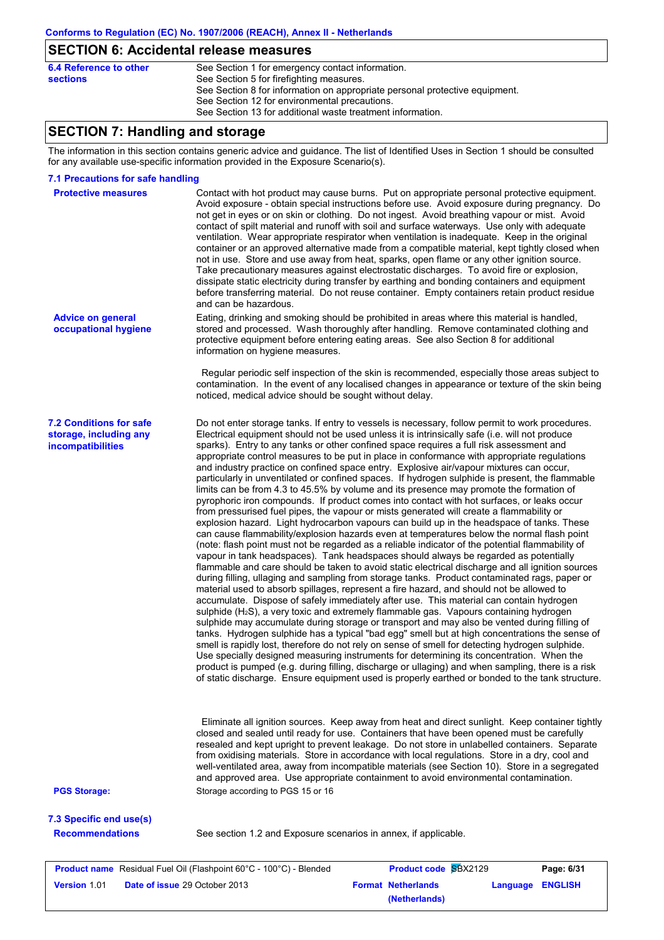# **SECTION 6: Accidental release measures**

| 6.4 Reference to other | See Section 1 for emergency contact information.                            |
|------------------------|-----------------------------------------------------------------------------|
|                        |                                                                             |
| sections               | See Section 5 for firefighting measures.                                    |
|                        | See Section 8 for information on appropriate personal protective equipment. |
|                        | See Section 12 for environmental precautions.                               |
|                        | See Section 13 for additional waste treatment information.                  |
|                        |                                                                             |

### **SECTION 7: Handling and storage**

The information in this section contains generic advice and guidance. The list of Identified Uses in Section 1 should be consulted for any available use-specific information provided in the Exposure Scenario(s).

#### **7.1 Precautions for safe handling**

**Version** 1.01

| 7.3 Specific end use(s)<br><b>Recommendations</b>                             | See section 1.2 and Exposure scenarios in annex, if applicable.                                                                                                                                                                                                                                                                                                                                                                                                                                                                                                                                                                                                                                                                                                                                                                                                                                                                                                                                                                                                                                                                                                                                                                                                                                                                                                                                                                                                                                                                                                                                                                                                                                                                                                                                                                                                                                                                                                                                                                                                                                                                                                                                                                                                                                                                                                                                                                             |  |
|-------------------------------------------------------------------------------|---------------------------------------------------------------------------------------------------------------------------------------------------------------------------------------------------------------------------------------------------------------------------------------------------------------------------------------------------------------------------------------------------------------------------------------------------------------------------------------------------------------------------------------------------------------------------------------------------------------------------------------------------------------------------------------------------------------------------------------------------------------------------------------------------------------------------------------------------------------------------------------------------------------------------------------------------------------------------------------------------------------------------------------------------------------------------------------------------------------------------------------------------------------------------------------------------------------------------------------------------------------------------------------------------------------------------------------------------------------------------------------------------------------------------------------------------------------------------------------------------------------------------------------------------------------------------------------------------------------------------------------------------------------------------------------------------------------------------------------------------------------------------------------------------------------------------------------------------------------------------------------------------------------------------------------------------------------------------------------------------------------------------------------------------------------------------------------------------------------------------------------------------------------------------------------------------------------------------------------------------------------------------------------------------------------------------------------------------------------------------------------------------------------------------------------------|--|
|                                                                               |                                                                                                                                                                                                                                                                                                                                                                                                                                                                                                                                                                                                                                                                                                                                                                                                                                                                                                                                                                                                                                                                                                                                                                                                                                                                                                                                                                                                                                                                                                                                                                                                                                                                                                                                                                                                                                                                                                                                                                                                                                                                                                                                                                                                                                                                                                                                                                                                                                             |  |
| <b>PGS Storage:</b>                                                           | Eliminate all ignition sources. Keep away from heat and direct sunlight. Keep container tightly<br>closed and sealed until ready for use. Containers that have been opened must be carefully<br>resealed and kept upright to prevent leakage. Do not store in unlabelled containers. Separate<br>from oxidising materials. Store in accordance with local regulations. Store in a dry, cool and<br>well-ventilated area, away from incompatible materials (see Section 10). Store in a segregated<br>and approved area. Use appropriate containment to avoid environmental contamination.<br>Storage according to PGS 15 or 16                                                                                                                                                                                                                                                                                                                                                                                                                                                                                                                                                                                                                                                                                                                                                                                                                                                                                                                                                                                                                                                                                                                                                                                                                                                                                                                                                                                                                                                                                                                                                                                                                                                                                                                                                                                                              |  |
| <b>7.2 Conditions for safe</b><br>storage, including any<br>incompatibilities | noticed, medical advice should be sought without delay.<br>Do not enter storage tanks. If entry to vessels is necessary, follow permit to work procedures.<br>Electrical equipment should not be used unless it is intrinsically safe (i.e. will not produce<br>sparks). Entry to any tanks or other confined space requires a full risk assessment and<br>appropriate control measures to be put in place in conformance with appropriate regulations<br>and industry practice on confined space entry. Explosive air/vapour mixtures can occur,<br>particularly in unventilated or confined spaces. If hydrogen sulphide is present, the flammable<br>limits can be from 4.3 to 45.5% by volume and its presence may promote the formation of<br>pyrophoric iron compounds. If product comes into contact with hot surfaces, or leaks occur<br>from pressurised fuel pipes, the vapour or mists generated will create a flammability or<br>explosion hazard. Light hydrocarbon vapours can build up in the headspace of tanks. These<br>can cause flammability/explosion hazards even at temperatures below the normal flash point<br>(note: flash point must not be regarded as a reliable indicator of the potential flammability of<br>vapour in tank headspaces). Tank headspaces should always be regarded as potentially<br>flammable and care should be taken to avoid static electrical discharge and all ignition sources<br>during filling, ullaging and sampling from storage tanks. Product contaminated rags, paper or<br>material used to absorb spillages, represent a fire hazard, and should not be allowed to<br>accumulate. Dispose of safely immediately after use. This material can contain hydrogen<br>sulphide (H <sub>2</sub> S), a very toxic and extremely flammable gas. Vapours containing hydrogen<br>sulphide may accumulate during storage or transport and may also be vented during filling of<br>tanks. Hydrogen sulphide has a typical "bad egg" smell but at high concentrations the sense of<br>smell is rapidly lost, therefore do not rely on sense of smell for detecting hydrogen sulphide.<br>Use specially designed measuring instruments for determining its concentration. When the<br>product is pumped (e.g. during filling, discharge or ullaging) and when sampling, there is a risk<br>of static discharge. Ensure equipment used is properly earthed or bonded to the tank structure. |  |
| <b>Advice on general</b><br>occupational hygiene                              | Eating, drinking and smoking should be prohibited in areas where this material is handled,<br>stored and processed. Wash thoroughly after handling. Remove contaminated clothing and<br>protective equipment before entering eating areas. See also Section 8 for additional<br>information on hygiene measures.<br>Regular periodic self inspection of the skin is recommended, especially those areas subject to<br>contamination. In the event of any localised changes in appearance or texture of the skin being                                                                                                                                                                                                                                                                                                                                                                                                                                                                                                                                                                                                                                                                                                                                                                                                                                                                                                                                                                                                                                                                                                                                                                                                                                                                                                                                                                                                                                                                                                                                                                                                                                                                                                                                                                                                                                                                                                                       |  |
|                                                                               | Avoid exposure - obtain special instructions before use. Avoid exposure during pregnancy. Do<br>not get in eyes or on skin or clothing. Do not ingest. Avoid breathing vapour or mist. Avoid<br>contact of spilt material and runoff with soil and surface waterways. Use only with adequate<br>ventilation. Wear appropriate respirator when ventilation is inadequate. Keep in the original<br>container or an approved alternative made from a compatible material, kept tightly closed when<br>not in use. Store and use away from heat, sparks, open flame or any other ignition source.<br>Take precautionary measures against electrostatic discharges. To avoid fire or explosion,<br>dissipate static electricity during transfer by earthing and bonding containers and equipment<br>before transferring material. Do not reuse container. Empty containers retain product residue<br>and can be hazardous.                                                                                                                                                                                                                                                                                                                                                                                                                                                                                                                                                                                                                                                                                                                                                                                                                                                                                                                                                                                                                                                                                                                                                                                                                                                                                                                                                                                                                                                                                                                       |  |
| <b>Protective measures</b>                                                    | Contact with hot product may cause burns. Put on appropriate personal protective equipment.                                                                                                                                                                                                                                                                                                                                                                                                                                                                                                                                                                                                                                                                                                                                                                                                                                                                                                                                                                                                                                                                                                                                                                                                                                                                                                                                                                                                                                                                                                                                                                                                                                                                                                                                                                                                                                                                                                                                                                                                                                                                                                                                                                                                                                                                                                                                                 |  |

**Date of issue** 29 October 2013 **Format Netherlands Language ENGLISH**

**(Netherlands)**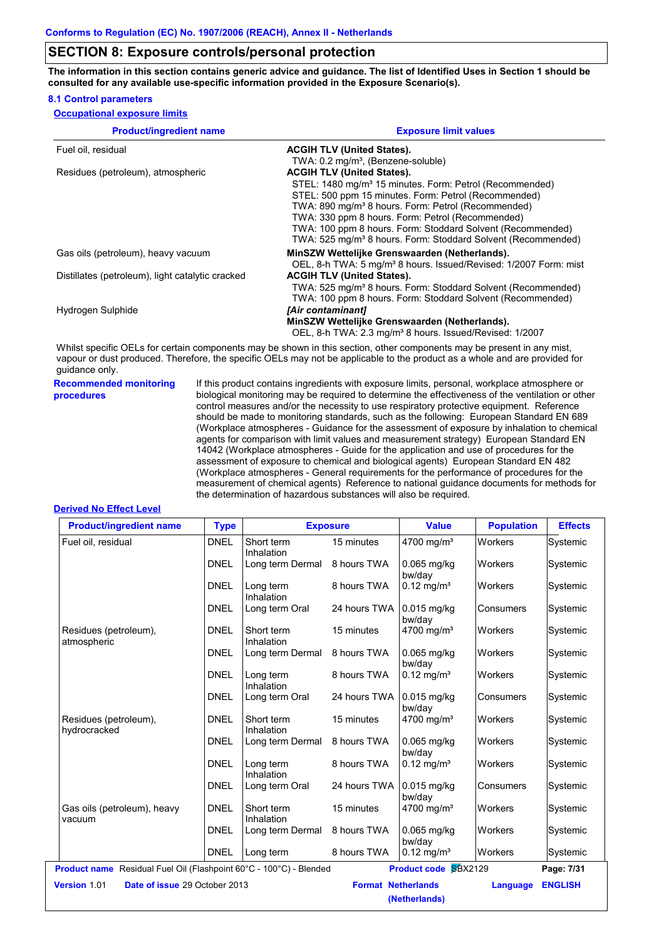**The information in this section contains generic advice and guidance. The list of Identified Uses in Section 1 should be consulted for any available use-specific information provided in the Exposure Scenario(s).**

#### **8.1 Control parameters**

| <b>Occupational exposure limits</b> |  |  |  |
|-------------------------------------|--|--|--|
|-------------------------------------|--|--|--|

| <b>Product/ingredient name</b>                   | <b>Exposure limit values</b>                                                                                           |
|--------------------------------------------------|------------------------------------------------------------------------------------------------------------------------|
| Fuel oil, residual                               | <b>ACGIH TLV (United States).</b>                                                                                      |
|                                                  | TWA: 0.2 mg/m <sup>3</sup> , (Benzene-soluble)                                                                         |
| Residues (petroleum), atmospheric                | <b>ACGIH TLV (United States).</b>                                                                                      |
|                                                  | STEL: 1480 mg/m <sup>3</sup> 15 minutes. Form: Petrol (Recommended)                                                    |
|                                                  | STEL: 500 ppm 15 minutes. Form: Petrol (Recommended)                                                                   |
|                                                  | TWA: 890 mg/m <sup>3</sup> 8 hours. Form: Petrol (Recommended)                                                         |
|                                                  | TWA: 330 ppm 8 hours. Form: Petrol (Recommended)                                                                       |
|                                                  | TWA: 100 ppm 8 hours. Form: Stoddard Solvent (Recommended)                                                             |
|                                                  | TWA: 525 mg/m <sup>3</sup> 8 hours. Form: Stoddard Solvent (Recommended)                                               |
| Gas oils (petroleum), heavy vacuum               | MinSZW Wettelijke Grenswaarden (Netherlands).                                                                          |
|                                                  | OEL, 8-h TWA: 5 mg/m <sup>3</sup> 8 hours. Issued/Revised: 1/2007 Form: mist                                           |
| Distillates (petroleum), light catalytic cracked | <b>ACGIH TLV (United States).</b>                                                                                      |
|                                                  | TWA: 525 mg/m <sup>3</sup> 8 hours. Form: Stoddard Solvent (Recommended)                                               |
|                                                  | TWA: 100 ppm 8 hours. Form: Stoddard Solvent (Recommended)                                                             |
| Hydrogen Sulphide                                | [Air contaminant]                                                                                                      |
|                                                  | MinSZW Wettelijke Grenswaarden (Netherlands).                                                                          |
|                                                  | OEL, 8-h TWA: 2.3 mg/m <sup>3</sup> 8 hours. Issued/Revised: 1/2007                                                    |
|                                                  | Whilst specific OELs for certain components may be shown in this section, other components may be present in any mist, |

Whilst specific OELs for certain components may be shown in this section, other components may be present in any mist, vapour or dust produced. Therefore, the specific OELs may not be applicable to the product as a whole and are provided for guidance only.

**Recommended monitoring procedures**

If this product contains ingredients with exposure limits, personal, workplace atmosphere or biological monitoring may be required to determine the effectiveness of the ventilation or other control measures and/or the necessity to use respiratory protective equipment. Reference should be made to monitoring standards, such as the following: European Standard EN 689 (Workplace atmospheres - Guidance for the assessment of exposure by inhalation to chemical agents for comparison with limit values and measurement strategy) European Standard EN 14042 (Workplace atmospheres - Guide for the application and use of procedures for the assessment of exposure to chemical and biological agents) European Standard EN 482 (Workplace atmospheres - General requirements for the performance of procedures for the measurement of chemical agents) Reference to national guidance documents for methods for the determination of hazardous substances will also be required.

#### **Derived No Effect Level**

| <b>Product/ingredient name</b>                                            | <b>Type</b> |                                       | <b>Exposure</b> | <b>Value</b>                | <b>Population</b> | <b>Effects</b> |
|---------------------------------------------------------------------------|-------------|---------------------------------------|-----------------|-----------------------------|-------------------|----------------|
| Fuel oil, residual                                                        | <b>DNEL</b> | Short term<br>Inhalation              | 15 minutes      | 4700 mg/m <sup>3</sup>      | Workers           | Systemic       |
|                                                                           | <b>DNEL</b> | Long term Dermal                      | 8 hours TWA     | $0.065$ mg/kg<br>bw/day     | Workers           | Systemic       |
|                                                                           | <b>DNEL</b> | Long term<br>Inhalation               | 8 hours TWA     | $0.12 \text{ mg/m}^3$       | Workers           | Systemic       |
|                                                                           | <b>DNEL</b> | Long term Oral                        | 24 hours TWA    | $0.015$ mg/kg<br>bw/day     | Consumers         | Systemic       |
| Residues (petroleum),<br>atmospheric                                      | <b>DNEL</b> | Short term<br>Inhalation              | 15 minutes      | 4700 mg/m <sup>3</sup>      | Workers           | Systemic       |
|                                                                           | <b>DNEL</b> | Long term Dermal                      | 8 hours TWA     | $0.065$ mg/kg<br>bw/day     | Workers           | Systemic       |
|                                                                           | <b>DNEL</b> | Long term<br>Inhalation               | 8 hours TWA     | $0.12$ mg/m <sup>3</sup>    | Workers           | Systemic       |
|                                                                           | <b>DNEL</b> | Long term Oral                        | 24 hours TWA    | $0.015$ mg/kg<br>bw/day     | Consumers         | Systemic       |
| Residues (petroleum),<br>hydrocracked                                     | <b>DNEL</b> | Short term<br>Inhalation              | 15 minutes      | 4700 mg/m <sup>3</sup>      | Workers           | Systemic       |
|                                                                           | <b>DNEL</b> | Long term Dermal                      | 8 hours TWA     | 0.065 mg/kg<br>bw/day       | <b>Workers</b>    | Systemic       |
|                                                                           | <b>DNEL</b> | Long term<br>Inhalation               | 8 hours TWA     | $0.12 \text{ mg/m}^3$       | Workers           | Systemic       |
|                                                                           | <b>DNEL</b> | Long term Oral                        | 24 hours TWA    | $0.015$ mg/kg<br>bw/dav     | Consumers         | Systemic       |
| Gas oils (petroleum), heavy<br>vacuum                                     | <b>DNEL</b> | Short term<br>Inhalation              | 15 minutes      | 4700 mg/m <sup>3</sup>      | Workers           | Systemic       |
|                                                                           | <b>DNEL</b> | Long term Dermal                      | 8 hours TWA     | $0.065$ mg/kg<br>bw/day     | Workers           | Systemic       |
|                                                                           | <b>DNEL</b> | Long term                             | 8 hours TWA     | $0.12$ mg/m <sup>3</sup>    | <b>Workers</b>    | Systemic       |
| <b>Product name</b> Residual Fuel Oil (Flashpoint 60°C - 100°C) - Blended |             |                                       |                 | <b>Product code SBX2129</b> |                   | Page: 7/31     |
| Version 1.01<br>Date of issue 29 October 2013                             |             | <b>Format Netherlands</b><br>Language |                 |                             | <b>ENGLISH</b>    |                |
|                                                                           |             |                                       |                 | (Netherlands)               |                   |                |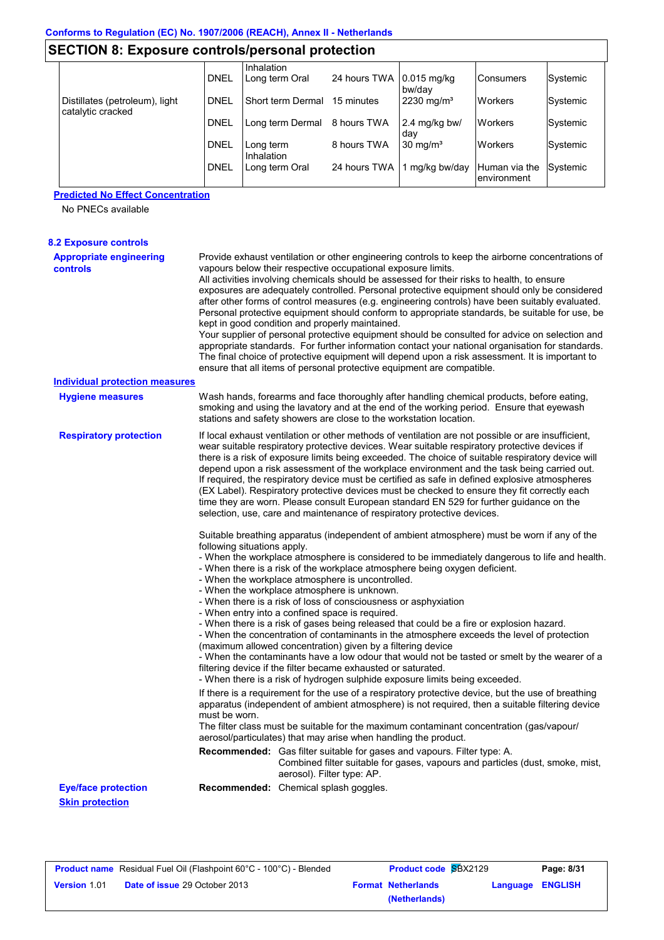| JLV HUN 0. LADUSUI 6 CUINIUIS/D61 SUHAI DI UL6CNUH  |             |                         |                           |                       |                               |          |
|-----------------------------------------------------|-------------|-------------------------|---------------------------|-----------------------|-------------------------------|----------|
|                                                     |             | Inhalation              |                           |                       |                               |          |
|                                                     | <b>DNEL</b> | Long term Oral          | 24 hours TWA 10.015 mg/kg | bw/dav                | Consumers                     | Systemic |
| Distillates (petroleum), light<br>catalytic cracked | <b>DNEL</b> | l Short term Dermal     | 15 minutes                | $2230 \text{ mg/m}^3$ | <b>Workers</b>                | Systemic |
|                                                     | <b>DNEL</b> | Long term Dermal        | 8 hours TWA               | 2.4 mg/kg bw/<br>dav  | <b>Workers</b>                | Systemic |
|                                                     | <b>DNEL</b> | Long term<br>Inhalation | 8 hours TWA               | $30 \text{ mg/m}^3$   | <b>Workers</b>                | Systemic |
|                                                     | <b>DNEL</b> | Long term Oral          | 24 hours TWA              | 1 mg/kg bw/day        | Human via the<br>lenvironment | Systemic |

#### **Predicted No Effect Concentration**

No PNECs available

| <b>8.2 Exposure controls</b>                         |                             |                                                                                                                                                                                                                                                                                                                                                                                                                                                                                                                                                                                                                                                                                                                                                                                                                                                                                                                                                                                                               |
|------------------------------------------------------|-----------------------------|---------------------------------------------------------------------------------------------------------------------------------------------------------------------------------------------------------------------------------------------------------------------------------------------------------------------------------------------------------------------------------------------------------------------------------------------------------------------------------------------------------------------------------------------------------------------------------------------------------------------------------------------------------------------------------------------------------------------------------------------------------------------------------------------------------------------------------------------------------------------------------------------------------------------------------------------------------------------------------------------------------------|
| <b>Appropriate engineering</b><br><b>controls</b>    |                             | Provide exhaust ventilation or other engineering controls to keep the airborne concentrations of<br>vapours below their respective occupational exposure limits.<br>All activities involving chemicals should be assessed for their risks to health, to ensure<br>exposures are adequately controlled. Personal protective equipment should only be considered<br>after other forms of control measures (e.g. engineering controls) have been suitably evaluated.<br>Personal protective equipment should conform to appropriate standards, be suitable for use, be<br>kept in good condition and properly maintained.<br>Your supplier of personal protective equipment should be consulted for advice on selection and<br>appropriate standards. For further information contact your national organisation for standards.<br>The final choice of protective equipment will depend upon a risk assessment. It is important to<br>ensure that all items of personal protective equipment are compatible.     |
| <b>Individual protection measures</b>                |                             |                                                                                                                                                                                                                                                                                                                                                                                                                                                                                                                                                                                                                                                                                                                                                                                                                                                                                                                                                                                                               |
| <b>Hygiene measures</b>                              |                             | Wash hands, forearms and face thoroughly after handling chemical products, before eating,<br>smoking and using the lavatory and at the end of the working period. Ensure that eyewash<br>stations and safety showers are close to the workstation location.                                                                                                                                                                                                                                                                                                                                                                                                                                                                                                                                                                                                                                                                                                                                                   |
| <b>Respiratory protection</b>                        |                             | If local exhaust ventilation or other methods of ventilation are not possible or are insufficient,<br>wear suitable respiratory protective devices. Wear suitable respiratory protective devices if<br>there is a risk of exposure limits being exceeded. The choice of suitable respiratory device will<br>depend upon a risk assessment of the workplace environment and the task being carried out.<br>If required, the respiratory device must be certified as safe in defined explosive atmospheres<br>(EX Label). Respiratory protective devices must be checked to ensure they fit correctly each<br>time they are worn. Please consult European standard EN 529 for further guidance on the<br>selection, use, care and maintenance of respiratory protective devices.                                                                                                                                                                                                                                |
|                                                      | following situations apply. | Suitable breathing apparatus (independent of ambient atmosphere) must be worn if any of the<br>- When the workplace atmosphere is considered to be immediately dangerous to life and health.<br>- When there is a risk of the workplace atmosphere being oxygen deficient.<br>- When the workplace atmosphere is uncontrolled.<br>- When the workplace atmosphere is unknown.<br>- When there is a risk of loss of consciousness or asphyxiation<br>- When entry into a confined space is required.<br>- When there is a risk of gases being released that could be a fire or explosion hazard.<br>- When the concentration of contaminants in the atmosphere exceeds the level of protection<br>(maximum allowed concentration) given by a filtering device<br>- When the contaminants have a low odour that would not be tasted or smelt by the wearer of a<br>filtering device if the filter became exhausted or saturated.<br>- When there is a risk of hydrogen sulphide exposure limits being exceeded. |
|                                                      | must be worn.               | If there is a requirement for the use of a respiratory protective device, but the use of breathing<br>apparatus (independent of ambient atmosphere) is not required, then a suitable filtering device<br>The filter class must be suitable for the maximum contaminant concentration (gas/vapour/<br>aerosol/particulates) that may arise when handling the product.                                                                                                                                                                                                                                                                                                                                                                                                                                                                                                                                                                                                                                          |
|                                                      |                             | Recommended: Gas filter suitable for gases and vapours. Filter type: A.<br>Combined filter suitable for gases, vapours and particles (dust, smoke, mist,<br>aerosol). Filter type: AP.                                                                                                                                                                                                                                                                                                                                                                                                                                                                                                                                                                                                                                                                                                                                                                                                                        |
| <b>Eye/face protection</b><br><b>Skin protection</b> |                             | Recommended: Chemical splash goggles.                                                                                                                                                                                                                                                                                                                                                                                                                                                                                                                                                                                                                                                                                                                                                                                                                                                                                                                                                                         |

|                     | <b>Product name</b> Residual Fuel Oil (Flashpoint 60°C - 100°C) - Blended | <b>Product code SBX2129</b> |                  | Page: 8/31 |
|---------------------|---------------------------------------------------------------------------|-----------------------------|------------------|------------|
| <b>Version 1.01</b> | <b>Date of issue 29 October 2013</b>                                      | <b>Format Netherlands</b>   | Language ENGLISH |            |
|                     |                                                                           | (Netherlands)               |                  |            |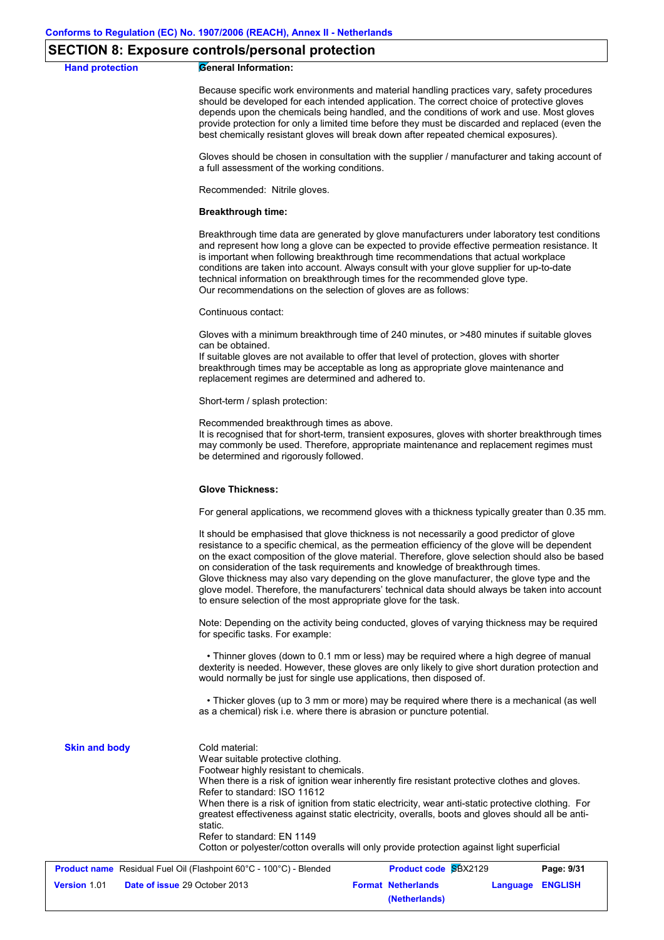### **Hand protection General Information:** Because specific work environments and material handling practices vary, safety procedures should be developed for each intended application. The correct choice of protective gloves depends upon the chemicals being handled, and the conditions of work and use. Most gloves provide protection for only a limited time before they must be discarded and replaced (even the best chemically resistant gloves will break down after repeated chemical exposures). Gloves should be chosen in consultation with the supplier / manufacturer and taking account of a full assessment of the working conditions. Recommended: Nitrile gloves. **Breakthrough time:** Breakthrough time data are generated by glove manufacturers under laboratory test conditions and represent how long a glove can be expected to provide effective permeation resistance. It is important when following breakthrough time recommendations that actual workplace conditions are taken into account. Always consult with your glove supplier for up-to-date technical information on breakthrough times for the recommended glove type. Our recommendations on the selection of gloves are as follows: Continuous contact: Gloves with a minimum breakthrough time of 240 minutes, or >480 minutes if suitable gloves can be obtained. If suitable gloves are not available to offer that level of protection, gloves with shorter breakthrough times may be acceptable as long as appropriate glove maintenance and replacement regimes are determined and adhered to. Short-term / splash protection: Recommended breakthrough times as above. It is recognised that for short-term, transient exposures, gloves with shorter breakthrough times may commonly be used. Therefore, appropriate maintenance and replacement regimes must be determined and rigorously followed. **Glove Thickness:** For general applications, we recommend gloves with a thickness typically greater than 0.35 mm. It should be emphasised that glove thickness is not necessarily a good predictor of glove resistance to a specific chemical, as the permeation efficiency of the glove will be dependent on the exact composition of the glove material. Therefore, glove selection should also be based on consideration of the task requirements and knowledge of breakthrough times. Glove thickness may also vary depending on the glove manufacturer, the glove type and the glove model. Therefore, the manufacturers' technical data should always be taken into account to ensure selection of the most appropriate glove for the task. Note: Depending on the activity being conducted, gloves of varying thickness may be required for specific tasks. For example: • Thinner gloves (down to 0.1 mm or less) may be required where a high degree of manual dexterity is needed. However, these gloves are only likely to give short duration protection and would normally be just for single use applications, then disposed of. • Thicker gloves (up to 3 mm or more) may be required where there is a mechanical (as well as a chemical) risk i.e. where there is abrasion or puncture potential. Cold material: Wear suitable protective clothing. Footwear highly resistant to chemicals. **Skin and body**

When there is a risk of ignition wear inherently fire resistant protective clothes and gloves. Refer to standard: ISO 11612 When there is a risk of ignition from static electricity, wear anti-static protective clothing. For greatest effectiveness against static electricity, overalls, boots and gloves should all be antistatic. Refer to standard: EN 1149

Cotton or polyester/cotton overalls will only provide protection against light superficial

|                     | <b>Product name</b> Residual Fuel Oil (Flashpoint 60°C - 100°C) - Blended | <b>Product code SBX2129</b> |                         | Page: 9/31 |
|---------------------|---------------------------------------------------------------------------|-----------------------------|-------------------------|------------|
| <b>Version 1.01</b> | <b>Date of issue 29 October 2013</b>                                      | <b>Format Netherlands</b>   | <b>Language ENGLISH</b> |            |
|                     |                                                                           | (Netherlands)               |                         |            |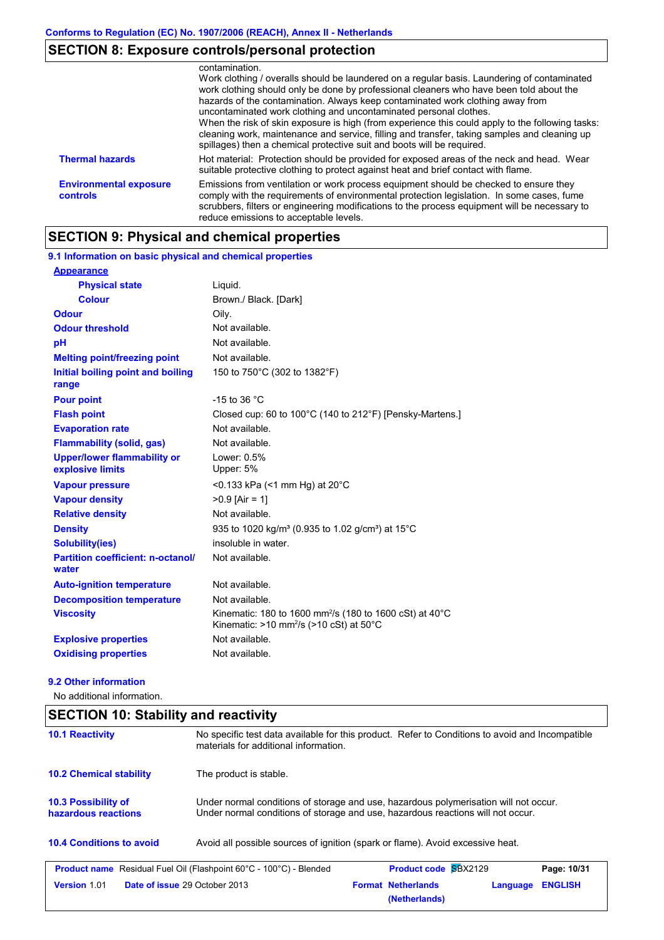|                                           | contamination.<br>Work clothing / overalls should be laundered on a regular basis. Laundering of contaminated<br>work clothing should only be done by professional cleaners who have been told about the<br>hazards of the contamination. Always keep contaminated work clothing away from<br>uncontaminated work clothing and uncontaminated personal clothes.<br>When the risk of skin exposure is high (from experience this could apply to the following tasks:<br>cleaning work, maintenance and service, filling and transfer, taking samples and cleaning up<br>spillages) then a chemical protective suit and boots will be required. |
|-------------------------------------------|-----------------------------------------------------------------------------------------------------------------------------------------------------------------------------------------------------------------------------------------------------------------------------------------------------------------------------------------------------------------------------------------------------------------------------------------------------------------------------------------------------------------------------------------------------------------------------------------------------------------------------------------------|
| <b>Thermal hazards</b>                    | Hot material: Protection should be provided for exposed areas of the neck and head. Wear<br>suitable protective clothing to protect against heat and brief contact with flame.                                                                                                                                                                                                                                                                                                                                                                                                                                                                |
| <b>Environmental exposure</b><br>controls | Emissions from ventilation or work process equipment should be checked to ensure they<br>comply with the requirements of environmental protection legislation. In some cases, fume<br>scrubbers, filters or engineering modifications to the process equipment will be necessary to<br>reduce emissions to acceptable levels.                                                                                                                                                                                                                                                                                                                 |

# **SECTION 9: Physical and chemical properties**

#### 150 to 750°C (302 to 1382°F) **Physical state Melting point/freezing point Initial boiling point and boiling range Vapour pressure Relative density Vapour density** Liquid. Not available. Not available. >0.9 [Air = 1] <0.133 kPa (<1 mm Hg) at 20°C **Odour** Oily. **pH Colour** Brown./ Black. [Dark] **Evaporation rate** Not available. **Auto-ignition temperature Flash point** Not available. Closed cup: 60 to 100°C (140 to 212°F) [Pensky-Martens.] Lower: 0.5% Upper: 5% Not available. Not available. Not available. **Viscosity** Minematic: 180 to 1600 mm<sup>2</sup>/s (180 to 1600 cSt) at 40°C Kinematic: >10 mm<sup>2</sup>/s (>10 cSt) at 50°C **Odour threshold** Not available. **Partition coefficient: n-octanol/ water Upper/lower flammability or explosive limits Explosive properties Oxidising properties** Not available. **9.1 Information on basic physical and chemical properties Appearance Decomposition temperature** Not available. **Flammability (solid, gas)** Not available. **Pour point**  $-15$  to 36 °C **Density** 935 to 1020 kg/m<sup>3</sup> (0.935 to 1.02 g/cm<sup>3</sup>) at 15°C **Solubility(ies)** insoluble in water.

#### **9.2 Other information**

No additional information.

#### **SECTION 10: Stability and reactivity**

| <b>10.1 Reactivity</b>                            | materials for additional information.                                                                                                                                   | No specific test data available for this product. Refer to Conditions to avoid and Incompatible |                |  |  |  |  |  |  |
|---------------------------------------------------|-------------------------------------------------------------------------------------------------------------------------------------------------------------------------|-------------------------------------------------------------------------------------------------|----------------|--|--|--|--|--|--|
| <b>10.2 Chemical stability</b>                    | The product is stable.                                                                                                                                                  |                                                                                                 |                |  |  |  |  |  |  |
| <b>10.3 Possibility of</b><br>hazardous reactions | Under normal conditions of storage and use, hazardous polymerisation will not occur.<br>Under normal conditions of storage and use, hazardous reactions will not occur. |                                                                                                 |                |  |  |  |  |  |  |
| <b>10.4 Conditions to avoid</b>                   | Avoid all possible sources of ignition (spark or flame). Avoid excessive heat.                                                                                          |                                                                                                 |                |  |  |  |  |  |  |
|                                                   | <b>Product name</b> Residual Fuel Oil (Flashpoint 60°C - 100°C) - Blended                                                                                               | <b>Product code SBX2129</b>                                                                     | Page: 10/31    |  |  |  |  |  |  |
| Version 1.01<br>Date of issue 29 October 2013     |                                                                                                                                                                         | <b>Format Netherlands</b><br>Language<br>(Netherlands)                                          | <b>ENGLISH</b> |  |  |  |  |  |  |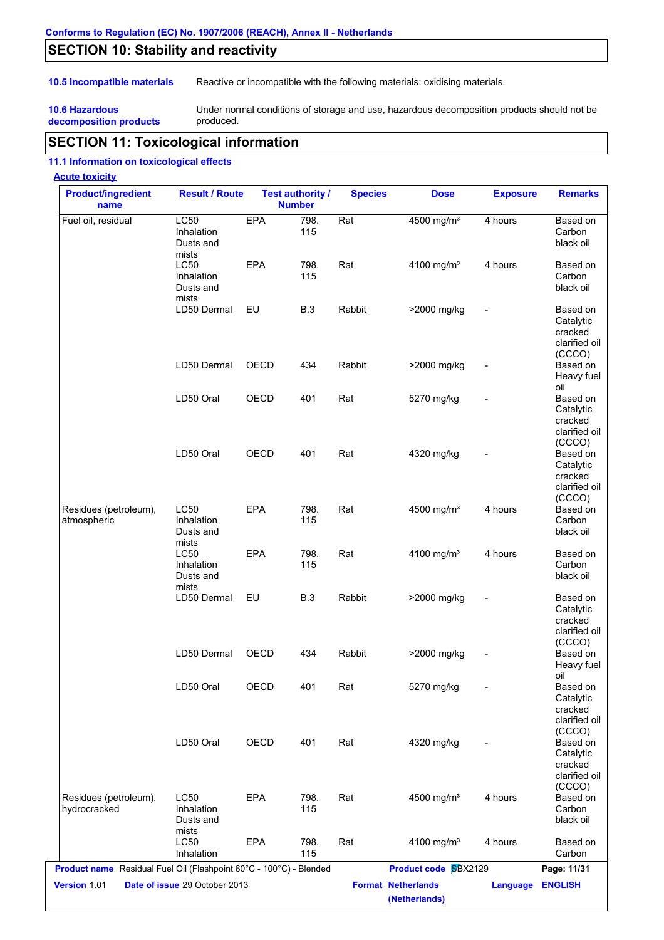# **SECTION 10: Stability and reactivity**

**10.5 Incompatible materials** Reactive or incompatible with the following materials: oxidising materials.

**10.6 Hazardous decomposition products** Under normal conditions of storage and use, hazardous decomposition products should not be produced.

# **SECTION 11: Toxicological information**

#### **11.1 Information on toxicological effects**

#### **Acute toxicity**

| <b>Product/ingredient</b><br>name                                  | <b>Result / Route</b>                           |            | <b>Test authority /</b><br><b>Number</b> | <b>Species</b> | <b>Dose</b>                                | <b>Exposure</b> | <b>Remarks</b>                                                        |
|--------------------------------------------------------------------|-------------------------------------------------|------------|------------------------------------------|----------------|--------------------------------------------|-----------------|-----------------------------------------------------------------------|
| Fuel oil, residual                                                 | LC50<br>Inhalation<br>Dusts and<br>mists        | EPA        | 798.<br>115                              | Rat            | 4500 mg/m <sup>3</sup>                     | 4 hours         | Based on<br>Carbon<br>black oil                                       |
|                                                                    | <b>LC50</b><br>Inhalation<br>Dusts and<br>mists | <b>EPA</b> | 798.<br>115                              | Rat            | 4100 mg/m <sup>3</sup>                     | 4 hours         | Based on<br>Carbon<br>black oil                                       |
|                                                                    | LD50 Dermal                                     | EU         | <b>B.3</b>                               | Rabbit         | >2000 mg/kg                                |                 | Based on<br>Catalytic<br>cracked<br>clarified oil<br>(CCCO)           |
|                                                                    | LD50 Dermal                                     | OECD       | 434                                      | Rabbit         | >2000 mg/kg                                |                 | Based on<br>Heavy fuel<br>oil                                         |
|                                                                    | LD50 Oral                                       | OECD       | 401                                      | Rat            | 5270 mg/kg                                 |                 | Based on<br>Catalytic<br>cracked<br>clarified oil                     |
|                                                                    | LD50 Oral                                       | OECD       | 401                                      | Rat            | 4320 mg/kg                                 |                 | (CCCO)<br>Based on<br>Catalytic<br>cracked<br>clarified oil<br>(CCCO) |
| Residues (petroleum),<br>atmospheric                               | <b>LC50</b><br>Inhalation<br>Dusts and<br>mists | <b>EPA</b> | 798.<br>115                              | Rat            | 4500 mg/m <sup>3</sup>                     | 4 hours         | Based on<br>Carbon<br>black oil                                       |
|                                                                    | <b>LC50</b><br>Inhalation<br>Dusts and<br>mists | <b>EPA</b> | 798.<br>115                              | Rat            | 4100 mg/m <sup>3</sup>                     | 4 hours         | Based on<br>Carbon<br>black oil                                       |
|                                                                    | LD50 Dermal                                     | EU         | <b>B.3</b>                               | Rabbit         | >2000 mg/kg                                |                 | Based on<br>Catalytic<br>cracked<br>clarified oil<br>(CCCO)           |
|                                                                    | LD50 Dermal                                     | OECD       | 434                                      | Rabbit         | >2000 mg/kg                                |                 | Based on<br>Heavy fuel<br>oil                                         |
|                                                                    | LD50 Oral                                       | OECD       | 401                                      | Rat            | 5270 mg/kg                                 |                 | Based on<br>Catalytic<br>cracked<br>clarified oil<br>(CCCO)           |
|                                                                    | LD50 Oral                                       | OECD       | 401                                      | Rat            | 4320 mg/kg                                 |                 | Based on<br>Catalytic<br>cracked<br>clarified oil<br>(CCCO)           |
| Residues (petroleum),<br>hydrocracked                              | <b>LC50</b><br>Inhalation<br>Dusts and<br>mists | EPA        | 798.<br>115                              | Rat            | 4500 mg/m <sup>3</sup>                     | 4 hours         | Based on<br>Carbon<br>black oil                                       |
|                                                                    | <b>LC50</b><br>Inhalation                       | EPA        | 798.<br>115                              | Rat            | 4100 mg/m <sup>3</sup>                     | 4 hours         | Based on<br>Carbon                                                    |
| Product name Residual Fuel Oil (Flashpoint 60°C - 100°C) - Blended |                                                 |            |                                          |                | Product code SBX2129                       |                 | Page: 11/31                                                           |
| Version 1.01                                                       | Date of issue 29 October 2013                   |            |                                          |                | <b>Format Netherlands</b><br>(Netherlands) | <b>Language</b> | <b>ENGLISH</b>                                                        |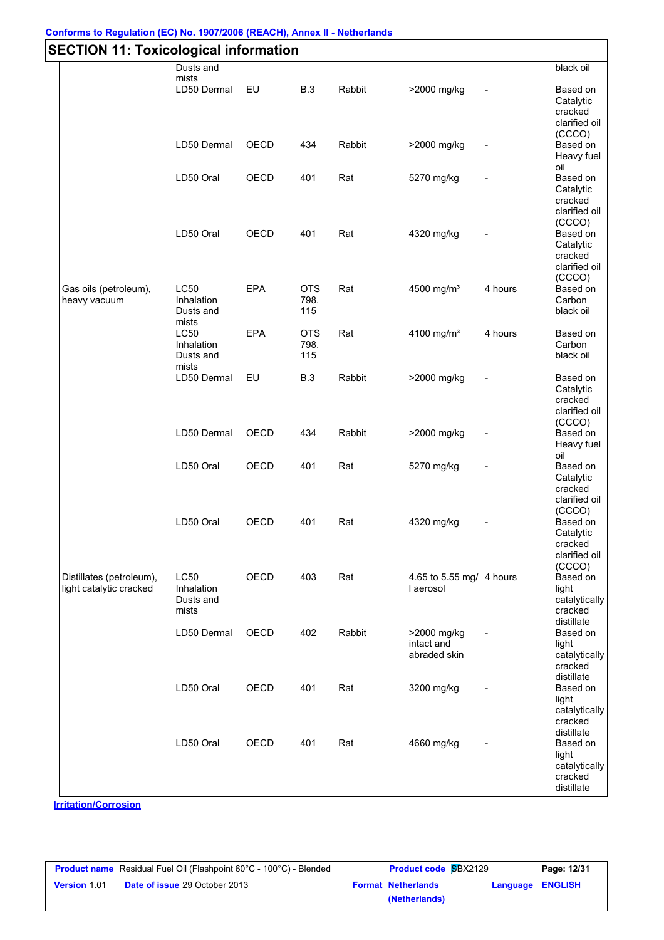#### **Conforms to Regulation (EC) No. 1907/2006 (REACH), Annex II - Netherlands**

| <b>SECTION 11: Toxicological information</b>        |                                                 |             |                           |        |                                           |         |                                                                           |  |  |
|-----------------------------------------------------|-------------------------------------------------|-------------|---------------------------|--------|-------------------------------------------|---------|---------------------------------------------------------------------------|--|--|
|                                                     | Dusts and<br>mists                              |             |                           |        |                                           |         | black oil                                                                 |  |  |
|                                                     | LD50 Dermal                                     | EU          | <b>B.3</b>                | Rabbit | >2000 mg/kg                               |         | Based on<br>Catalytic<br>cracked<br>clarified oil<br>(CCCO)               |  |  |
|                                                     | LD50 Dermal                                     | OECD        | 434                       | Rabbit | >2000 mg/kg                               |         | Based on<br>Heavy fuel<br>oil                                             |  |  |
|                                                     | LD50 Oral                                       | OECD        | 401                       | Rat    | 5270 mg/kg                                |         | Based on<br>Catalytic<br>cracked<br>clarified oil                         |  |  |
|                                                     | LD50 Oral                                       | OECD        | 401                       | Rat    | 4320 mg/kg                                |         | (CCCO)<br>Based on<br>Catalytic<br>cracked<br>clarified oil<br>(CCCO)     |  |  |
| Gas oils (petroleum),<br>heavy vacuum               | <b>LC50</b><br>Inhalation<br>Dusts and<br>mists | <b>EPA</b>  | <b>OTS</b><br>798.<br>115 | Rat    | 4500 mg/m <sup>3</sup>                    | 4 hours | Based on<br>Carbon<br>black oil                                           |  |  |
|                                                     | LC50<br>Inhalation<br>Dusts and<br>mists        | <b>EPA</b>  | <b>OTS</b><br>798.<br>115 | Rat    | 4100 mg/m <sup>3</sup>                    | 4 hours | Based on<br>Carbon<br>black oil                                           |  |  |
|                                                     | LD50 Dermal                                     | EU          | <b>B.3</b>                | Rabbit | >2000 mg/kg                               |         | Based on<br>Catalytic<br>cracked<br>clarified oil<br>(CCCO)               |  |  |
|                                                     | LD50 Dermal                                     | OECD        | 434                       | Rabbit | >2000 mg/kg                               |         | Based on<br>Heavy fuel<br>oil                                             |  |  |
|                                                     | LD50 Oral                                       | OECD        | 401                       | Rat    | 5270 mg/kg                                |         | Based on<br>Catalytic<br>cracked<br>clarified oil<br>(CCCO)               |  |  |
|                                                     | LD50 Oral                                       | <b>OECD</b> | 401                       | Rat    | 4320 mg/kg                                |         | Based on<br>Catalytic<br>cracked<br>clarified oil<br>(CCCO)               |  |  |
| Distillates (petroleum),<br>light catalytic cracked | <b>LC50</b><br>Inhalation<br>Dusts and<br>mists | OECD        | 403                       | Rat    | 4.65 to 5.55 mg/ 4 hours<br>I aerosol     |         | Based on<br>light<br>catalytically<br>cracked<br>distillate               |  |  |
|                                                     | LD50 Dermal                                     | OECD        | 402                       | Rabbit | >2000 mg/kg<br>intact and<br>abraded skin |         | Based on<br>light<br>catalytically<br>cracked                             |  |  |
|                                                     | LD50 Oral                                       | OECD        | 401                       | Rat    | 3200 mg/kg                                |         | distillate<br>Based on<br>light<br>catalytically<br>cracked               |  |  |
|                                                     | LD50 Oral                                       | OECD        | 401                       | Rat    | 4660 mg/kg                                |         | distillate<br>Based on<br>light<br>catalytically<br>cracked<br>distillate |  |  |

**Product name** Residual Fuel Oil (Flashpoint 60°C - 100°C) - Blended **Product code S**BX2129 **Page: 12/31** | **Version** 1.01 **Date of issue** 29 October 2013 **Format Netherlands Language ENGLISH (Netherlands)**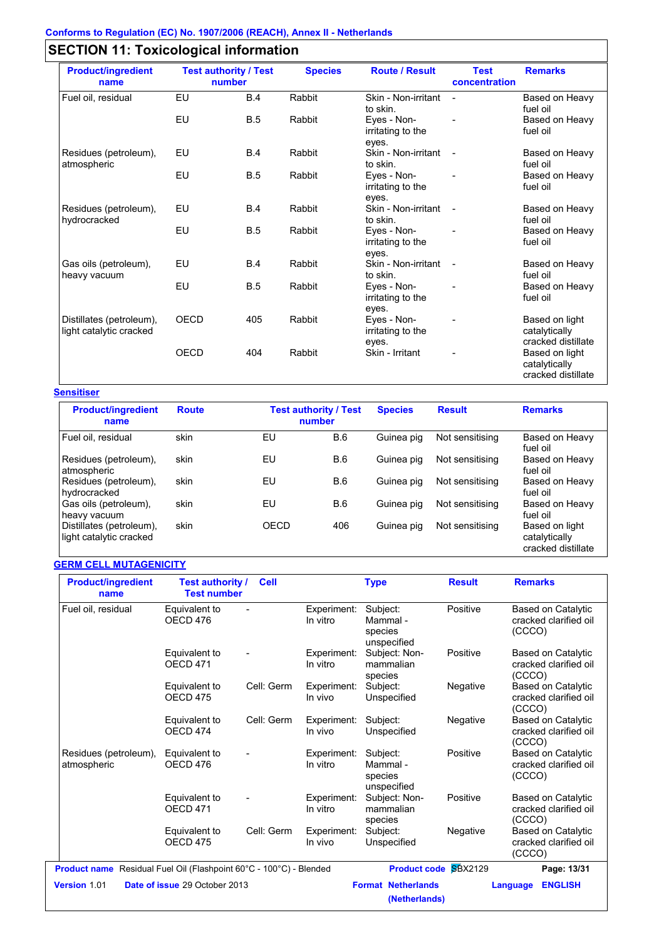# **SECTION 11: Toxicological information**

| <b>Product/ingredient</b><br>name                   | <b>Test authority / Test</b><br>number |            | <b>Species</b> | <b>Route / Result</b>                     | <b>Test</b><br>concentration | <b>Remarks</b>                                        |
|-----------------------------------------------------|----------------------------------------|------------|----------------|-------------------------------------------|------------------------------|-------------------------------------------------------|
| Fuel oil, residual                                  | <b>B.4</b><br>EU                       |            | Rabbit         | Skin - Non-irritant<br>to skin.           | $\blacksquare$               | Based on Heavy<br>fuel oil                            |
|                                                     | EU                                     | <b>B.5</b> | Rabbit         | Eves - Non-<br>irritating to the<br>eyes. |                              | Based on Heavy<br>fuel oil                            |
| Residues (petroleum),<br>atmospheric                | EU                                     | B.4        | Rabbit         | Skin - Non-irritant<br>to skin.           | $\overline{\phantom{a}}$     | Based on Heavy<br>fuel oil                            |
|                                                     | EU                                     | B.5        | Rabbit         | Eyes - Non-<br>irritating to the<br>eyes. |                              | Based on Heavy<br>fuel oil                            |
| Residues (petroleum),<br>hydrocracked               | EU                                     | B.4        | Rabbit         | Skin - Non-irritant<br>to skin.           |                              | Based on Heavy<br>fuel oil                            |
|                                                     | EU                                     | <b>B.5</b> | Rabbit         | Eves - Non-<br>irritating to the<br>eyes. |                              | Based on Heavy<br>fuel oil                            |
| Gas oils (petroleum),<br>heavy vacuum               | EU                                     | <b>B.4</b> | Rabbit         | Skin - Non-irritant<br>to skin.           | $\overline{\phantom{a}}$     | Based on Heavy<br>fuel oil                            |
|                                                     | EU                                     | <b>B.5</b> | Rabbit         | Eyes - Non-<br>irritating to the<br>eyes. |                              | Based on Heavy<br>fuel oil                            |
| Distillates (petroleum),<br>light catalytic cracked | OECD                                   | 405        | Rabbit         | Eyes - Non-<br>irritating to the<br>eyes. |                              | Based on light<br>catalytically<br>cracked distillate |
|                                                     | <b>OECD</b>                            | 404        | Rabbit         | Skin - Irritant                           |                              | Based on light<br>catalytically<br>cracked distillate |

#### **Sensitiser**

| <b>Product/ingredient</b><br>name                   | <b>Route</b> |      | <b>Test authority / Test</b><br>number |            | <b>Result</b>   | <b>Remarks</b>                                        |  |
|-----------------------------------------------------|--------------|------|----------------------------------------|------------|-----------------|-------------------------------------------------------|--|
| Fuel oil, residual                                  | skin         | EU   | B.6                                    | Guinea pig | Not sensitising | Based on Heavy<br>fuel oil                            |  |
| Residues (petroleum),<br>atmospheric                | skin         | EU   | B.6                                    | Guinea pig | Not sensitising | Based on Heavy<br>fuel oil                            |  |
| Residues (petroleum),<br>hydrocracked               | skin         | EU   | B.6                                    | Guinea pig | Not sensitising | Based on Heavy<br>fuel oil                            |  |
| Gas oils (petroleum),<br>heavy vacuum               | skin         | EU   | B.6                                    | Guinea pig | Not sensitising | Based on Heavy<br>fuel oil                            |  |
| Distillates (petroleum),<br>light catalytic cracked | skin         | OECD | 406                                    | Guinea pig | Not sensitising | Based on light<br>catalytically<br>cracked distillate |  |

#### **GERM CELL MUTAGENICITY**

| <b>Product/ingredient</b><br>name                                  | <b>Test authority /</b><br><b>Test number</b> | <b>Cell</b> |                         | <b>Type</b>                                    | <b>Result</b>               | <b>Remarks</b>                                               |
|--------------------------------------------------------------------|-----------------------------------------------|-------------|-------------------------|------------------------------------------------|-----------------------------|--------------------------------------------------------------|
| Fuel oil, residual                                                 | Equivalent to<br>OECD 476                     |             | Experiment:<br>In vitro | Subject:<br>Mammal -<br>species<br>unspecified | Positive                    | <b>Based on Catalytic</b><br>cracked clarified oil<br>(CCCO) |
|                                                                    | Equivalent to<br><b>OECD 471</b>              |             | Experiment:<br>In vitro | Subject: Non-<br>mammalian<br>species          | Positive                    | <b>Based on Catalytic</b><br>cracked clarified oil<br>(CCCO) |
|                                                                    | Equivalent to<br>OECD <sub>475</sub>          | Cell: Germ  | Experiment:<br>In vivo  | Subject:<br>Unspecified                        | Negative                    | <b>Based on Catalytic</b><br>cracked clarified oil<br>(CCCO) |
|                                                                    | Equivalent to<br>OECD <sub>474</sub>          | Cell: Germ  | Experiment:<br>In vivo  | Subject:<br>Unspecified                        | Negative                    | <b>Based on Catalytic</b><br>cracked clarified oil<br>(CCCO) |
| Residues (petroleum),<br>atmospheric                               | Equivalent to<br>OECD 476                     |             | Experiment:<br>In vitro | Subject:<br>Mammal -<br>species<br>unspecified | Positive                    | <b>Based on Catalytic</b><br>cracked clarified oil<br>(CCCO) |
|                                                                    | Equivalent to<br>OECD <sub>471</sub>          |             | Experiment:<br>In vitro | Subject: Non-<br>mammalian<br>species          | Positive                    | <b>Based on Catalytic</b><br>cracked clarified oil<br>(CCCO) |
|                                                                    | Equivalent to<br>OECD <sub>475</sub>          | Cell: Germ  | Experiment:<br>In vivo  | Subject:<br>Unspecified                        | Negative                    | <b>Based on Catalytic</b><br>cracked clarified oil<br>(CCCO) |
| Product name Residual Fuel Oil (Flashpoint 60°C - 100°C) - Blended |                                               |             |                         |                                                | <b>Product code SBX2129</b> | Page: 13/31                                                  |
| Version 1.01                                                       | Date of issue 29 October 2013                 |             |                         | <b>Format Netherlands</b><br>(Netherlands)     |                             | <b>ENGLISH</b><br>Language                                   |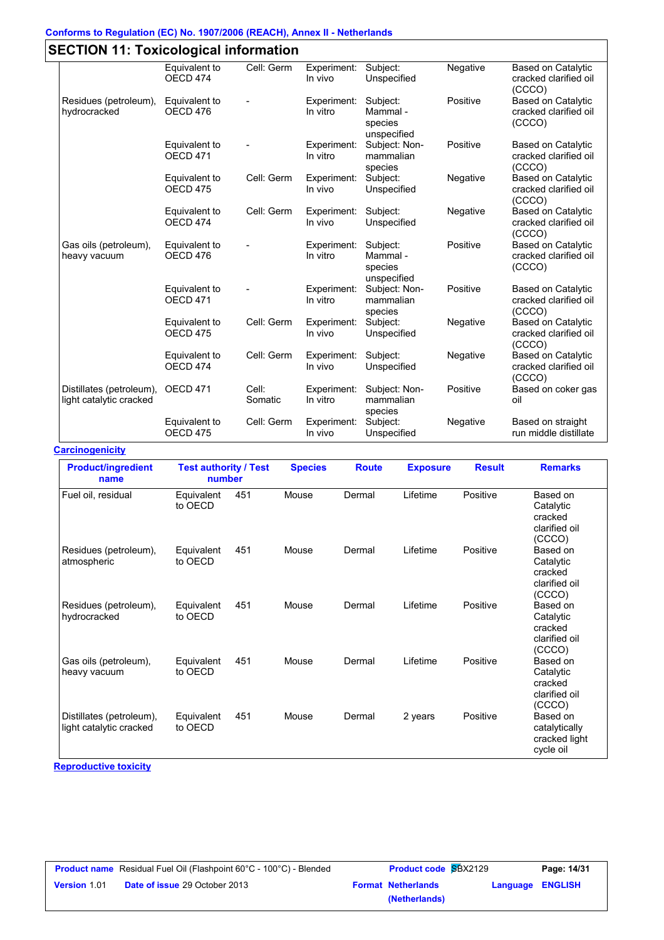#### **Conforms to Regulation (EC) No. 1907/2006 (REACH), Annex II - Netherlands**

|                                                     | Equivalent to                        | Cell: Germ       | Experiment:             | Subject:                                       | Negative | <b>Based on Catalytic</b>                                    |
|-----------------------------------------------------|--------------------------------------|------------------|-------------------------|------------------------------------------------|----------|--------------------------------------------------------------|
|                                                     | OECD <sub>474</sub>                  |                  | In vivo                 | Unspecified                                    |          | cracked clarified oil<br>(CCCO)                              |
| Residues (petroleum),<br>hydrocracked               | Equivalent to<br>OECD 476            |                  | Experiment:<br>In vitro | Subject:<br>Mammal -<br>species<br>unspecified | Positive | <b>Based on Catalytic</b><br>cracked clarified oil<br>(CCCO) |
|                                                     | Equivalent to<br>OECD <sub>471</sub> |                  | Experiment:<br>In vitro | Subject: Non-<br>mammalian<br>species          | Positive | <b>Based on Catalytic</b><br>cracked clarified oil<br>(CCCO) |
|                                                     | Equivalent to<br>OECD <sub>475</sub> | Cell: Germ       | Experiment:<br>In vivo  | Subject:<br>Unspecified                        | Negative | <b>Based on Catalytic</b><br>cracked clarified oil<br>(CCCO) |
|                                                     | Equivalent to<br>OECD <sub>474</sub> | Cell: Germ       | Experiment:<br>In vivo  | Subject:<br>Unspecified                        | Negative | <b>Based on Catalytic</b><br>cracked clarified oil<br>(CCCO) |
| Gas oils (petroleum),<br>heavy vacuum               | Equivalent to<br>OECD 476            |                  | Experiment:<br>In vitro | Subject:<br>Mammal -<br>species<br>unspecified | Positive | <b>Based on Catalytic</b><br>cracked clarified oil<br>(CCCO) |
|                                                     | Equivalent to<br>OECD <sub>471</sub> |                  | Experiment:<br>In vitro | Subject: Non-<br>mammalian<br>species          | Positive | <b>Based on Catalytic</b><br>cracked clarified oil<br>(CCCO) |
|                                                     | Equivalent to<br>OECD <sub>475</sub> | Cell: Germ       | Experiment:<br>In vivo  | Subject:<br>Unspecified                        | Negative | <b>Based on Catalytic</b><br>cracked clarified oil<br>(CCCO) |
|                                                     | Equivalent to<br>OECD 474            | Cell: Germ       | Experiment:<br>In vivo  | Subject:<br>Unspecified                        | Negative | <b>Based on Catalytic</b><br>cracked clarified oil<br>(CCCO) |
| Distillates (petroleum),<br>light catalytic cracked | OECD 471                             | Cell:<br>Somatic | Experiment:<br>In vitro | Subject: Non-<br>mammalian<br>species          | Positive | Based on coker gas<br>oil                                    |
|                                                     | Equivalent to<br>OECD <sub>475</sub> | Cell: Germ       | Experiment:<br>In vivo  | Subject:<br>Unspecified                        | Negative | Based on straight<br>run middle distillate                   |

**Carcinogenicity** Fuel oil, residual Equivalent 451 to OECD Mouse Dermal Lifetime Positive Based on **Catalytic** cracked clarified oil (CCCO) Residues (petroleum), atmospheric Equivalent 451 to OECD Mouse Dermal Lifetime Positive Based on **Catalytic** cracked clarified oil (CCCO) Residues (petroleum), hydrocracked Equivalent 451 to OECD Mouse Dermal Lifetime Positive Based on **Catalytic** cracked clarified oil (CCCO) Gas oils (petroleum), heavy vacuum Equivalent 451 to OECD Mouse Dermal Lifetime Positive Based on **Catalytic** cracked clarified oil (CCCO) Distillates (petroleum), light catalytic cracked Equivalent 451 to OECD Mouse Dermal 2 years Positive Based on catalytically cracked light cycle oil **Product/ingredient name Test authority / Test number Species Exposure Result Route Remarks**

**Reproductive toxicity**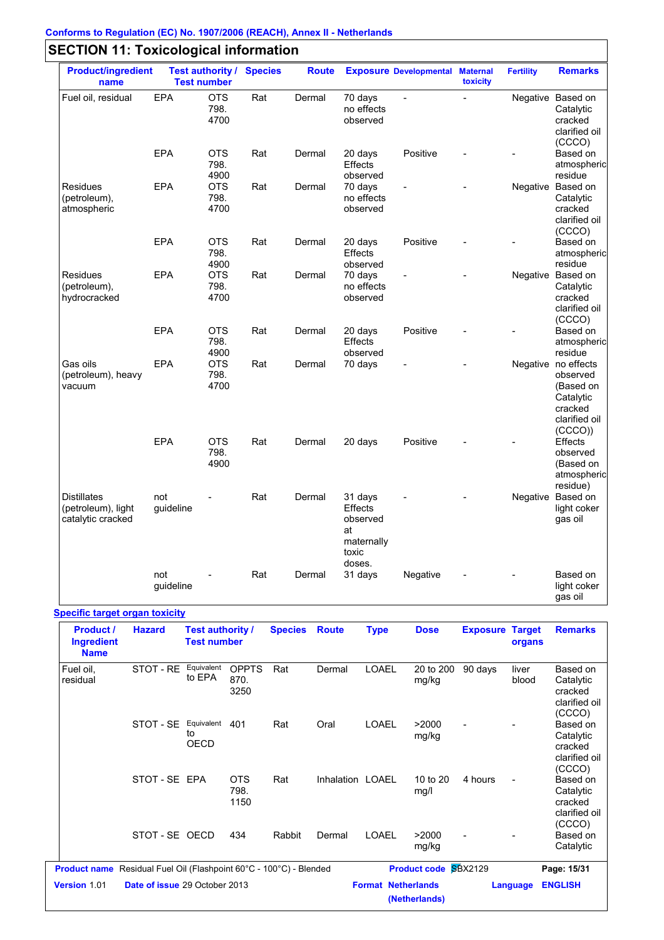| <b>Product/ingredient</b><br>name                             |                  | <b>Test number</b>         | <b>Test authority / Species</b> | <b>Route</b> |                                                                       | <b>Exposure Developmental Maternal</b> | toxicity       | <b>Fertility</b> | <b>Remarks</b>                                                                                  |
|---------------------------------------------------------------|------------------|----------------------------|---------------------------------|--------------|-----------------------------------------------------------------------|----------------------------------------|----------------|------------------|-------------------------------------------------------------------------------------------------|
| Fuel oil, residual                                            | <b>EPA</b>       | <b>OTS</b><br>798.<br>4700 | Rat                             | Dermal       | 70 days<br>no effects<br>observed                                     | $\overline{a}$                         | $\overline{a}$ |                  | Negative Based on<br>Catalytic<br>cracked<br>clarified oil<br>(CCCO)                            |
|                                                               | EPA              | <b>OTS</b><br>798.<br>4900 | Rat                             | Dermal       | 20 days<br><b>Effects</b><br>observed                                 | Positive                               |                |                  | Based on<br>atmospheric<br>residue                                                              |
| <b>Residues</b><br>(petroleum),<br>atmospheric                | EPA              | <b>OTS</b><br>798.<br>4700 | Rat                             | Dermal       | 70 days<br>no effects<br>observed                                     |                                        |                |                  | Negative Based on<br>Catalytic<br>cracked<br>clarified oil<br>(CCCO)                            |
|                                                               | <b>EPA</b>       | <b>OTS</b><br>798.<br>4900 | Rat                             | Dermal       | 20 days<br>Effects<br>observed                                        | Positive                               |                |                  | Based on<br>atmospheric<br>residue                                                              |
| Residues<br>(petroleum),<br>hydrocracked                      | <b>EPA</b>       | <b>OTS</b><br>798.<br>4700 | Rat                             | Dermal       | 70 days<br>no effects<br>observed                                     |                                        |                |                  | Negative Based on<br>Catalytic<br>cracked<br>clarified oil<br>(CCCO)                            |
|                                                               | EPA              | <b>OTS</b><br>798.<br>4900 | Rat                             | Dermal       | 20 days<br><b>Effects</b><br>observed                                 | Positive                               |                |                  | Based on<br>atmospheric<br>residue                                                              |
| Gas oils<br>(petroleum), heavy<br>vacuum                      | <b>EPA</b>       | <b>OTS</b><br>798.<br>4700 | Rat                             | Dermal       | 70 days                                                               | $\overline{a}$                         |                |                  | Negative no effects<br>observed<br>(Based on<br>Catalytic<br>cracked<br>clarified oil<br>(CCCO) |
|                                                               | EPA              | <b>OTS</b><br>798.<br>4900 | Rat                             | Dermal       | 20 days                                                               | Positive                               |                |                  | <b>Effects</b><br>observed<br>(Based on<br>atmospheric<br>residue)                              |
| <b>Distillates</b><br>(petroleum), light<br>catalytic cracked | not<br>guideline |                            | Rat                             | Dermal       | 31 days<br>Effects<br>observed<br>at<br>maternally<br>toxic<br>doses. |                                        |                |                  | Negative Based on<br>light coker<br>gas oil                                                     |
|                                                               | not<br>guideline |                            | Rat                             | Dermal       | 31 days                                                               | Negative                               |                |                  | Based on<br>light coker<br>gas oil                                                              |

#### **Specific target organ toxicity**

| <b>Product /</b><br><b>Ingredient</b><br><b>Name</b> | <b>Hazard</b>                                                             | Test authority /<br><b>Test number</b> |                              | <b>Species</b> | <b>Route</b>     | <b>Type</b>               | <b>Dose</b>                 | <b>Exposure Target</b> | organs         | <b>Remarks</b>                                              |
|------------------------------------------------------|---------------------------------------------------------------------------|----------------------------------------|------------------------------|----------------|------------------|---------------------------|-----------------------------|------------------------|----------------|-------------------------------------------------------------|
| Fuel oil,<br>residual                                | STOT - RE                                                                 | Equivalent<br>to EPA                   | <b>OPPTS</b><br>870.<br>3250 | Rat            | Dermal           | <b>LOAEL</b>              | 20 to 200<br>mg/kg          | 90 days                | liver<br>blood | Based on<br>Catalytic<br>cracked<br>clarified oil<br>(CCCO) |
|                                                      | STOT - SE                                                                 | Equivalent<br>to<br><b>OECD</b>        | 401                          | Rat            | Oral             | <b>LOAEL</b>              | >2000<br>mg/kg              |                        | $\blacksquare$ | Based on<br>Catalytic<br>cracked<br>clarified oil<br>(CCCO) |
|                                                      | STOT-SE EPA                                                               |                                        | <b>OTS</b><br>798.<br>1150   | Rat            | Inhalation LOAEL |                           | 10 to 20<br>mg/l            | 4 hours                |                | Based on<br>Catalytic<br>cracked<br>clarified oil<br>(CCCO) |
|                                                      | STOT-SE OECD                                                              |                                        | 434                          | Rabbit         | Dermal           | <b>LOAEL</b>              | >2000<br>mg/kg              |                        |                | Based on<br>Catalytic                                       |
|                                                      | <b>Product name</b> Residual Fuel Oil (Flashpoint 60°C - 100°C) - Blended |                                        |                              |                |                  |                           | <b>Product code SBX2129</b> |                        |                | Page: 15/31                                                 |
| Version 1.01                                         | Date of issue 29 October 2013                                             |                                        |                              |                |                  | <b>Format Netherlands</b> | (Netherlands)               |                        | Language       | <b>ENGLISH</b>                                              |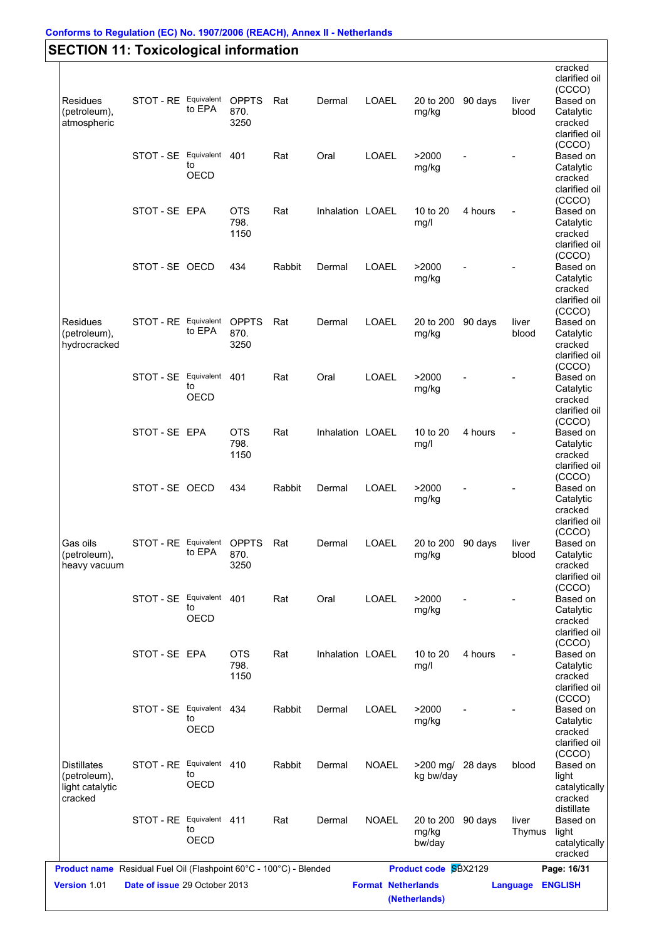|                    |                          |                   |              |        |                  |              |                   |         |                | cracked                  |
|--------------------|--------------------------|-------------------|--------------|--------|------------------|--------------|-------------------|---------|----------------|--------------------------|
|                    |                          |                   |              |        |                  |              |                   |         |                | clarified oil<br>(CCCO)  |
| <b>Residues</b>    | STOT - RE Equivalent     |                   | <b>OPPTS</b> | Rat    | Dermal           | LOAEL        | 20 to 200         | 90 days | liver          | Based on                 |
| (petroleum),       |                          | to EPA            | 870.         |        |                  |              | mg/kg             |         | blood          | Catalytic                |
| atmospheric        |                          |                   | 3250         |        |                  |              |                   |         |                | cracked                  |
|                    |                          |                   |              |        |                  |              |                   |         |                | clarified oil            |
|                    |                          |                   |              |        |                  |              |                   |         |                | (CCCO)                   |
|                    | STOT - SE Equivalent 401 | to                |              | Rat    | Oral             | <b>LOAEL</b> | >2000             |         |                | Based on                 |
|                    |                          | OECD              |              |        |                  |              | mg/kg             |         |                | Catalytic                |
|                    |                          |                   |              |        |                  |              |                   |         |                | cracked<br>clarified oil |
|                    |                          |                   |              |        |                  |              |                   |         |                | (CCCO)                   |
|                    | STOT-SE EPA              |                   | <b>OTS</b>   | Rat    | Inhalation LOAEL |              | 10 to 20          | 4 hours | $\blacksquare$ | Based on                 |
|                    |                          |                   | 798.         |        |                  |              | mg/l              |         |                | Catalytic                |
|                    |                          |                   | 1150         |        |                  |              |                   |         |                | cracked                  |
|                    |                          |                   |              |        |                  |              |                   |         |                | clarified oil            |
|                    |                          |                   |              |        |                  |              |                   |         |                | (CCCO)                   |
|                    | STOT-SE OECD             |                   | 434          | Rabbit | Dermal           | LOAEL        | >2000             |         |                | Based on                 |
|                    |                          |                   |              |        |                  |              | mg/kg             |         |                | Catalytic<br>cracked     |
|                    |                          |                   |              |        |                  |              |                   |         |                | clarified oil            |
|                    |                          |                   |              |        |                  |              |                   |         |                | (CCCO)                   |
| Residues           | STOT - RE Equivalent     |                   | <b>OPPTS</b> | Rat    | Dermal           | LOAEL        | 20 to 200         | 90 days | liver          | Based on                 |
| (petroleum),       |                          | to EPA            | 870.         |        |                  |              | mg/kg             |         | blood          | Catalytic                |
| hydrocracked       |                          |                   | 3250         |        |                  |              |                   |         |                | cracked                  |
|                    |                          |                   |              |        |                  |              |                   |         |                | clarified oil            |
|                    |                          |                   |              |        |                  |              |                   |         |                | (CCCO)                   |
|                    | STOT - SE Equivalent     | to                | 401          | Rat    | Oral             | LOAEL        | >2000             |         |                | Based on                 |
|                    |                          | OECD              |              |        |                  |              | mg/kg             |         |                | Catalytic<br>cracked     |
|                    |                          |                   |              |        |                  |              |                   |         |                | clarified oil            |
|                    |                          |                   |              |        |                  |              |                   |         |                | (CCCO)                   |
|                    | STOT-SE EPA              |                   | <b>OTS</b>   | Rat    | Inhalation LOAEL |              | 10 to 20          | 4 hours | $\blacksquare$ | Based on                 |
|                    |                          |                   | 798.         |        |                  |              | mg/l              |         |                | Catalytic                |
|                    |                          |                   | 1150         |        |                  |              |                   |         |                | cracked                  |
|                    |                          |                   |              |        |                  |              |                   |         |                | clarified oil            |
|                    |                          |                   |              |        |                  |              |                   |         |                | (CCCO)                   |
|                    | STOT-SE OECD             |                   | 434          | Rabbit | Dermal           | LOAEL        | >2000             |         |                | Based on                 |
|                    |                          |                   |              |        |                  |              | mg/kg             |         |                | Catalytic                |
|                    |                          |                   |              |        |                  |              |                   |         |                | cracked                  |
|                    |                          |                   |              |        |                  |              |                   |         |                | clarified oil<br>(CCCO)  |
| Gas oils           | STOT - RE Equivalent     |                   | <b>OPPTS</b> | Rat    | Dermal           | LOAEL        | 20 to 200 90 days |         | liver          | Based on                 |
| (petroleum),       |                          | to EPA            | 870.         |        |                  |              | mg/kg             |         | blood          | Catalytic                |
| heavy vacuum       |                          |                   | 3250         |        |                  |              |                   |         |                | cracked                  |
|                    |                          |                   |              |        |                  |              |                   |         |                | clarified oil            |
|                    |                          |                   |              |        |                  |              |                   |         |                | (CCCO)                   |
|                    | STOT - SE Equivalent 401 |                   |              | Rat    | Oral             | <b>LOAEL</b> | >2000             |         |                | Based on                 |
|                    |                          | to<br><b>OECD</b> |              |        |                  |              | mg/kg             |         |                | Catalytic                |
|                    |                          |                   |              |        |                  |              |                   |         |                | cracked                  |
|                    |                          |                   |              |        |                  |              |                   |         |                | clarified oil<br>(CCCO)  |
|                    | STOT-SE EPA              |                   | <b>OTS</b>   | Rat    | Inhalation LOAEL |              | 10 to 20          | 4 hours | $\blacksquare$ | Based on                 |
|                    |                          |                   | 798.         |        |                  |              | mg/l              |         |                | Catalytic                |
|                    |                          |                   | 1150         |        |                  |              |                   |         |                | cracked                  |
|                    |                          |                   |              |        |                  |              |                   |         |                | clarified oil            |
|                    |                          |                   |              |        |                  |              |                   |         |                | (CCCO)                   |
|                    | STOT - SE Equivalent 434 |                   |              | Rabbit | Dermal           | <b>LOAEL</b> | >2000             |         |                | Based on                 |
|                    |                          | to<br>OECD        |              |        |                  |              | mg/kg             |         |                | Catalytic                |
|                    |                          |                   |              |        |                  |              |                   |         |                | cracked                  |
|                    |                          |                   |              |        |                  |              |                   |         |                | clarified oil            |
| <b>Distillates</b> | STOT - RE Equivalent 410 |                   |              | Rabbit | Dermal           | <b>NOAEL</b> | $>200$ mg/        | 28 days | blood          | (CCCO)<br>Based on       |
| (petroleum),       |                          | to                |              |        |                  |              | kg bw/day         |         |                | light                    |
| light catalytic    |                          | OECD              |              |        |                  |              |                   |         |                | catalytically            |
| cracked            |                          |                   |              |        |                  |              |                   |         |                | cracked                  |
|                    |                          |                   |              |        |                  |              |                   |         |                | distillate               |
|                    | STOT - RE Equivalent 411 |                   |              | Rat    | Dermal           | <b>NOAEL</b> | 20 to 200         | 90 days | liver          | Based on                 |
|                    |                          | to                |              |        |                  |              | mg/kg             |         | Thymus         | light                    |
|                    |                          | <b>OECD</b>       |              |        |                  |              | bw/day            |         |                | catalytically            |
|                    |                          |                   |              |        |                  |              |                   |         |                | cracked                  |
|                    |                          |                   |              |        |                  |              |                   |         |                |                          |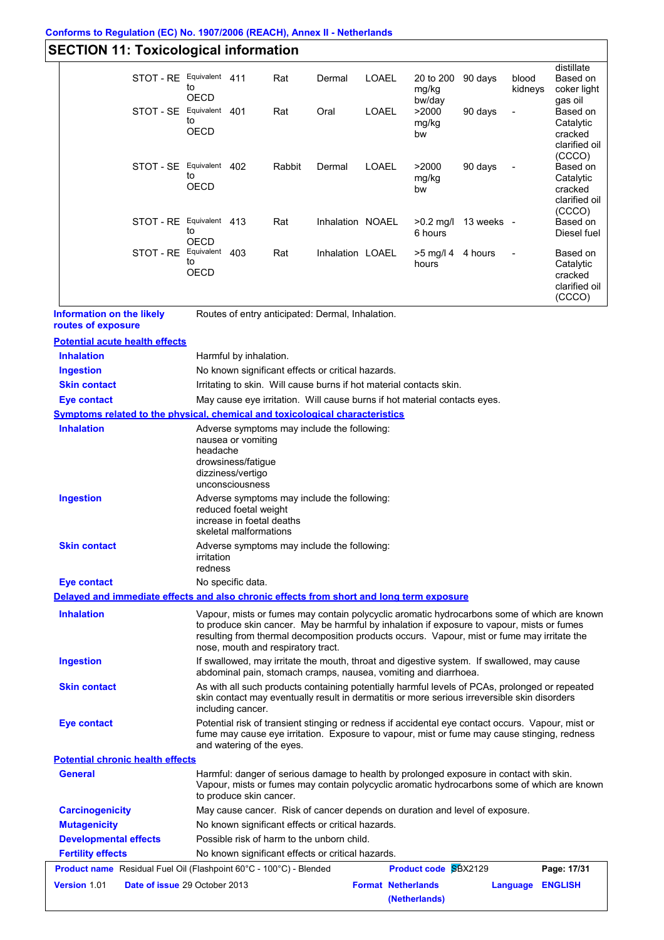#### **Conforms to Regulation (EC) No. 1907/2006 (REACH), Annex II - Netherlands**

# **SECTION 11: Toxicological information**

|                                                                                                          | STOT - RE Equivalent 411      | to                                  |                                                                                  | Rat                                | Dermal                                            | <b>LOAEL</b>              | 20 to 200<br>mg/kg                                                                                                                                                                               | 90 days                | blood<br>kidneys | distillate<br>Based on<br>coker light                                                       |
|----------------------------------------------------------------------------------------------------------|-------------------------------|-------------------------------------|----------------------------------------------------------------------------------|------------------------------------|---------------------------------------------------|---------------------------|--------------------------------------------------------------------------------------------------------------------------------------------------------------------------------------------------|------------------------|------------------|---------------------------------------------------------------------------------------------|
|                                                                                                          | STOT - SE Equivalent 401      | <b>OECD</b><br>to<br><b>OECD</b>    |                                                                                  | Rat                                | Oral                                              | <b>LOAEL</b>              | bw/day<br>>2000<br>mg/kg<br>bw                                                                                                                                                                   | 90 days                |                  | gas oil<br>Based on<br>Catalytic<br>cracked<br>clarified oil                                |
|                                                                                                          | STOT - SE                     | Equivalent 402<br>to<br><b>OECD</b> |                                                                                  | Rabbit                             | Dermal                                            | LOAEL                     | >2000<br>mg/kg<br>bw                                                                                                                                                                             | 90 days                |                  | (CCCO)<br>Based on<br>Catalytic<br>cracked<br>clarified oil                                 |
|                                                                                                          | STOT - RE Equivalent 413      | to<br>OECD                          |                                                                                  | Rat                                | Inhalation NOAEL                                  |                           | 6 hours                                                                                                                                                                                          | $>0.2$ mg/l 13 weeks - |                  | (CCCO)<br>Based on<br>Diesel fuel                                                           |
|                                                                                                          | STOT - RE                     | Equivalent 403<br>to<br>OECD        |                                                                                  | Rat                                | Inhalation LOAEL                                  |                           | $>5$ mg/l 4 4 hours<br>hours                                                                                                                                                                     |                        |                  | Based on<br>Catalytic<br>cracked<br>clarified oil<br>(CCCO)                                 |
| <b>Information on the likely</b><br>routes of exposure                                                   |                               |                                     |                                                                                  |                                    | Routes of entry anticipated: Dermal, Inhalation.  |                           |                                                                                                                                                                                                  |                        |                  |                                                                                             |
| <b>Potential acute health effects</b>                                                                    |                               |                                     |                                                                                  |                                    |                                                   |                           |                                                                                                                                                                                                  |                        |                  |                                                                                             |
| <b>Inhalation</b>                                                                                        |                               |                                     | Harmful by inhalation.                                                           |                                    |                                                   |                           |                                                                                                                                                                                                  |                        |                  |                                                                                             |
| <b>Ingestion</b>                                                                                         |                               |                                     |                                                                                  |                                    | No known significant effects or critical hazards. |                           |                                                                                                                                                                                                  |                        |                  |                                                                                             |
| <b>Skin contact</b>                                                                                      |                               |                                     |                                                                                  |                                    |                                                   |                           | Irritating to skin. Will cause burns if hot material contacts skin.                                                                                                                              |                        |                  |                                                                                             |
| <b>Eye contact</b>                                                                                       |                               |                                     |                                                                                  |                                    |                                                   |                           | May cause eye irritation. Will cause burns if hot material contacts eyes.                                                                                                                        |                        |                  |                                                                                             |
| <b>Symptoms related to the physical, chemical and toxicological characteristics</b><br><b>Inhalation</b> |                               |                                     |                                                                                  |                                    |                                                   |                           |                                                                                                                                                                                                  |                        |                  |                                                                                             |
|                                                                                                          |                               | headache                            | nausea or vomiting<br>drowsiness/fatigue<br>dizziness/vertigo<br>unconsciousness |                                    |                                                   |                           |                                                                                                                                                                                                  |                        |                  |                                                                                             |
| <b>Ingestion</b>                                                                                         |                               |                                     | reduced foetal weight<br>increase in foetal deaths<br>skeletal malformations     |                                    | Adverse symptoms may include the following:       |                           |                                                                                                                                                                                                  |                        |                  |                                                                                             |
| <b>Skin contact</b>                                                                                      |                               | irritation<br>redness               |                                                                                  |                                    | Adverse symptoms may include the following:       |                           |                                                                                                                                                                                                  |                        |                  |                                                                                             |
| <b>Eye contact</b>                                                                                       |                               |                                     | No specific data.                                                                |                                    |                                                   |                           |                                                                                                                                                                                                  |                        |                  |                                                                                             |
| Delayed and immediate effects and also chronic effects from short and long term exposure                 |                               |                                     |                                                                                  |                                    |                                                   |                           |                                                                                                                                                                                                  |                        |                  |                                                                                             |
| <b>Inhalation</b>                                                                                        |                               |                                     |                                                                                  | nose, mouth and respiratory tract. |                                                   |                           | to produce skin cancer. May be harmful by inhalation if exposure to vapour, mists or fumes<br>resulting from thermal decomposition products occurs. Vapour, mist or fume may irritate the        |                        |                  | Vapour, mists or fumes may contain polycyclic aromatic hydrocarbons some of which are known |
| <b>Ingestion</b>                                                                                         |                               |                                     |                                                                                  |                                    |                                                   |                           | If swallowed, may irritate the mouth, throat and digestive system. If swallowed, may cause<br>abdominal pain, stomach cramps, nausea, vomiting and diarrhoea.                                    |                        |                  |                                                                                             |
| <b>Skin contact</b>                                                                                      |                               |                                     | including cancer.                                                                |                                    |                                                   |                           | As with all such products containing potentially harmful levels of PCAs, prolonged or repeated<br>skin contact may eventually result in dermatitis or more serious irreversible skin disorders   |                        |                  |                                                                                             |
| <b>Eye contact</b>                                                                                       |                               |                                     | and watering of the eyes.                                                        |                                    |                                                   |                           | Potential risk of transient stinging or redness if accidental eye contact occurs. Vapour, mist or<br>fume may cause eye irritation. Exposure to vapour, mist or fume may cause stinging, redness |                        |                  |                                                                                             |
| <b>Potential chronic health effects</b>                                                                  |                               |                                     |                                                                                  |                                    |                                                   |                           |                                                                                                                                                                                                  |                        |                  |                                                                                             |
| <b>General</b>                                                                                           |                               |                                     | to produce skin cancer.                                                          |                                    |                                                   |                           | Harmful: danger of serious damage to health by prolonged exposure in contact with skin.                                                                                                          |                        |                  | Vapour, mists or fumes may contain polycyclic aromatic hydrocarbons some of which are known |
| <b>Carcinogenicity</b>                                                                                   |                               |                                     |                                                                                  |                                    |                                                   |                           | May cause cancer. Risk of cancer depends on duration and level of exposure.                                                                                                                      |                        |                  |                                                                                             |
| <b>Mutagenicity</b>                                                                                      |                               |                                     |                                                                                  |                                    | No known significant effects or critical hazards. |                           |                                                                                                                                                                                                  |                        |                  |                                                                                             |
| <b>Developmental effects</b>                                                                             |                               |                                     |                                                                                  |                                    | Possible risk of harm to the unborn child.        |                           |                                                                                                                                                                                                  |                        |                  |                                                                                             |
| <b>Fertility effects</b>                                                                                 |                               |                                     |                                                                                  |                                    | No known significant effects or critical hazards. |                           |                                                                                                                                                                                                  |                        |                  |                                                                                             |
| <b>Product name</b> Residual Fuel Oil (Flashpoint 60°C - 100°C) - Blended                                |                               |                                     |                                                                                  |                                    |                                                   |                           | Product code SBX2129                                                                                                                                                                             |                        |                  | Page: 17/31                                                                                 |
| <b>Version 1.01</b>                                                                                      | Date of issue 29 October 2013 |                                     |                                                                                  |                                    |                                                   | <b>Format Netherlands</b> |                                                                                                                                                                                                  |                        | Language ENGLISH |                                                                                             |

**(Netherlands)**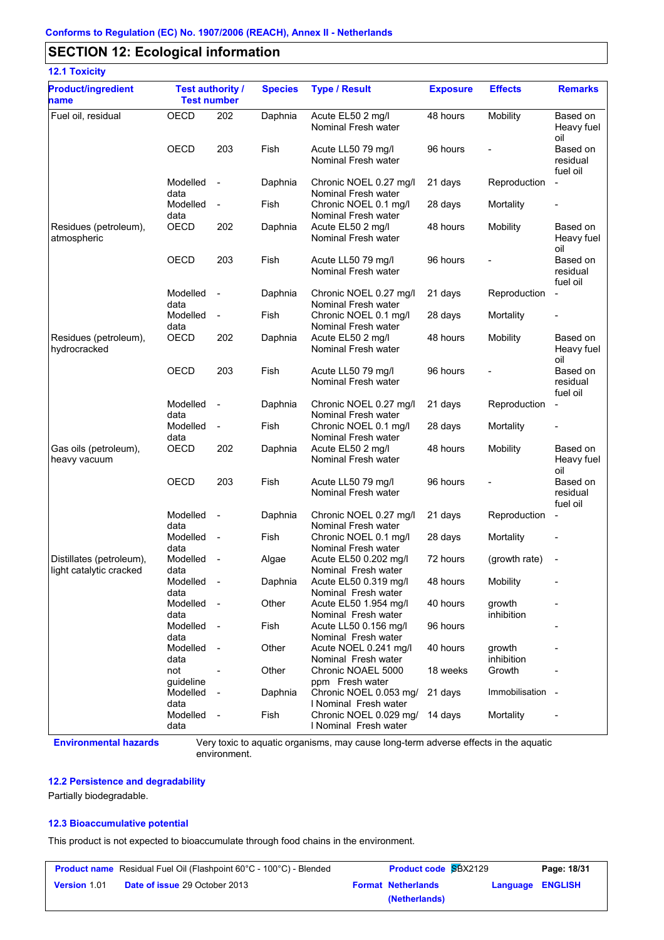### **SECTION 12: Ecological information**

| <b>12.1 Toxicity</b>                                |                                               |                          |                |                                                 |                 |                      |                                  |
|-----------------------------------------------------|-----------------------------------------------|--------------------------|----------------|-------------------------------------------------|-----------------|----------------------|----------------------------------|
| <b>Product/ingredient</b><br>name                   | <b>Test authority /</b><br><b>Test number</b> |                          | <b>Species</b> | <b>Type / Result</b>                            | <b>Exposure</b> | <b>Effects</b>       | <b>Remarks</b>                   |
| Fuel oil, residual                                  | OECD                                          | 202                      | Daphnia        | Acute EL50 2 mg/l<br>Nominal Fresh water        | 48 hours        | Mobility             | Based on<br>Heavy fuel<br>oil    |
|                                                     | <b>OECD</b>                                   | 203                      | Fish           | Acute LL50 79 mg/l<br>Nominal Fresh water       | 96 hours        |                      | Based on<br>residual<br>fuel oil |
|                                                     | Modelled<br>data                              | $\sim$                   | Daphnia        | Chronic NOEL 0.27 mg/l<br>Nominal Fresh water   | 21 days         | Reproduction         | $\blacksquare$                   |
|                                                     | Modelled<br>data                              | $\overline{\phantom{a}}$ | Fish           | Chronic NOEL 0.1 mg/l<br>Nominal Fresh water    | 28 days         | Mortality            | -                                |
| Residues (petroleum),<br>atmospheric                | OECD                                          | 202                      | Daphnia        | Acute EL50 2 mg/l<br>Nominal Fresh water        | 48 hours        | Mobility             | Based on<br>Heavy fuel<br>oil    |
|                                                     | <b>OECD</b>                                   | 203                      | Fish           | Acute LL50 79 mg/l<br>Nominal Fresh water       | 96 hours        |                      | Based on<br>residual<br>fuel oil |
|                                                     | Modelled<br>data                              | $\sim$                   | Daphnia        | Chronic NOEL 0.27 mg/l<br>Nominal Fresh water   | 21 days         | Reproduction         | $\blacksquare$                   |
|                                                     | Modelled<br>data                              | $\blacksquare$           | Fish           | Chronic NOEL 0.1 mg/l<br>Nominal Fresh water    | 28 days         | Mortality            |                                  |
| Residues (petroleum),<br>hydrocracked               | <b>OECD</b>                                   | 202                      | Daphnia        | Acute EL50 2 mg/l<br>Nominal Fresh water        | 48 hours        | Mobility             | Based on<br>Heavy fuel<br>oil    |
|                                                     | <b>OECD</b>                                   | 203                      | Fish           | Acute LL50 79 mg/l<br>Nominal Fresh water       | 96 hours        |                      | Based on<br>residual<br>fuel oil |
|                                                     | Modelled<br>data                              | $\sim$                   | Daphnia        | Chronic NOEL 0.27 mg/l<br>Nominal Fresh water   | 21 days         | Reproduction         | $\blacksquare$                   |
|                                                     | Modelled<br>data                              | $\blacksquare$           | Fish           | Chronic NOEL 0.1 mg/l<br>Nominal Fresh water    | 28 days         | Mortality            |                                  |
| Gas oils (petroleum),<br>heavy vacuum               | <b>OECD</b>                                   | 202                      | Daphnia        | Acute EL50 2 mg/l<br>Nominal Fresh water        | 48 hours        | Mobility             | Based on<br>Heavy fuel<br>oil    |
|                                                     | <b>OECD</b>                                   | 203                      | Fish           | Acute LL50 79 mg/l<br>Nominal Fresh water       | 96 hours        |                      | Based on<br>residual<br>fuel oil |
|                                                     | Modelled<br>data                              | $\overline{\phantom{a}}$ | Daphnia        | Chronic NOEL 0.27 mg/l<br>Nominal Fresh water   | 21 days         | Reproduction         | $\blacksquare$                   |
|                                                     | Modelled<br>data                              | $\sim$                   | Fish           | Chronic NOEL 0.1 mg/l<br>Nominal Fresh water    | 28 days         | Mortality            |                                  |
| Distillates (petroleum),<br>light catalytic cracked | Modelled<br>data                              | $\overline{\phantom{a}}$ | Algae          | Acute EL50 0.202 mg/l<br>Nominal Fresh water    | 72 hours        | (growth rate)        |                                  |
|                                                     | Modelled<br>data                              | $\overline{\phantom{a}}$ | Daphnia        | Acute EL50 0.319 mg/l<br>Nominal Fresh water    | 48 hours        | Mobility             |                                  |
|                                                     | Modelled<br>data                              | $\sim$                   | Other          | Acute EL50 1.954 mg/l<br>Nominal Fresh water    | 40 hours        | growth<br>inhibition |                                  |
|                                                     | Modelled<br>data                              | $\sim$                   | Fish           | Acute LL50 0.156 mg/l<br>Nominal Fresh water    | 96 hours        |                      |                                  |
|                                                     | Modelled<br>data                              | $\sim$                   | Other          | Acute NOEL 0.241 mg/l<br>Nominal Fresh water    | 40 hours        | growth<br>inhibition |                                  |
|                                                     | not<br>quideline                              | $\blacksquare$           | Other          | Chronic NOAEL 5000<br>ppm Fresh water           | 18 weeks        | Growth               |                                  |
|                                                     | Modelled<br>data                              | $\sim$                   | Daphnia        | Chronic NOEL 0.053 mg/<br>I Nominal Fresh water | 21 days         | Immobilisation -     |                                  |
|                                                     | Modelled<br>data                              | $\sim$                   | Fish           | Chronic NOEL 0.029 mg/<br>I Nominal Fresh water | 14 days         | Mortality            |                                  |

**Environmental hazards** Very toxic to aquatic organisms, may cause long-term adverse effects in the aquatic environment.

#### **12.2 Persistence and degradability**

Partially biodegradable.

#### **12.3 Bioaccumulative potential**

This product is not expected to bioaccumulate through food chains in the environment.

| <b>Product name</b> Residual Fuel Oil (Flashpoint 60°C - 100°C) - Blended |                                      | <b>Product code SBX2129</b> | Page: 18/31      |
|---------------------------------------------------------------------------|--------------------------------------|-----------------------------|------------------|
| Version 1.01                                                              | <b>Date of issue 29 October 2013</b> | <b>Format Netherlands</b>   | Language ENGLISH |
|                                                                           |                                      | (Netherlands)               |                  |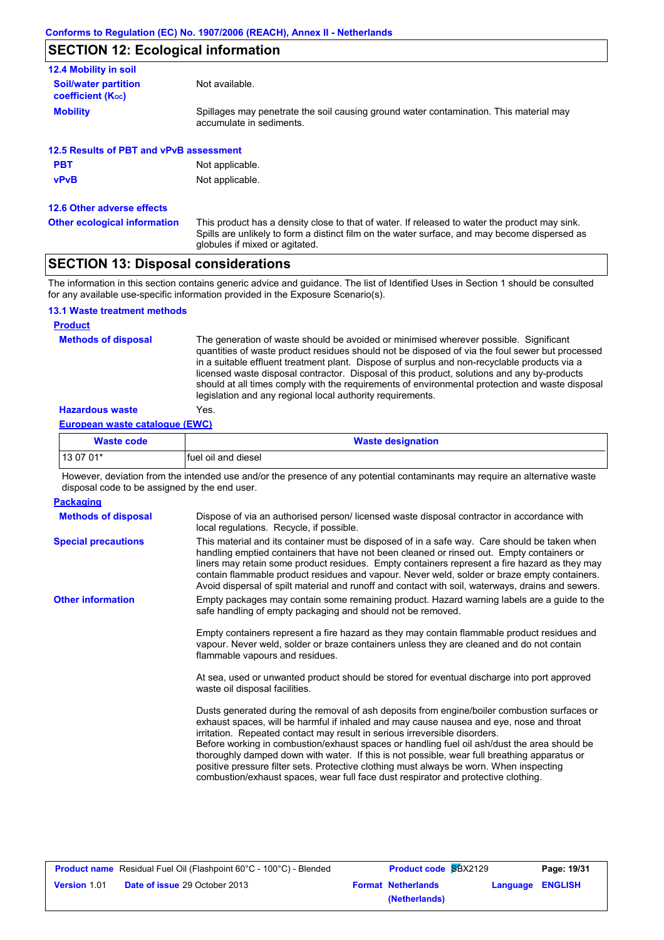## **SECTION 12: Ecological information**

| 12.4 Mobility in soil                                   |                                                                                                                    |
|---------------------------------------------------------|--------------------------------------------------------------------------------------------------------------------|
| <b>Soil/water partition</b><br><b>coefficient (Koc)</b> | Not available.                                                                                                     |
| <b>Mobility</b>                                         | Spillages may penetrate the soil causing ground water contamination. This material may<br>accumulate in sediments. |
| 12.5 Results of PBT and vPvB assessment                 |                                                                                                                    |
| <b>PBT</b>                                              | Not applicable.                                                                                                    |
| <b>vPvB</b>                                             | Not applicable.                                                                                                    |

**12.6 Other adverse effects**

This product has a density close to that of water. If released to water the product may sink. Spills are unlikely to form a distinct film on the water surface, and may become dispersed as globules if mixed or agitated. **Other ecological information**

### **SECTION 13: Disposal considerations**

The information in this section contains generic advice and guidance. The list of Identified Uses in Section 1 should be consulted for any available use-specific information provided in the Exposure Scenario(s).

#### **13.1 Waste treatment methods**

#### **Product**

**Methods of disposal**

The generation of waste should be avoided or minimised wherever possible. Significant quantities of waste product residues should not be disposed of via the foul sewer but processed in a suitable effluent treatment plant. Dispose of surplus and non-recyclable products via a licensed waste disposal contractor. Disposal of this product, solutions and any by-products should at all times comply with the requirements of environmental protection and waste disposal legislation and any regional local authority requirements.

#### **Hazardous waste** Yes.

#### **European waste catalogue (EWC)**

| <b>Waste code</b> | <b>Waste designation</b> |
|-------------------|--------------------------|
| l 13 07 01*       | fuel oil and diesel      |

However, deviation from the intended use and/or the presence of any potential contaminants may require an alternative waste disposal code to be assigned by the end user.

| <b>Packaging</b>           |                                                                                                                                                                                                                                                                                                                                                                                                                                                                                                                                                                                                                                                         |
|----------------------------|---------------------------------------------------------------------------------------------------------------------------------------------------------------------------------------------------------------------------------------------------------------------------------------------------------------------------------------------------------------------------------------------------------------------------------------------------------------------------------------------------------------------------------------------------------------------------------------------------------------------------------------------------------|
| <b>Methods of disposal</b> | Dispose of via an authorised person/licensed waste disposal contractor in accordance with<br>local regulations. Recycle, if possible.                                                                                                                                                                                                                                                                                                                                                                                                                                                                                                                   |
| <b>Special precautions</b> | This material and its container must be disposed of in a safe way. Care should be taken when<br>handling emptied containers that have not been cleaned or rinsed out. Empty containers or<br>liners may retain some product residues. Empty containers represent a fire hazard as they may<br>contain flammable product residues and vapour. Never weld, solder or braze empty containers.<br>Avoid dispersal of spilt material and runoff and contact with soil, waterways, drains and sewers.                                                                                                                                                         |
| <b>Other information</b>   | Empty packages may contain some remaining product. Hazard warning labels are a guide to the<br>safe handling of empty packaging and should not be removed.                                                                                                                                                                                                                                                                                                                                                                                                                                                                                              |
|                            | Empty containers represent a fire hazard as they may contain flammable product residues and<br>vapour. Never weld, solder or braze containers unless they are cleaned and do not contain<br>flammable vapours and residues.                                                                                                                                                                                                                                                                                                                                                                                                                             |
|                            | At sea, used or unwanted product should be stored for eventual discharge into port approved<br>waste oil disposal facilities.                                                                                                                                                                                                                                                                                                                                                                                                                                                                                                                           |
|                            | Dusts generated during the removal of ash deposits from engine/boiler combustion surfaces or<br>exhaust spaces, will be harmful if inhaled and may cause nausea and eye, nose and throat<br>irritation. Repeated contact may result in serious irreversible disorders.<br>Before working in combustion/exhaust spaces or handling fuel oil ash/dust the area should be<br>thoroughly damped down with water. If this is not possible, wear full breathing apparatus or<br>positive pressure filter sets. Protective clothing must always be worn. When inspecting<br>combustion/exhaust spaces, wear full face dust respirator and protective clothing. |

|                     | <b>Product name</b> Residual Fuel Oil (Flashpoint 60°C - 100°C) - Blended | <b>Product code SBX2129</b> |  | Page: 19/31      |
|---------------------|---------------------------------------------------------------------------|-----------------------------|--|------------------|
| <b>Version 1.01</b> | <b>Date of issue 29 October 2013</b>                                      | <b>Format Netherlands</b>   |  | Language ENGLISH |
|                     |                                                                           | (Netherlands)               |  |                  |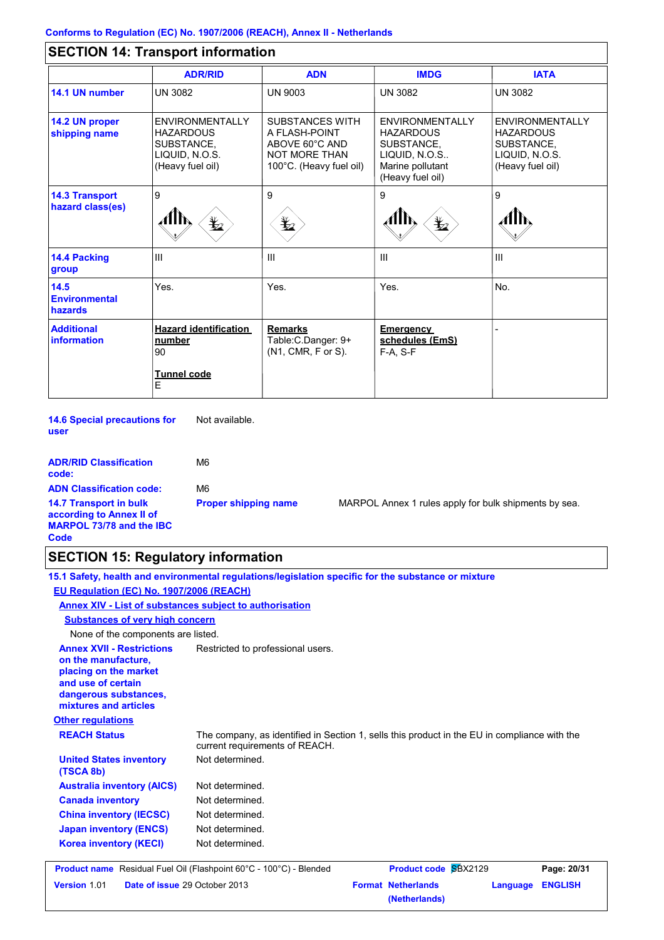# **SECTION 14: Transport information**

|                                           | <b>ADR/RID</b>                                                                                 | <b>ADN</b>                                                                                                   | <b>IMDG</b>                                                                                                       | <b>IATA</b>                                                                                    |
|-------------------------------------------|------------------------------------------------------------------------------------------------|--------------------------------------------------------------------------------------------------------------|-------------------------------------------------------------------------------------------------------------------|------------------------------------------------------------------------------------------------|
| 14.1 UN number                            | <b>UN 3082</b>                                                                                 | <b>UN 9003</b>                                                                                               | <b>UN 3082</b>                                                                                                    | <b>UN 3082</b>                                                                                 |
| 14.2 UN proper<br>shipping name           | <b>FNVIRONMENTALLY</b><br><b>HAZARDOUS</b><br>SUBSTANCE.<br>LIQUID, N.O.S.<br>(Heavy fuel oil) | <b>SUBSTANCES WITH</b><br>A FLASH-POINT<br>ABOVE 60°C AND<br><b>NOT MORE THAN</b><br>100°C. (Heavy fuel oil) | <b>FNVIRONMENTALLY</b><br><b>HAZARDOUS</b><br>SUBSTANCE.<br>LIQUID, N.O.S<br>Marine pollutant<br>(Heavy fuel oil) | <b>FNVIRONMENTALLY</b><br><b>HAZARDOUS</b><br>SUBSTANCE.<br>LIQUID, N.O.S.<br>(Heavy fuel oil) |
| <b>14.3 Transport</b><br>hazard class(es) | 9<br>$\frac{1}{2}$                                                                             | 9<br>q                                                                                                       | 9<br>$\frac{1}{2}$                                                                                                | 9                                                                                              |
| 14.4 Packing<br>group                     | III                                                                                            | $\mathbf{III}$                                                                                               | III                                                                                                               | Ш                                                                                              |
| 14.5<br><b>Environmental</b><br>hazards   | Yes.                                                                                           | Yes.                                                                                                         | Yes.                                                                                                              | No.                                                                                            |
| <b>Additional</b><br><b>information</b>   | <b>Hazard identification</b><br>number<br>90<br>Tunnel code<br>E                               | <b>Remarks</b><br>Table: C. Danger: 9+<br>(N1, CMR, F or S).                                                 | Emergency<br>schedules (EmS)<br>F-A, S-F                                                                          |                                                                                                |

**14.6 Special precautions for user** Not available.

| <b>ADR/RID Classification</b><br>code:                                                               | M6                          |
|------------------------------------------------------------------------------------------------------|-----------------------------|
| <b>ADN Classification code:</b>                                                                      | M6                          |
| <b>14.7 Transport in bulk</b><br>according to Annex II of<br><b>MARPOL 73/78 and the IBC</b><br>Code | <b>Proper shipping name</b> |

**MARPOL Annex 1 rules apply for bulk shipments by sea.** 

# **SECTION 15: Regulatory information**

|                                                                                                                                                          | 15.1 Safety, health and environmental regulations/legislation specific for the substance or mixture                            |                                            |                            |
|----------------------------------------------------------------------------------------------------------------------------------------------------------|--------------------------------------------------------------------------------------------------------------------------------|--------------------------------------------|----------------------------|
| EU Regulation (EC) No. 1907/2006 (REACH)                                                                                                                 |                                                                                                                                |                                            |                            |
| Annex XIV - List of substances subject to authorisation                                                                                                  |                                                                                                                                |                                            |                            |
| <b>Substances of very high concern</b>                                                                                                                   |                                                                                                                                |                                            |                            |
| None of the components are listed.                                                                                                                       |                                                                                                                                |                                            |                            |
| <b>Annex XVII - Restrictions</b><br>on the manufacture,<br>placing on the market<br>and use of certain<br>dangerous substances,<br>mixtures and articles | Restricted to professional users.                                                                                              |                                            |                            |
| <b>Other regulations</b>                                                                                                                                 |                                                                                                                                |                                            |                            |
| <b>REACH Status</b>                                                                                                                                      | The company, as identified in Section 1, sells this product in the EU in compliance with the<br>current requirements of REACH. |                                            |                            |
| <b>United States inventory</b><br>(TSCA 8b)                                                                                                              | Not determined.                                                                                                                |                                            |                            |
| <b>Australia inventory (AICS)</b>                                                                                                                        | Not determined.                                                                                                                |                                            |                            |
| <b>Canada inventory</b>                                                                                                                                  | Not determined.                                                                                                                |                                            |                            |
| <b>China inventory (IECSC)</b>                                                                                                                           | Not determined.                                                                                                                |                                            |                            |
| <b>Japan inventory (ENCS)</b>                                                                                                                            | Not determined.                                                                                                                |                                            |                            |
| <b>Korea inventory (KECI)</b>                                                                                                                            | Not determined.                                                                                                                |                                            |                            |
|                                                                                                                                                          | <b>Product name</b> Residual Fuel Oil (Flashpoint 60°C - 100°C) - Blended                                                      | Product code SBX2129                       | Page: 20/31                |
| Version 1.01<br>Date of issue 29 October 2013                                                                                                            |                                                                                                                                | <b>Format Netherlands</b><br>(Netherlands) | <b>ENGLISH</b><br>Language |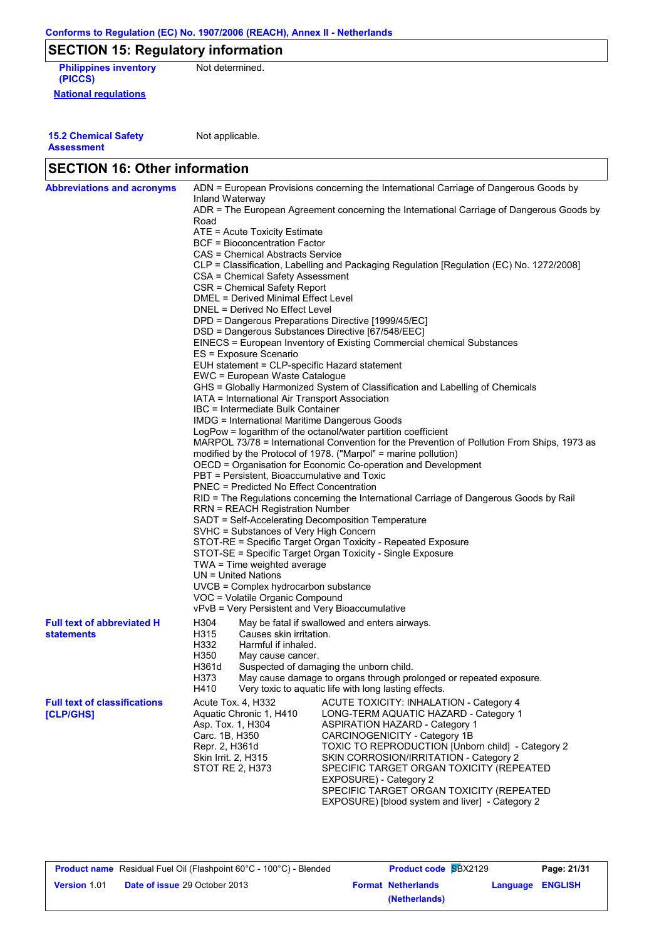# **SECTION 15: Regulatory information**

**National regulations Philippines inventory** Not determined. **(PICCS)**

**15.2 Chemical Safety Assessment**

Not applicable.

| <b>Abbreviations and acronyms</b>   | ADN = European Provisions concerning the International Carriage of Dangerous Goods by                                 |  |  |  |  |  |  |
|-------------------------------------|-----------------------------------------------------------------------------------------------------------------------|--|--|--|--|--|--|
|                                     | Inland Waterway                                                                                                       |  |  |  |  |  |  |
|                                     | ADR = The European Agreement concerning the International Carriage of Dangerous Goods by                              |  |  |  |  |  |  |
|                                     | Road                                                                                                                  |  |  |  |  |  |  |
|                                     | ATE = Acute Toxicity Estimate                                                                                         |  |  |  |  |  |  |
|                                     | BCF = Bioconcentration Factor                                                                                         |  |  |  |  |  |  |
|                                     | CAS = Chemical Abstracts Service                                                                                      |  |  |  |  |  |  |
|                                     | CLP = Classification, Labelling and Packaging Regulation [Regulation (EC) No. 1272/2008]                              |  |  |  |  |  |  |
|                                     | CSA = Chemical Safety Assessment                                                                                      |  |  |  |  |  |  |
|                                     | CSR = Chemical Safety Report                                                                                          |  |  |  |  |  |  |
|                                     | DMEL = Derived Minimal Effect Level                                                                                   |  |  |  |  |  |  |
|                                     | DNEL = Derived No Effect Level                                                                                        |  |  |  |  |  |  |
|                                     | DPD = Dangerous Preparations Directive [1999/45/EC]                                                                   |  |  |  |  |  |  |
|                                     | DSD = Dangerous Substances Directive [67/548/EEC]                                                                     |  |  |  |  |  |  |
|                                     | EINECS = European Inventory of Existing Commercial chemical Substances                                                |  |  |  |  |  |  |
|                                     | ES = Exposure Scenario                                                                                                |  |  |  |  |  |  |
|                                     | EUH statement = CLP-specific Hazard statement                                                                         |  |  |  |  |  |  |
|                                     | EWC = European Waste Catalogue                                                                                        |  |  |  |  |  |  |
|                                     | GHS = Globally Harmonized System of Classification and Labelling of Chemicals                                         |  |  |  |  |  |  |
|                                     | IATA = International Air Transport Association<br>IBC = Intermediate Bulk Container                                   |  |  |  |  |  |  |
|                                     |                                                                                                                       |  |  |  |  |  |  |
|                                     | <b>IMDG = International Maritime Dangerous Goods</b><br>LogPow = logarithm of the octanol/water partition coefficient |  |  |  |  |  |  |
|                                     | MARPOL 73/78 = International Convention for the Prevention of Pollution From Ships, 1973 as                           |  |  |  |  |  |  |
|                                     | modified by the Protocol of 1978. ("Marpol" = marine pollution)                                                       |  |  |  |  |  |  |
|                                     | OECD = Organisation for Economic Co-operation and Development                                                         |  |  |  |  |  |  |
|                                     | PBT = Persistent. Bioaccumulative and Toxic                                                                           |  |  |  |  |  |  |
|                                     | <b>PNEC = Predicted No Effect Concentration</b>                                                                       |  |  |  |  |  |  |
|                                     | RID = The Regulations concerning the International Carriage of Dangerous Goods by Rail                                |  |  |  |  |  |  |
|                                     | <b>RRN = REACH Registration Number</b>                                                                                |  |  |  |  |  |  |
|                                     | SADT = Self-Accelerating Decomposition Temperature                                                                    |  |  |  |  |  |  |
|                                     | SVHC = Substances of Very High Concern                                                                                |  |  |  |  |  |  |
|                                     | STOT-RE = Specific Target Organ Toxicity - Repeated Exposure                                                          |  |  |  |  |  |  |
|                                     | STOT-SE = Specific Target Organ Toxicity - Single Exposure                                                            |  |  |  |  |  |  |
|                                     | TWA = Time weighted average                                                                                           |  |  |  |  |  |  |
|                                     | UN = United Nations                                                                                                   |  |  |  |  |  |  |
|                                     | UVCB = Complex hydrocarbon substance                                                                                  |  |  |  |  |  |  |
|                                     | VOC = Volatile Organic Compound                                                                                       |  |  |  |  |  |  |
|                                     | vPvB = Very Persistent and Very Bioaccumulative                                                                       |  |  |  |  |  |  |
| <b>Full text of abbreviated H</b>   | H304<br>May be fatal if swallowed and enters airways.                                                                 |  |  |  |  |  |  |
| <b>statements</b>                   | H315<br>Causes skin irritation.                                                                                       |  |  |  |  |  |  |
|                                     | H332<br>Harmful if inhaled.                                                                                           |  |  |  |  |  |  |
|                                     | H350<br>May cause cancer.                                                                                             |  |  |  |  |  |  |
|                                     | Suspected of damaging the unborn child.<br>H361d                                                                      |  |  |  |  |  |  |
|                                     | H373<br>May cause damage to organs through prolonged or repeated exposure.                                            |  |  |  |  |  |  |
|                                     | H410<br>Very toxic to aquatic life with long lasting effects.                                                         |  |  |  |  |  |  |
| <b>Full text of classifications</b> | Acute Tox. 4, H332<br>ACUTE TOXICITY: INHALATION - Category 4                                                         |  |  |  |  |  |  |
| [CLP/GHS]                           | Aquatic Chronic 1, H410<br>LONG-TERM AQUATIC HAZARD - Category 1                                                      |  |  |  |  |  |  |
|                                     | Asp. Tox. 1, H304<br><b>ASPIRATION HAZARD - Category 1</b>                                                            |  |  |  |  |  |  |
|                                     | Carc. 1B, H350<br>CARCINOGENICITY - Category 1B                                                                       |  |  |  |  |  |  |
|                                     | Repr. 2, H361d<br>TOXIC TO REPRODUCTION [Unborn child] - Category 2                                                   |  |  |  |  |  |  |
|                                     | SKIN CORROSION/IRRITATION - Category 2<br>Skin Irrit. 2, H315                                                         |  |  |  |  |  |  |
|                                     | STOT RE 2, H373<br>SPECIFIC TARGET ORGAN TOXICITY (REPEATED                                                           |  |  |  |  |  |  |
|                                     | EXPOSURE) - Category 2                                                                                                |  |  |  |  |  |  |
|                                     | SPECIFIC TARGET ORGAN TOXICITY (REPEATED                                                                              |  |  |  |  |  |  |
|                                     | EXPOSURE) [blood system and liver] - Category 2                                                                       |  |  |  |  |  |  |

|                     | <b>Product name</b> Residual Fuel Oil (Flashpoint 60°C - 100°C) - Blended | <b>Product code SBX2129</b> |                  | Page: 21/31 |
|---------------------|---------------------------------------------------------------------------|-----------------------------|------------------|-------------|
| <b>Version 1.01</b> | <b>Date of issue 29 October 2013</b>                                      | <b>Format Netherlands</b>   | Language ENGLISH |             |
|                     |                                                                           | (Netherlands)               |                  |             |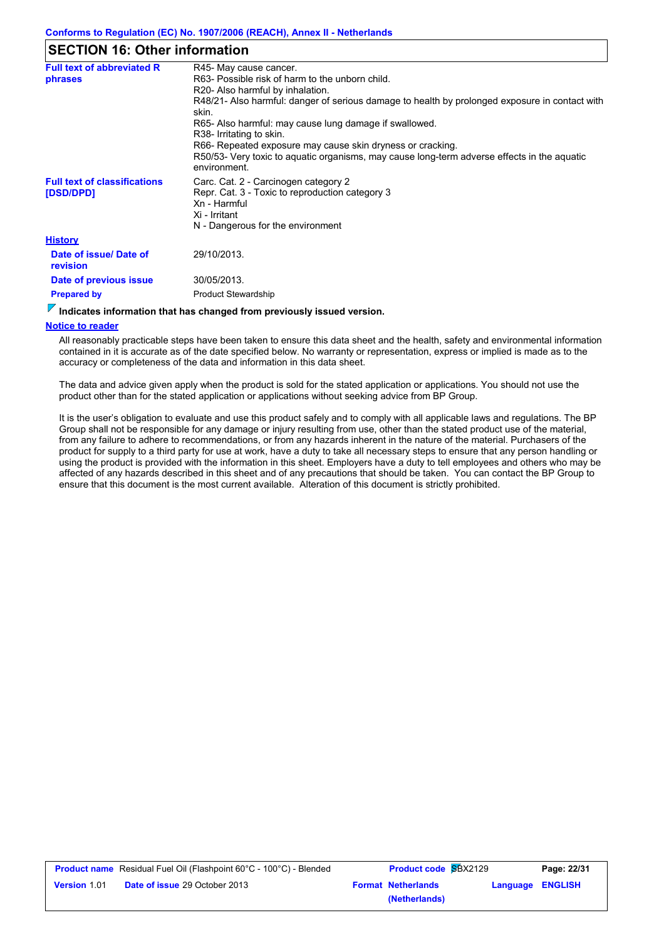### **SECTION 16: Other information**

| <b>Full text of abbreviated R</b>                | R45- May cause cancer.                                                                                      |  |  |
|--------------------------------------------------|-------------------------------------------------------------------------------------------------------------|--|--|
| phrases                                          | R63- Possible risk of harm to the unborn child.                                                             |  |  |
|                                                  | R20- Also harmful by inhalation.                                                                            |  |  |
|                                                  | R48/21- Also harmful: danger of serious damage to health by prolonged exposure in contact with<br>skin.     |  |  |
|                                                  | R65- Also harmful: may cause lung damage if swallowed.                                                      |  |  |
|                                                  | R38- Irritating to skin.                                                                                    |  |  |
|                                                  | R66- Repeated exposure may cause skin dryness or cracking.                                                  |  |  |
|                                                  | R50/53- Very toxic to aquatic organisms, may cause long-term adverse effects in the aquatic<br>environment. |  |  |
| <b>Full text of classifications</b><br>[DSD/DPD] | Carc. Cat. 2 - Carcinogen category 2<br>Repr. Cat. 3 - Toxic to reproduction category 3<br>Xn - Harmful     |  |  |
|                                                  | Xi - Irritant                                                                                               |  |  |
|                                                  | N - Dangerous for the environment                                                                           |  |  |
| <b>History</b>                                   |                                                                                                             |  |  |
| Date of issue/ Date of<br>revision               | 29/10/2013.                                                                                                 |  |  |
| Date of previous issue                           | 30/05/2013.                                                                                                 |  |  |
| <b>Prepared by</b>                               | <b>Product Stewardship</b>                                                                                  |  |  |
|                                                  |                                                                                                             |  |  |

#### **Indicates information that has changed from previously issued version.**

#### **Notice to reader**

All reasonably practicable steps have been taken to ensure this data sheet and the health, safety and environmental information contained in it is accurate as of the date specified below. No warranty or representation, express or implied is made as to the accuracy or completeness of the data and information in this data sheet.

The data and advice given apply when the product is sold for the stated application or applications. You should not use the product other than for the stated application or applications without seeking advice from BP Group.

It is the user's obligation to evaluate and use this product safely and to comply with all applicable laws and regulations. The BP Group shall not be responsible for any damage or injury resulting from use, other than the stated product use of the material, from any failure to adhere to recommendations, or from any hazards inherent in the nature of the material. Purchasers of the product for supply to a third party for use at work, have a duty to take all necessary steps to ensure that any person handling or using the product is provided with the information in this sheet. Employers have a duty to tell employees and others who may be affected of any hazards described in this sheet and of any precautions that should be taken. You can contact the BP Group to ensure that this document is the most current available. Alteration of this document is strictly prohibited.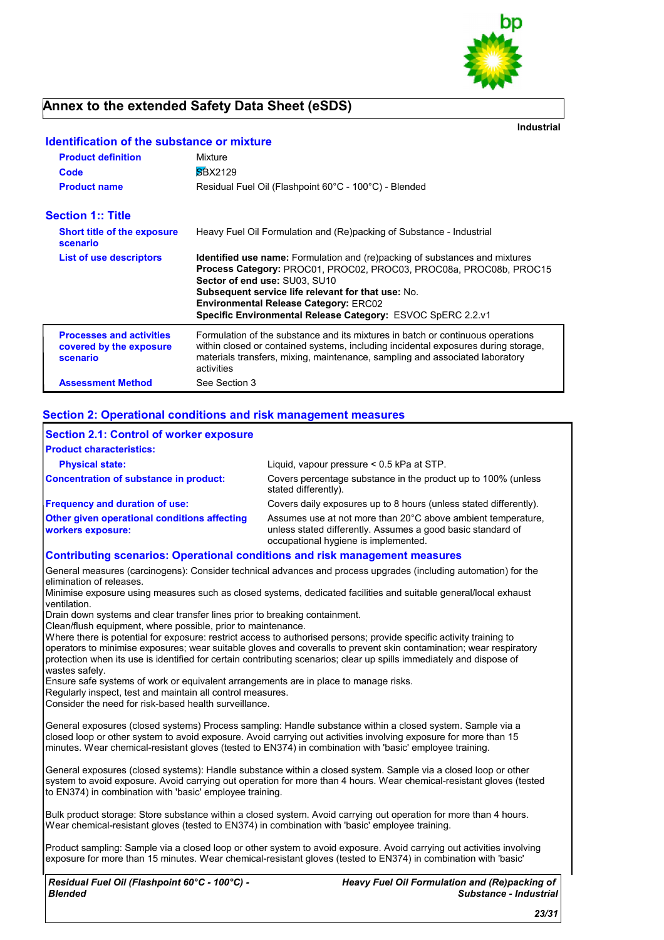

## **Annex to the extended Safety Data Sheet (eSDS)**

**Industrial**

| <b>Identification of the substance or mixture</b>                      |                                                                                                                                                                                                                                                                                                                                                                |
|------------------------------------------------------------------------|----------------------------------------------------------------------------------------------------------------------------------------------------------------------------------------------------------------------------------------------------------------------------------------------------------------------------------------------------------------|
| <b>Product definition</b>                                              | Mixture                                                                                                                                                                                                                                                                                                                                                        |
| Code                                                                   | <b>SBX2129</b>                                                                                                                                                                                                                                                                                                                                                 |
| <b>Product name</b>                                                    | Residual Fuel Oil (Flashpoint 60°C - 100°C) - Blended                                                                                                                                                                                                                                                                                                          |
| <b>Section 1:: Title</b>                                               |                                                                                                                                                                                                                                                                                                                                                                |
| <b>Short title of the exposure</b><br>scenario                         | Heavy Fuel Oil Formulation and (Re)packing of Substance - Industrial                                                                                                                                                                                                                                                                                           |
| List of use descriptors                                                | <b>Identified use name:</b> Formulation and (re)packing of substances and mixtures<br>Process Category: PROC01, PROC02, PROC03, PROC08a, PROC08b, PROC15<br>Sector of end use: SU03, SU10<br>Subsequent service life relevant for that use: No.<br><b>Environmental Release Category: ERC02</b><br>Specific Environmental Release Category: ESVOC SpERC 2.2.v1 |
| <b>Processes and activities</b><br>covered by the exposure<br>scenario | Formulation of the substance and its mixtures in batch or continuous operations<br>within closed or contained systems, including incidental exposures during storage,<br>materials transfers, mixing, maintenance, sampling and associated laboratory<br>activities                                                                                            |
| <b>Assessment Method</b>                                               | See Section 3                                                                                                                                                                                                                                                                                                                                                  |

#### **Section 2: Operational conditions and risk management measures**

| <b>Section 2.1: Control of worker exposure</b>                                     |                                                                                                                                                                     |  |
|------------------------------------------------------------------------------------|---------------------------------------------------------------------------------------------------------------------------------------------------------------------|--|
| <b>Product characteristics:</b>                                                    |                                                                                                                                                                     |  |
| <b>Physical state:</b>                                                             | Liquid, vapour pressure $< 0.5$ kPa at STP.                                                                                                                         |  |
| Concentration of substance in product:                                             | Covers percentage substance in the product up to 100% (unless<br>stated differently).                                                                               |  |
| <b>Frequency and duration of use:</b>                                              | Covers daily exposures up to 8 hours (unless stated differently).                                                                                                   |  |
| <b>Other given operational conditions affecting</b><br><b>workers exposure:</b>    | Assumes use at not more than 20°C above ambient temperature,<br>unless stated differently. Assumes a good basic standard of<br>occupational hygiene is implemented. |  |
| <b>Contributing scenarios: Operational conditions and risk management measures</b> |                                                                                                                                                                     |  |

General measures (carcinogens): Consider technical advances and process upgrades (including automation) for the elimination of releases.

Minimise exposure using measures such as closed systems, dedicated facilities and suitable general/local exhaust ventilation.

Drain down systems and clear transfer lines prior to breaking containment.

Clean/flush equipment, where possible, prior to maintenance.

Where there is potential for exposure: restrict access to authorised persons; provide specific activity training to operators to minimise exposures; wear suitable gloves and coveralls to prevent skin contamination; wear respiratory protection when its use is identified for certain contributing scenarios; clear up spills immediately and dispose of wastes safely.

Ensure safe systems of work or equivalent arrangements are in place to manage risks.

Regularly inspect, test and maintain all control measures.

Consider the need for risk-based health surveillance.

General exposures (closed systems) Process sampling: Handle substance within a closed system. Sample via a closed loop or other system to avoid exposure. Avoid carrying out activities involving exposure for more than 15 minutes. Wear chemical-resistant gloves (tested to EN374) in combination with 'basic' employee training.

General exposures (closed systems): Handle substance within a closed system. Sample via a closed loop or other system to avoid exposure. Avoid carrying out operation for more than 4 hours. Wear chemical-resistant gloves (tested to EN374) in combination with 'basic' employee training.

Bulk product storage: Store substance within a closed system. Avoid carrying out operation for more than 4 hours. Wear chemical-resistant gloves (tested to EN374) in combination with 'basic' employee training.

Product sampling: Sample via a closed loop or other system to avoid exposure. Avoid carrying out activities involving exposure for more than 15 minutes. Wear chemical-resistant gloves (tested to EN374) in combination with 'basic'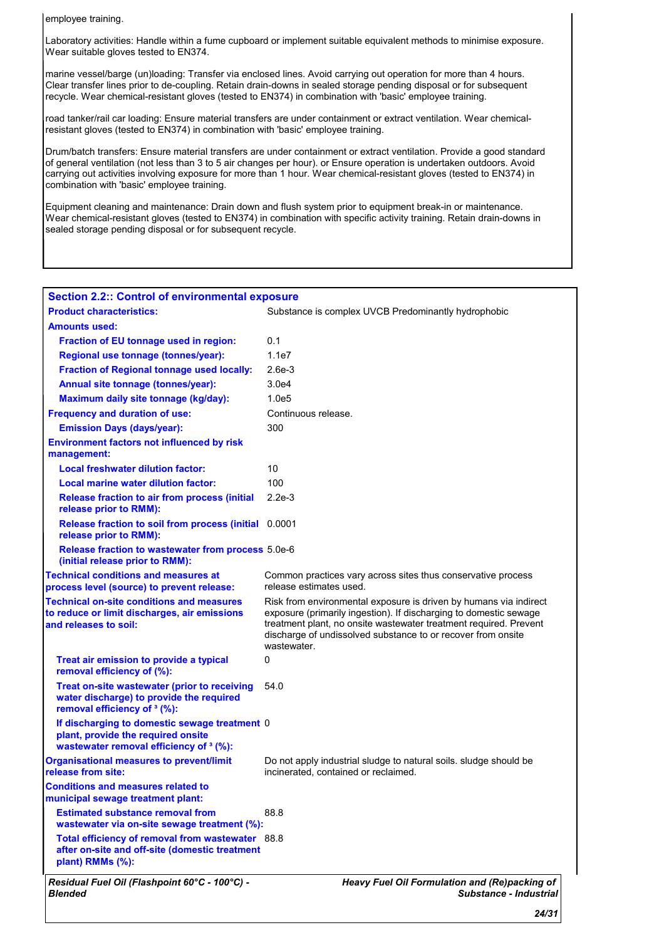employee training.

Laboratory activities: Handle within a fume cupboard or implement suitable equivalent methods to minimise exposure. Wear suitable gloves tested to EN374.

marine vessel/barge (un)loading: Transfer via enclosed lines. Avoid carrying out operation for more than 4 hours. Clear transfer lines prior to de-coupling. Retain drain-downs in sealed storage pending disposal or for subsequent recycle. Wear chemical-resistant gloves (tested to EN374) in combination with 'basic' employee training.

road tanker/rail car loading: Ensure material transfers are under containment or extract ventilation. Wear chemicalresistant gloves (tested to EN374) in combination with 'basic' employee training.

Drum/batch transfers: Ensure material transfers are under containment or extract ventilation. Provide a good standard of general ventilation (not less than 3 to 5 air changes per hour). or Ensure operation is undertaken outdoors. Avoid carrying out activities involving exposure for more than 1 hour. Wear chemical-resistant gloves (tested to EN374) in combination with 'basic' employee training.

Equipment cleaning and maintenance: Drain down and flush system prior to equipment break-in or maintenance. Wear chemical-resistant gloves (tested to EN374) in combination with specific activity training. Retain drain-downs in sealed storage pending disposal or for subsequent recycle.

| <b>Section 2.2:: Control of environmental exposure</b>                                                                              |                                                                                                                                                                                                                                                                                            |  |  |
|-------------------------------------------------------------------------------------------------------------------------------------|--------------------------------------------------------------------------------------------------------------------------------------------------------------------------------------------------------------------------------------------------------------------------------------------|--|--|
| <b>Product characteristics:</b>                                                                                                     | Substance is complex UVCB Predominantly hydrophobic                                                                                                                                                                                                                                        |  |  |
| <b>Amounts used:</b>                                                                                                                |                                                                                                                                                                                                                                                                                            |  |  |
| Fraction of EU tonnage used in region:                                                                                              | 0.1                                                                                                                                                                                                                                                                                        |  |  |
| Regional use tonnage (tonnes/year):                                                                                                 | 1.1e7                                                                                                                                                                                                                                                                                      |  |  |
| <b>Fraction of Regional tonnage used locally:</b>                                                                                   | $2.6e-3$                                                                                                                                                                                                                                                                                   |  |  |
| Annual site tonnage (tonnes/year):                                                                                                  | 3.0e4                                                                                                                                                                                                                                                                                      |  |  |
| Maximum daily site tonnage (kg/day):                                                                                                | 1.0e5                                                                                                                                                                                                                                                                                      |  |  |
| <b>Frequency and duration of use:</b>                                                                                               | Continuous release.                                                                                                                                                                                                                                                                        |  |  |
| <b>Emission Days (days/year):</b>                                                                                                   | 300                                                                                                                                                                                                                                                                                        |  |  |
| <b>Environment factors not influenced by risk</b><br>management:                                                                    |                                                                                                                                                                                                                                                                                            |  |  |
| <b>Local freshwater dilution factor:</b>                                                                                            | 10                                                                                                                                                                                                                                                                                         |  |  |
| Local marine water dilution factor:                                                                                                 | 100                                                                                                                                                                                                                                                                                        |  |  |
| Release fraction to air from process (initial<br>release prior to RMM):                                                             | $2.2e-3$                                                                                                                                                                                                                                                                                   |  |  |
| Release fraction to soil from process (initial 0.0001<br>release prior to RMM):                                                     |                                                                                                                                                                                                                                                                                            |  |  |
| Release fraction to wastewater from process 5.0e-6<br>(initial release prior to RMM):                                               |                                                                                                                                                                                                                                                                                            |  |  |
| <b>Technical conditions and measures at</b><br>process level (source) to prevent release:                                           | Common practices vary across sites thus conservative process<br>release estimates used.                                                                                                                                                                                                    |  |  |
| <b>Technical on-site conditions and measures</b><br>to reduce or limit discharges, air emissions<br>and releases to soil:           | Risk from environmental exposure is driven by humans via indirect<br>exposure (primarily ingestion). If discharging to domestic sewage<br>treatment plant, no onsite wastewater treatment required. Prevent<br>discharge of undissolved substance to or recover from onsite<br>wastewater. |  |  |
| Treat air emission to provide a typical<br>removal efficiency of (%):                                                               | 0                                                                                                                                                                                                                                                                                          |  |  |
| Treat on-site wastewater (prior to receiving<br>water discharge) to provide the required<br>removal efficiency of <sup>3</sup> (%): | 54.0                                                                                                                                                                                                                                                                                       |  |  |
| If discharging to domestic sewage treatment 0<br>plant, provide the required onsite<br>wastewater removal efficiency of 3 (%):      |                                                                                                                                                                                                                                                                                            |  |  |
| <b>Organisational measures to prevent/limit</b><br>release from site:                                                               | Do not apply industrial sludge to natural soils. Sludge should be<br>incinerated, contained or reclaimed.                                                                                                                                                                                  |  |  |
| <b>Conditions and measures related to</b><br>municipal sewage treatment plant:                                                      |                                                                                                                                                                                                                                                                                            |  |  |
| <b>Estimated substance removal from</b><br>wastewater via on-site sewage treatment (%):                                             | 88.8                                                                                                                                                                                                                                                                                       |  |  |
| Total efficiency of removal from wastewater 88.8<br>after on-site and off-site (domestic treatment<br>plant) RMMs (%):              |                                                                                                                                                                                                                                                                                            |  |  |
| Residual Fuel Oil (Flashpoint 60°C - 100°C) -<br><b>Blended</b>                                                                     | Heavy Fuel Oil Formulation and (Re)packing of<br>Substance - Industrial                                                                                                                                                                                                                    |  |  |

*24/31*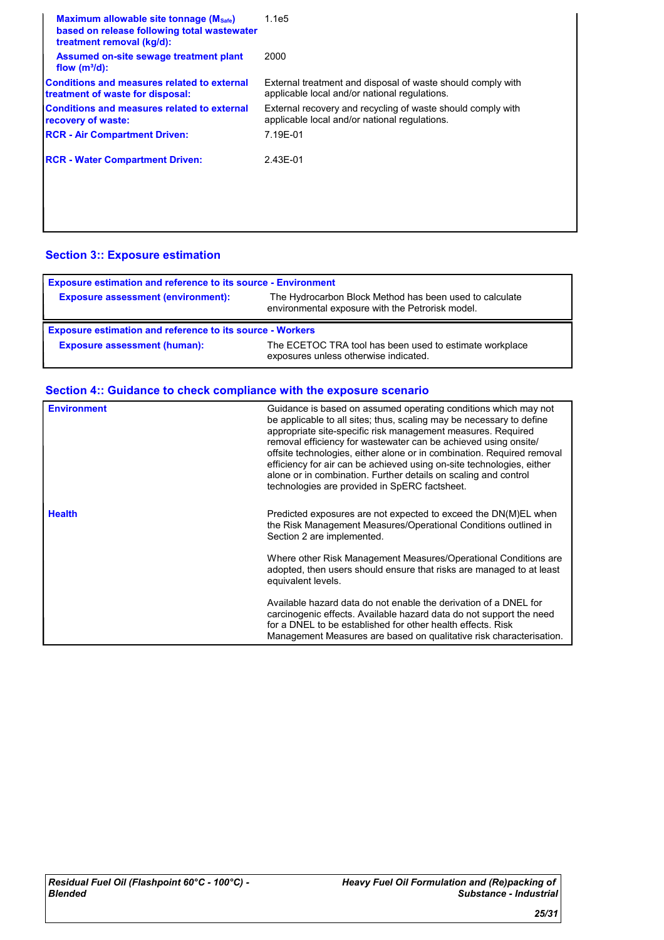| Maximum allowable site tonnage (Msafe)<br>based on release following total wastewater<br>treatment removal (kg/d): | 1.1e5                                                                                                        |
|--------------------------------------------------------------------------------------------------------------------|--------------------------------------------------------------------------------------------------------------|
| Assumed on-site sewage treatment plant<br>flow $(m^3/d)$ :                                                         | 2000                                                                                                         |
| Conditions and measures related to external<br>treatment of waste for disposal:                                    | External treatment and disposal of waste should comply with<br>applicable local and/or national regulations. |
| <b>Conditions and measures related to external</b><br>recovery of waste:                                           | External recovery and recycling of waste should comply with<br>applicable local and/or national regulations. |
| <b>RCR - Air Compartment Driven:</b>                                                                               | 7.19E-01                                                                                                     |
| <b>RCR - Water Compartment Driven:</b>                                                                             | 2.43E-01                                                                                                     |
|                                                                                                                    |                                                                                                              |
|                                                                                                                    |                                                                                                              |

### **Section 3:: Exposure estimation**

| <b>Exposure estimation and reference to its source - Environment</b> |                                                                                                             |  |
|----------------------------------------------------------------------|-------------------------------------------------------------------------------------------------------------|--|
| <b>Exposure assessment (environment):</b>                            | The Hydrocarbon Block Method has been used to calculate<br>environmental exposure with the Petrorisk model. |  |
|                                                                      |                                                                                                             |  |
| <b>Exposure estimation and reference to its source - Workers</b>     |                                                                                                             |  |

### **Section 4:: Guidance to check compliance with the exposure scenario**

| <b>Environment</b> | Guidance is based on assumed operating conditions which may not<br>be applicable to all sites; thus, scaling may be necessary to define<br>appropriate site-specific risk management measures. Required<br>removal efficiency for wastewater can be achieved using onsite/<br>offsite technologies, either alone or in combination. Required removal<br>efficiency for air can be achieved using on-site technologies, either<br>alone or in combination. Further details on scaling and control<br>technologies are provided in SpERC factsheet. |
|--------------------|---------------------------------------------------------------------------------------------------------------------------------------------------------------------------------------------------------------------------------------------------------------------------------------------------------------------------------------------------------------------------------------------------------------------------------------------------------------------------------------------------------------------------------------------------|
| <b>Health</b>      | Predicted exposures are not expected to exceed the DN(M)EL when<br>the Risk Management Measures/Operational Conditions outlined in<br>Section 2 are implemented.                                                                                                                                                                                                                                                                                                                                                                                  |
|                    | Where other Risk Management Measures/Operational Conditions are<br>adopted, then users should ensure that risks are managed to at least<br>equivalent levels.                                                                                                                                                                                                                                                                                                                                                                                     |
|                    | Available hazard data do not enable the derivation of a DNEL for<br>carcinogenic effects. Available hazard data do not support the need<br>for a DNEL to be established for other health effects. Risk<br>Management Measures are based on qualitative risk characterisation.                                                                                                                                                                                                                                                                     |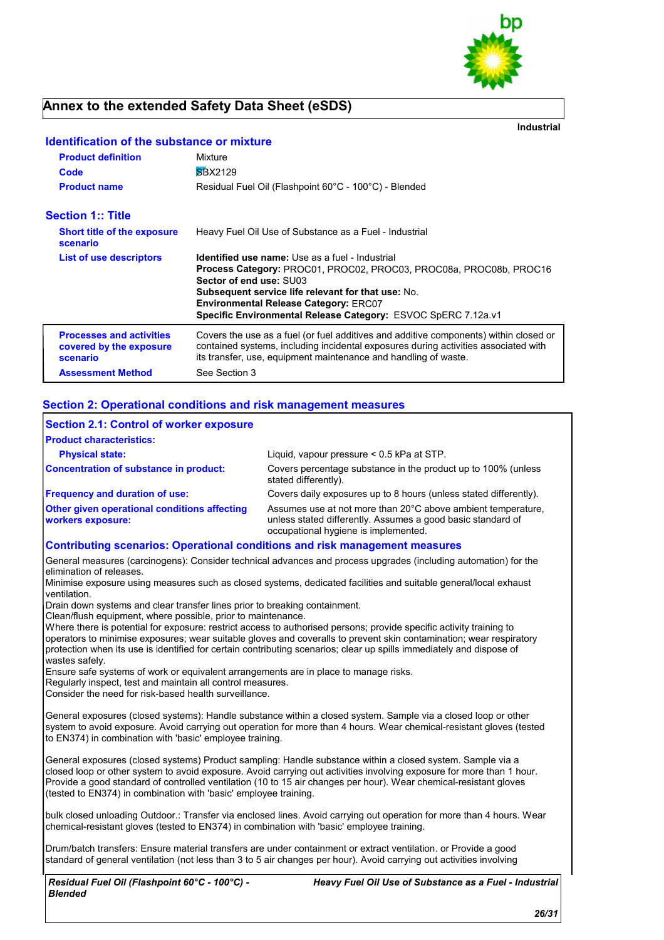

## **Annex to the extended Safety Data Sheet (eSDS)**

**Identification of the substance or mixture**

**Industrial**

| <b>Product definition</b><br>Code                                      | Mixture<br><b>SBX2129</b>                                                                                                                                                                                                                                                                                                             |
|------------------------------------------------------------------------|---------------------------------------------------------------------------------------------------------------------------------------------------------------------------------------------------------------------------------------------------------------------------------------------------------------------------------------|
| <b>Product name</b>                                                    | Residual Fuel Oil (Flashpoint 60°C - 100°C) - Blended                                                                                                                                                                                                                                                                                 |
| <b>Section 1:: Title</b>                                               |                                                                                                                                                                                                                                                                                                                                       |
| <b>Short title of the exposure</b><br>scenario                         | Heavy Fuel Oil Use of Substance as a Fuel - Industrial                                                                                                                                                                                                                                                                                |
| <b>List of use descriptors</b>                                         | <b>Identified use name:</b> Use as a fuel - Industrial<br>Process Category: PROC01, PROC02, PROC03, PROC08a, PROC08b, PROC16<br>Sector of end use: SU03<br><b>Subsequent service life relevant for that use: No.</b><br><b>Environmental Release Category: ERC07</b><br>Specific Environmental Release Category: ESVOC SpERC 7.12a.v1 |
| <b>Processes and activities</b><br>covered by the exposure<br>scenario | Covers the use as a fuel (or fuel additives and additive components) within closed or<br>contained systems, including incidental exposures during activities associated with<br>its transfer, use, equipment maintenance and handling of waste.                                                                                       |
| <b>Assessment Method</b>                                               | See Section 3                                                                                                                                                                                                                                                                                                                         |

#### **Section 2: Operational conditions and risk management measures**

| <b>Section 2.1: Control of worker exposure</b><br><b>Product characteristics:</b>                               |                                                                                                                                                                     |  |
|-----------------------------------------------------------------------------------------------------------------|---------------------------------------------------------------------------------------------------------------------------------------------------------------------|--|
| <b>Physical state:</b>                                                                                          | Liquid, vapour pressure $< 0.5$ kPa at STP.                                                                                                                         |  |
| <b>Concentration of substance in product:</b>                                                                   | Covers percentage substance in the product up to 100% (unless<br>stated differently).                                                                               |  |
| <b>Frequency and duration of use:</b>                                                                           | Covers daily exposures up to 8 hours (unless stated differently).                                                                                                   |  |
| <b>Other given operational conditions affecting</b><br>workers exposure:                                        | Assumes use at not more than 20°C above ambient temperature.<br>unless stated differently. Assumes a good basic standard of<br>occupational hygiene is implemented. |  |
| <b>Contributing scenarios: Operational conditions and risk management measures</b>                              |                                                                                                                                                                     |  |
| General measures (carcinogens): Consider technical advances and process upgrades (including automation) for the |                                                                                                                                                                     |  |

elimination of releases. Minimise exposure using measures such as closed systems, dedicated facilities and suitable general/local exhaust ventilation.

Drain down systems and clear transfer lines prior to breaking containment.

Clean/flush equipment, where possible, prior to maintenance.

Where there is potential for exposure: restrict access to authorised persons; provide specific activity training to operators to minimise exposures; wear suitable gloves and coveralls to prevent skin contamination; wear respiratory protection when its use is identified for certain contributing scenarios; clear up spills immediately and dispose of wastes safely.

Ensure safe systems of work or equivalent arrangements are in place to manage risks.

Regularly inspect, test and maintain all control measures.

Consider the need for risk-based health surveillance.

General exposures (closed systems): Handle substance within a closed system. Sample via a closed loop or other system to avoid exposure. Avoid carrying out operation for more than 4 hours. Wear chemical-resistant gloves (tested to EN374) in combination with 'basic' employee training.

General exposures (closed systems) Product sampling: Handle substance within a closed system. Sample via a closed loop or other system to avoid exposure. Avoid carrying out activities involving exposure for more than 1 hour. Provide a good standard of controlled ventilation (10 to 15 air changes per hour). Wear chemical-resistant gloves (tested to EN374) in combination with 'basic' employee training.

bulk closed unloading Outdoor.: Transfer via enclosed lines. Avoid carrying out operation for more than 4 hours. Wear chemical-resistant gloves (tested to EN374) in combination with 'basic' employee training.

Drum/batch transfers: Ensure material transfers are under containment or extract ventilation. or Provide a good standard of general ventilation (not less than 3 to 5 air changes per hour). Avoid carrying out activities involving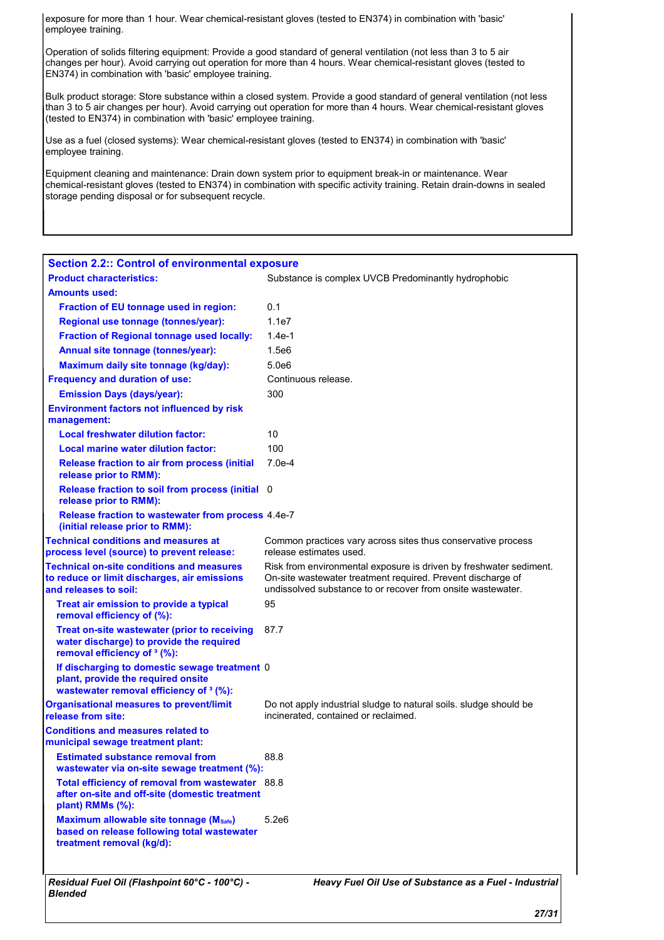exposure for more than 1 hour. Wear chemical-resistant gloves (tested to EN374) in combination with 'basic' employee training.

Operation of solids filtering equipment: Provide a good standard of general ventilation (not less than 3 to 5 air changes per hour). Avoid carrying out operation for more than 4 hours. Wear chemical-resistant gloves (tested to EN374) in combination with 'basic' employee training.

Bulk product storage: Store substance within a closed system. Provide a good standard of general ventilation (not less than 3 to 5 air changes per hour). Avoid carrying out operation for more than 4 hours. Wear chemical-resistant gloves (tested to EN374) in combination with 'basic' employee training.

Use as a fuel (closed systems): Wear chemical-resistant gloves (tested to EN374) in combination with 'basic' employee training.

Equipment cleaning and maintenance: Drain down system prior to equipment break-in or maintenance. Wear chemical-resistant gloves (tested to EN374) in combination with specific activity training. Retain drain-downs in sealed storage pending disposal or for subsequent recycle.

| <b>Section 2.2:: Control of environmental exposure</b>                                                                              |                                                                                                                                                                                                  |  |  |
|-------------------------------------------------------------------------------------------------------------------------------------|--------------------------------------------------------------------------------------------------------------------------------------------------------------------------------------------------|--|--|
| <b>Product characteristics:</b>                                                                                                     | Substance is complex UVCB Predominantly hydrophobic                                                                                                                                              |  |  |
| <b>Amounts used:</b>                                                                                                                |                                                                                                                                                                                                  |  |  |
| Fraction of EU tonnage used in region:                                                                                              | 0.1                                                                                                                                                                                              |  |  |
| Regional use tonnage (tonnes/year):                                                                                                 | 1.1e7                                                                                                                                                                                            |  |  |
| <b>Fraction of Regional tonnage used locally:</b>                                                                                   | $1.4e-1$                                                                                                                                                                                         |  |  |
| Annual site tonnage (tonnes/year):                                                                                                  | 1.5e6                                                                                                                                                                                            |  |  |
| Maximum daily site tonnage (kg/day):                                                                                                | 5.0e6                                                                                                                                                                                            |  |  |
| <b>Frequency and duration of use:</b>                                                                                               | Continuous release.                                                                                                                                                                              |  |  |
| <b>Emission Days (days/year):</b>                                                                                                   | 300                                                                                                                                                                                              |  |  |
| <b>Environment factors not influenced by risk</b><br>management:                                                                    |                                                                                                                                                                                                  |  |  |
| <b>Local freshwater dilution factor:</b>                                                                                            | 10                                                                                                                                                                                               |  |  |
| Local marine water dilution factor:                                                                                                 | 100                                                                                                                                                                                              |  |  |
| Release fraction to air from process (initial<br>release prior to RMM):                                                             | $7.0e-4$                                                                                                                                                                                         |  |  |
| Release fraction to soil from process (initial 0<br>release prior to RMM):                                                          |                                                                                                                                                                                                  |  |  |
| Release fraction to wastewater from process 4.4e-7<br>(initial release prior to RMM):                                               |                                                                                                                                                                                                  |  |  |
| <b>Technical conditions and measures at</b><br>process level (source) to prevent release:                                           | Common practices vary across sites thus conservative process<br>release estimates used.                                                                                                          |  |  |
| <b>Technical on-site conditions and measures</b><br>to reduce or limit discharges, air emissions<br>and releases to soil:           | Risk from environmental exposure is driven by freshwater sediment.<br>On-site wastewater treatment required. Prevent discharge of<br>undissolved substance to or recover from onsite wastewater. |  |  |
| Treat air emission to provide a typical<br>removal efficiency of (%):                                                               | 95                                                                                                                                                                                               |  |  |
| Treat on-site wastewater (prior to receiving<br>water discharge) to provide the required<br>removal efficiency of <sup>3</sup> (%): | 87.7                                                                                                                                                                                             |  |  |
| If discharging to domestic sewage treatment 0<br>plant, provide the required onsite<br>wastewater removal efficiency of 3 (%):      |                                                                                                                                                                                                  |  |  |
| <b>Organisational measures to prevent/limit</b><br>release from site:                                                               | Do not apply industrial sludge to natural soils, sludge should be<br>incinerated, contained or reclaimed.                                                                                        |  |  |
| <b>Conditions and measures related to</b><br>municipal sewage treatment plant:                                                      |                                                                                                                                                                                                  |  |  |
| <b>Estimated substance removal from</b><br>wastewater via on-site sewage treatment (%):                                             | 88.8                                                                                                                                                                                             |  |  |
| Total efficiency of removal from wastewater 88.8<br>after on-site and off-site (domestic treatment<br>plant) RMMs (%):              |                                                                                                                                                                                                  |  |  |
| Maximum allowable site tonnage (Msafe)<br>based on release following total wastewater<br>treatment removal (kg/d):                  | 5.2e6                                                                                                                                                                                            |  |  |
| Residual Fuel Oil (Flashpoint 60°C - 100°C) -<br><b>Blended</b>                                                                     | Heavy Fuel Oil Use of Substance as a Fuel - Industrial                                                                                                                                           |  |  |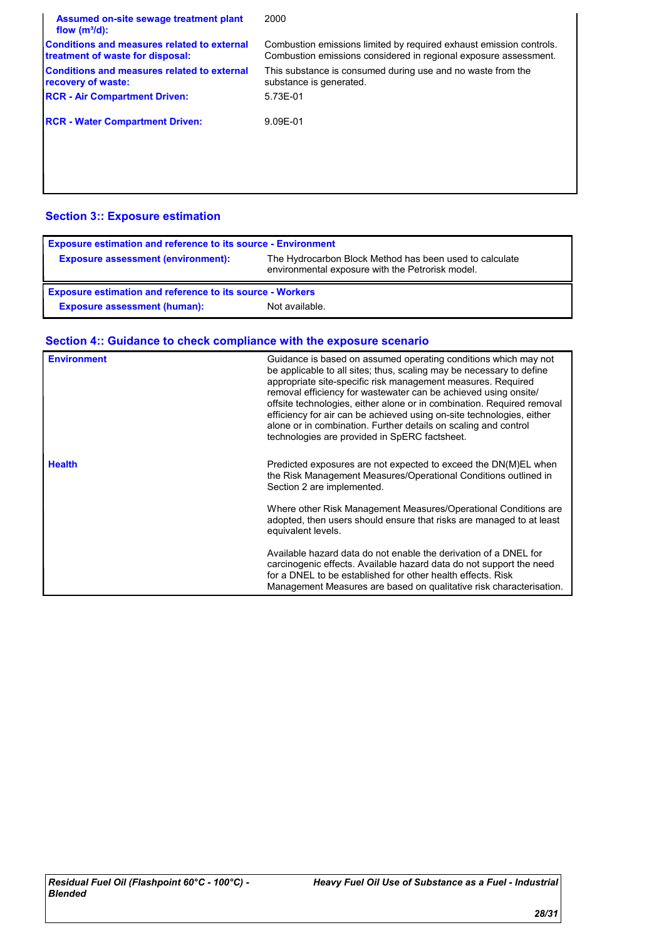| Assumed on-site sewage treatment plant<br>flow $(m^3/d)$ :                             | 2000                                                                                                                                    |
|----------------------------------------------------------------------------------------|-----------------------------------------------------------------------------------------------------------------------------------------|
| <b>Conditions and measures related to external</b><br>treatment of waste for disposal: | Combustion emissions limited by required exhaust emission controls.<br>Combustion emissions considered in regional exposure assessment. |
| <b>Conditions and measures related to external</b><br>recovery of waste:               | This substance is consumed during use and no waste from the<br>substance is generated.                                                  |
| <b>RCR - Air Compartment Driven:</b>                                                   | 5.73E-01                                                                                                                                |
| <b>RCR - Water Compartment Driven:</b>                                                 | 9.09E-01                                                                                                                                |
|                                                                                        |                                                                                                                                         |
|                                                                                        |                                                                                                                                         |

### **Section 3:: Exposure estimation**

| <b>Exposure estimation and reference to its source - Environment</b> |                                                                                                             |  |
|----------------------------------------------------------------------|-------------------------------------------------------------------------------------------------------------|--|
| <b>Exposure assessment (environment):</b>                            | The Hydrocarbon Block Method has been used to calculate<br>environmental exposure with the Petrorisk model. |  |
| <b>Exposure estimation and reference to its source - Workers</b>     |                                                                                                             |  |
| <b>Exposure assessment (human):</b>                                  | Not available.                                                                                              |  |

# **Section 4:: Guidance to check compliance with the exposure scenario**

| <b>Environment</b> | Guidance is based on assumed operating conditions which may not<br>be applicable to all sites; thus, scaling may be necessary to define<br>appropriate site-specific risk management measures. Required<br>removal efficiency for wastewater can be achieved using onsite/<br>offsite technologies, either alone or in combination. Required removal<br>efficiency for air can be achieved using on-site technologies, either<br>alone or in combination. Further details on scaling and control<br>technologies are provided in SpERC factsheet. |
|--------------------|---------------------------------------------------------------------------------------------------------------------------------------------------------------------------------------------------------------------------------------------------------------------------------------------------------------------------------------------------------------------------------------------------------------------------------------------------------------------------------------------------------------------------------------------------|
| <b>Health</b>      | Predicted exposures are not expected to exceed the DN(M)EL when<br>the Risk Management Measures/Operational Conditions outlined in<br>Section 2 are implemented.                                                                                                                                                                                                                                                                                                                                                                                  |
|                    | Where other Risk Management Measures/Operational Conditions are<br>adopted, then users should ensure that risks are managed to at least<br>equivalent levels.                                                                                                                                                                                                                                                                                                                                                                                     |
|                    | Available hazard data do not enable the derivation of a DNEL for<br>carcinogenic effects. Available hazard data do not support the need<br>for a DNEL to be established for other health effects. Risk<br>Management Measures are based on qualitative risk characterisation.                                                                                                                                                                                                                                                                     |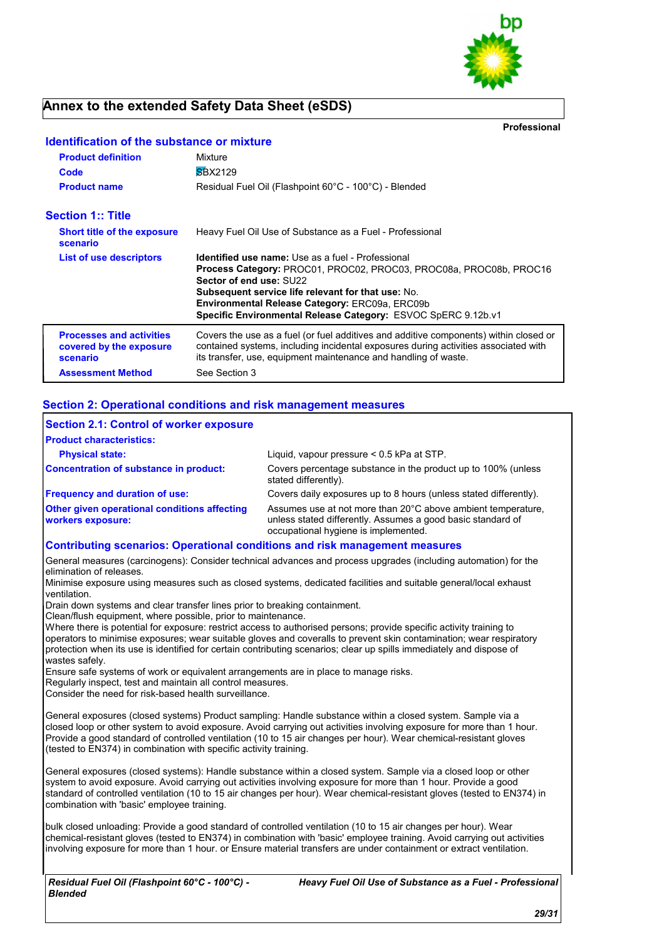

## **Annex to the extended Safety Data Sheet (eSDS)**

**Identification of the substance or mixture**

**Professional**

| <b>Product definition</b><br>Code                                      | Mixture<br><b>SBX2129</b>                                                                                                                                                                                                                                                                                                                        |
|------------------------------------------------------------------------|--------------------------------------------------------------------------------------------------------------------------------------------------------------------------------------------------------------------------------------------------------------------------------------------------------------------------------------------------|
| <b>Product name</b>                                                    | Residual Fuel Oil (Flashpoint 60°C - 100°C) - Blended                                                                                                                                                                                                                                                                                            |
| <b>Section 1:: Title</b>                                               |                                                                                                                                                                                                                                                                                                                                                  |
| <b>Short title of the exposure</b><br>scenario                         | Heavy Fuel Oil Use of Substance as a Fuel - Professional                                                                                                                                                                                                                                                                                         |
| List of use descriptors                                                | <b>Identified use name:</b> Use as a fuel - Professional<br>Process Category: PROC01, PROC02, PROC03, PROC08a, PROC08b, PROC16<br>Sector of end use: SU22<br><b>Subsequent service life relevant for that use: No.</b><br><b>Environmental Release Category: ERC09a, ERC09b</b><br>Specific Environmental Release Category: ESVOC SpERC 9.12b.v1 |
| <b>Processes and activities</b><br>covered by the exposure<br>scenario | Covers the use as a fuel (or fuel additives and additive components) within closed or<br>contained systems, including incidental exposures during activities associated with<br>its transfer, use, equipment maintenance and handling of waste.                                                                                                  |
| <b>Assessment Method</b>                                               | See Section 3                                                                                                                                                                                                                                                                                                                                    |

#### **Section 2: Operational conditions and risk management measures**

| <b>Section 2.1: Control of worker exposure</b><br><b>Product characteristics:</b>  |                                                                                                                                                                     |
|------------------------------------------------------------------------------------|---------------------------------------------------------------------------------------------------------------------------------------------------------------------|
| <b>Physical state:</b>                                                             | Liquid, vapour pressure < 0.5 kPa at STP.                                                                                                                           |
| Concentration of substance in product:                                             | Covers percentage substance in the product up to 100% (unless<br>stated differently).                                                                               |
| <b>Frequency and duration of use:</b>                                              | Covers daily exposures up to 8 hours (unless stated differently).                                                                                                   |
| <b>Other given operational conditions affecting</b><br><b>workers exposure:</b>    | Assumes use at not more than 20°C above ambient temperature,<br>unless stated differently. Assumes a good basic standard of<br>occupational hygiene is implemented. |
| <b>Contributing scenarios: Operational conditions and risk management measures</b> |                                                                                                                                                                     |

General measures (carcinogens): Consider technical advances and process upgrades (including automation) for the elimination of releases.

Minimise exposure using measures such as closed systems, dedicated facilities and suitable general/local exhaust ventilation.

Drain down systems and clear transfer lines prior to breaking containment.

Clean/flush equipment, where possible, prior to maintenance.

Where there is potential for exposure: restrict access to authorised persons; provide specific activity training to operators to minimise exposures; wear suitable gloves and coveralls to prevent skin contamination; wear respiratory protection when its use is identified for certain contributing scenarios; clear up spills immediately and dispose of wastes safely.

Ensure safe systems of work or equivalent arrangements are in place to manage risks.

Regularly inspect, test and maintain all control measures.

Consider the need for risk-based health surveillance.

General exposures (closed systems) Product sampling: Handle substance within a closed system. Sample via a closed loop or other system to avoid exposure. Avoid carrying out activities involving exposure for more than 1 hour. Provide a good standard of controlled ventilation (10 to 15 air changes per hour). Wear chemical-resistant gloves (tested to EN374) in combination with specific activity training.

General exposures (closed systems): Handle substance within a closed system. Sample via a closed loop or other system to avoid exposure. Avoid carrying out activities involving exposure for more than 1 hour. Provide a good standard of controlled ventilation (10 to 15 air changes per hour). Wear chemical-resistant gloves (tested to EN374) in combination with 'basic' employee training.

bulk closed unloading: Provide a good standard of controlled ventilation (10 to 15 air changes per hour). Wear chemical-resistant gloves (tested to EN374) in combination with 'basic' employee training. Avoid carrying out activities involving exposure for more than 1 hour. or Ensure material transfers are under containment or extract ventilation.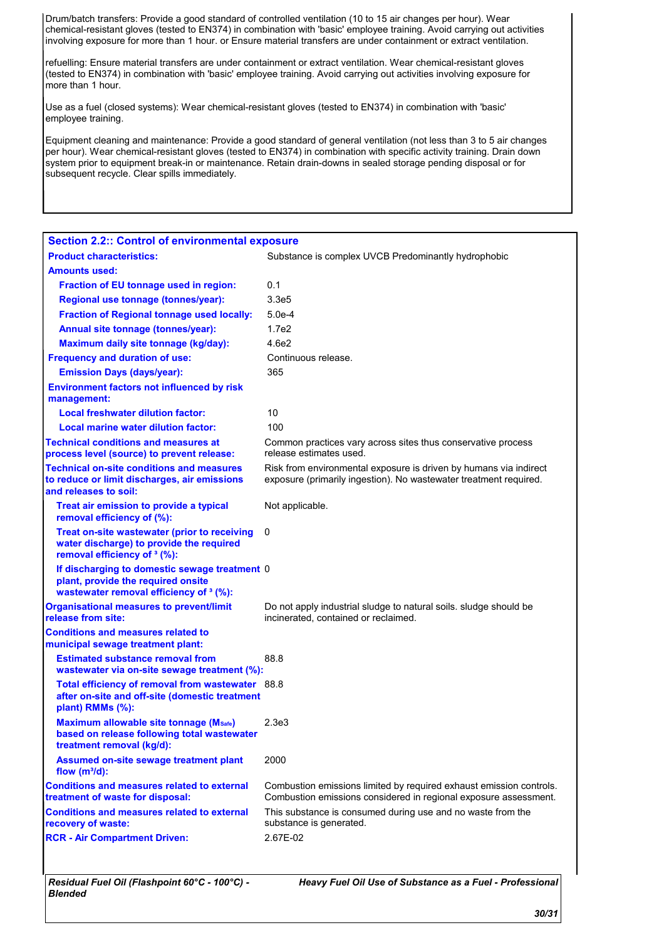Drum/batch transfers: Provide a good standard of controlled ventilation (10 to 15 air changes per hour). Wear chemical-resistant gloves (tested to EN374) in combination with 'basic' employee training. Avoid carrying out activities involving exposure for more than 1 hour. or Ensure material transfers are under containment or extract ventilation.

refuelling: Ensure material transfers are under containment or extract ventilation. Wear chemical-resistant gloves (tested to EN374) in combination with 'basic' employee training. Avoid carrying out activities involving exposure for more than 1 hour.

Use as a fuel (closed systems): Wear chemical-resistant gloves (tested to EN374) in combination with 'basic' employee training.

Equipment cleaning and maintenance: Provide a good standard of general ventilation (not less than 3 to 5 air changes per hour). Wear chemical-resistant gloves (tested to EN374) in combination with specific activity training. Drain down system prior to equipment break-in or maintenance. Retain drain-downs in sealed storage pending disposal or for subsequent recycle. Clear spills immediately.

| <b>Section 2.2:: Control of environmental exposure</b>                                                                              |                                                                                                                                         |  |
|-------------------------------------------------------------------------------------------------------------------------------------|-----------------------------------------------------------------------------------------------------------------------------------------|--|
| <b>Product characteristics:</b>                                                                                                     | Substance is complex UVCB Predominantly hydrophobic                                                                                     |  |
| <b>Amounts used:</b>                                                                                                                |                                                                                                                                         |  |
| Fraction of EU tonnage used in region:                                                                                              | 0.1                                                                                                                                     |  |
| Regional use tonnage (tonnes/year):                                                                                                 | 3.3e <sub>5</sub>                                                                                                                       |  |
| <b>Fraction of Regional tonnage used locally:</b>                                                                                   | $5.0e-4$                                                                                                                                |  |
| Annual site tonnage (tonnes/year):                                                                                                  | 1.7e2                                                                                                                                   |  |
| Maximum daily site tonnage (kg/day):                                                                                                | 4.6e2                                                                                                                                   |  |
| <b>Frequency and duration of use:</b>                                                                                               | Continuous release.                                                                                                                     |  |
| <b>Emission Days (days/year):</b>                                                                                                   | 365                                                                                                                                     |  |
| <b>Environment factors not influenced by risk</b><br>management:                                                                    |                                                                                                                                         |  |
| <b>Local freshwater dilution factor:</b>                                                                                            | 10                                                                                                                                      |  |
| Local marine water dilution factor:                                                                                                 | 100                                                                                                                                     |  |
| <b>Technical conditions and measures at</b><br>process level (source) to prevent release:                                           | Common practices vary across sites thus conservative process<br>release estimates used.                                                 |  |
| <b>Technical on-site conditions and measures</b><br>to reduce or limit discharges, air emissions<br>and releases to soil:           | Risk from environmental exposure is driven by humans via indirect<br>exposure (primarily ingestion). No wastewater treatment required.  |  |
| Treat air emission to provide a typical<br>removal efficiency of (%):                                                               | Not applicable.                                                                                                                         |  |
| Treat on-site wastewater (prior to receiving<br>water discharge) to provide the required<br>removal efficiency of <sup>3</sup> (%): | 0                                                                                                                                       |  |
| If discharging to domestic sewage treatment 0<br>plant, provide the required onsite<br>wastewater removal efficiency of 3 (%):      |                                                                                                                                         |  |
| <b>Organisational measures to prevent/limit</b><br>release from site:                                                               | Do not apply industrial sludge to natural soils. sludge should be<br>incinerated, contained or reclaimed.                               |  |
| <b>Conditions and measures related to</b><br>municipal sewage treatment plant:                                                      |                                                                                                                                         |  |
| <b>Estimated substance removal from</b><br>wastewater via on-site sewage treatment (%):                                             | 88.8                                                                                                                                    |  |
| Total efficiency of removal from wastewater 88.8<br>after on-site and off-site (domestic treatment<br>plant) RMMs (%):              |                                                                                                                                         |  |
| Maximum allowable site tonnage (Msafe)<br>based on release following total wastewater<br>treatment removal (kg/d):                  | 2.3 <sub>e</sub> 3                                                                                                                      |  |
| Assumed on-site sewage treatment plant<br>flow $(m^3/d)$ :                                                                          | 2000                                                                                                                                    |  |
| <b>Conditions and measures related to external</b><br>treatment of waste for disposal:                                              | Combustion emissions limited by required exhaust emission controls.<br>Combustion emissions considered in regional exposure assessment. |  |
| <b>Conditions and measures related to external</b><br>recovery of waste:                                                            | This substance is consumed during use and no waste from the<br>substance is generated.                                                  |  |
| <b>RCR - Air Compartment Driven:</b>                                                                                                | 2.67E-02                                                                                                                                |  |
|                                                                                                                                     |                                                                                                                                         |  |